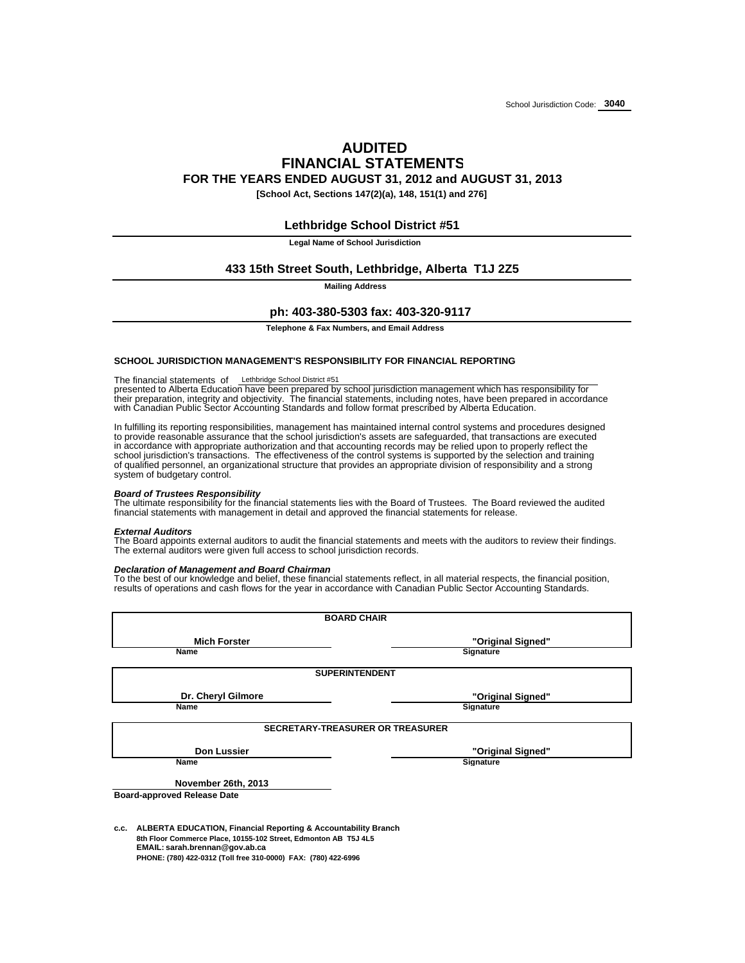#### **AUDITED FINANCIAL STATEMENTS**

**FOR THE YEARS ENDED AUGUST 31, 2012 and AUGUST 31, 2013**

**[School Act, Sections 147(2)(a), 148, 151(1) and 276]**

#### **Lethbridge School District #51**

**Legal Name of School Jurisdiction**

#### **433 15th Street South, Lethbridge, Alberta T1J 2Z5**

**Mailing Address**

#### **ph: 403-380-5303 fax: 403-320-9117**

**Telephone & Fax Numbers, and Email Address**

#### **SCHOOL JURISDICTION MANAGEMENT'S RESPONSIBILITY FOR FINANCIAL REPORTING**

The financial statements of presented to Alberta Education have been prepared by school jurisdiction management which has responsibility for<br>their preparation, integrity and objectivity. The financial statements, including notes, have been prepared i Lethbridge School District #51

school jurisdiction's transactions. The effectiveness of the control systems is supported by the selection and training In fulfilling its reporting responsibilities, management has maintained internal control systems and procedures designed<br>to provide reasonable assurance that the school jurisdiction's assets are safeguarded, that transacti in accordance with appropriate authorization and that accounting records may be relied upon to properly reflect the of qualified personnel, an organizational structure that provides an appropriate division of responsibility and a strong system of budgetary control.

#### *Board of Trustees Responsibility*

The ultimate responsibility for the financial statements lies with the Board of Trustees. The Board reviewed the audited financial statements with management in detail and approved the financial statements for release.

#### *External Auditors*

The Board appoints external auditors to audit the financial statements and meets with the auditors to review their findings. The external auditors were given full access to school jurisdiction records.

**Declaration of Management and Board Chairman**<br>To the best of our knowledge and belief, these financial statements reflect, in all material respects, the financial position,<br>results of operations and cash flows for the yea

| <b>BOARD CHAIR</b>                                                  |                                       |
|---------------------------------------------------------------------|---------------------------------------|
| <b>Mich Forster</b><br>Name                                         | "Original Signed"<br><b>Signature</b> |
| <b>SUPERINTENDENT</b>                                               |                                       |
| Dr. Cheryl Gilmore<br>Name                                          | "Original Signed"<br><b>Signature</b> |
| <b>SECRETARY-TREASURER OR TREASURER</b>                             |                                       |
| Don Lussier<br>Name                                                 | "Original Signed"<br><b>Signature</b> |
| November 26th, 2013<br><b>Board-approved Release Date</b>           |                                       |
| c.c. ALBERTA EDUCATION. Financial Reporting & Accountability Branch |                                       |

**c.c. ALBERTA EDUCATION, Financial Reporting & Accountability Branch 8th Floor Commerce Place, 10155-102 Street, Edmonton AB T5J 4L5 EMAIL: sarah.brennan@gov.ab.ca PHONE: (780) 422-0312 (Toll free 310-0000) FAX: (780) 422-6996**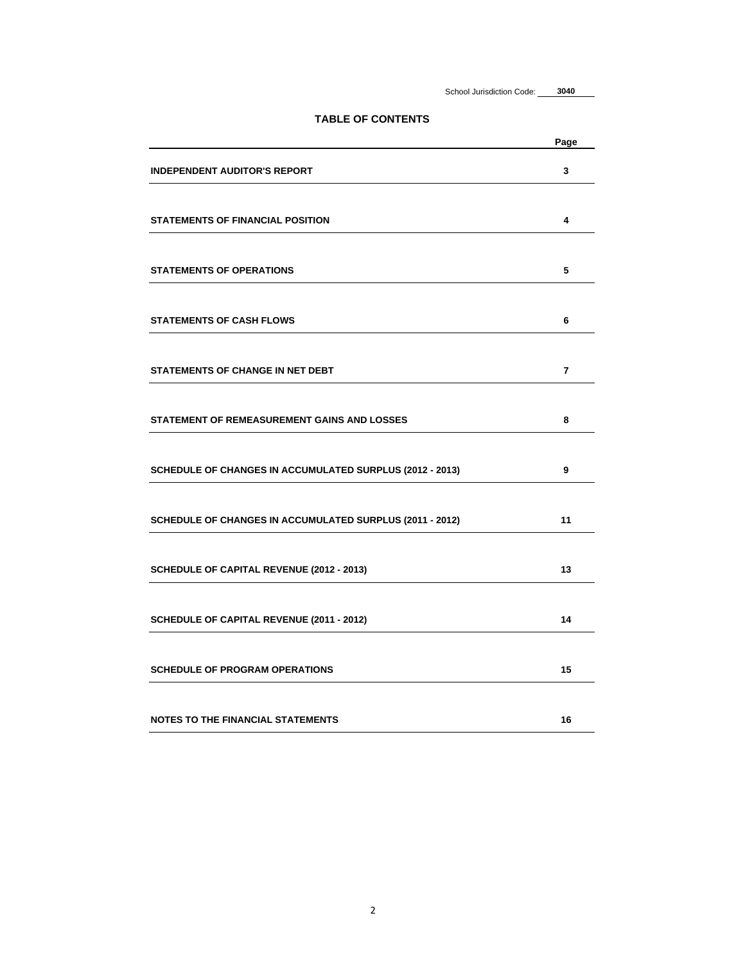#### **TABLE OF CONTENTS**

|                                                          | Page           |
|----------------------------------------------------------|----------------|
| <b>INDEPENDENT AUDITOR'S REPORT</b>                      | 3              |
| <b>STATEMENTS OF FINANCIAL POSITION</b>                  | 4              |
| <b>STATEMENTS OF OPERATIONS</b>                          | 5              |
| <b>STATEMENTS OF CASH FLOWS</b>                          | 6              |
| <b>STATEMENTS OF CHANGE IN NET DEBT</b>                  | $\overline{7}$ |
| STATEMENT OF REMEASUREMENT GAINS AND LOSSES              | 8              |
| SCHEDULE OF CHANGES IN ACCUMULATED SURPLUS (2012 - 2013) | 9              |
| SCHEDULE OF CHANGES IN ACCUMULATED SURPLUS (2011 - 2012) | 11             |
| <b>SCHEDULE OF CAPITAL REVENUE (2012 - 2013)</b>         | 13             |
| SCHEDULE OF CAPITAL REVENUE (2011 - 2012)                | 14             |
| <b>SCHEDULE OF PROGRAM OPERATIONS</b>                    | 15             |
| <b>NOTES TO THE FINANCIAL STATEMENTS</b>                 | 16             |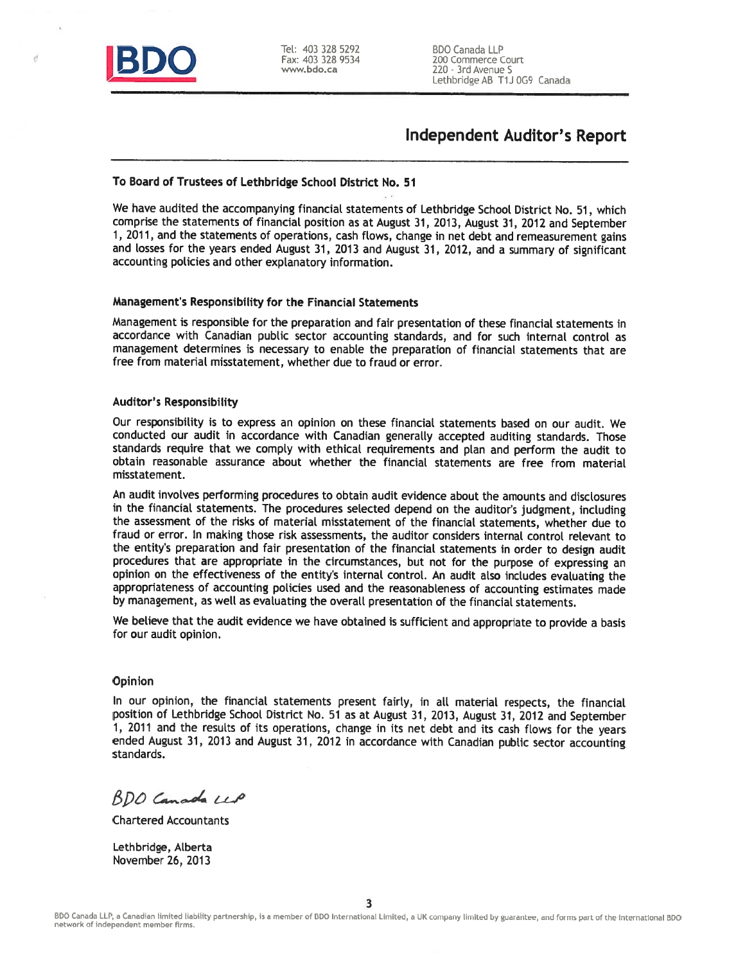

Tel: 403 328 5292 Fax: 403 328 9534 www.bdo.ca

**BDO Canada LLP** 200 Commerce Court 220 - 3rd Avenue S Lethbridge AB T1J 0G9 Canada

### Independent Auditor's Report

#### To Board of Trustees of Lethbridge School District No. 51

We have audited the accompanying financial statements of Lethbridge School District No. 51, which comprise the statements of financial position as at August 31, 2013, August 31, 2012 and September 1, 2011, and the statements of operations, cash flows, change in net debt and remeasurement gains and losses for the years ended August 31, 2013 and August 31, 2012, and a summary of significant accounting policies and other explanatory information.

#### Management's Responsibility for the Financial Statements

Management is responsible for the preparation and fair presentation of these financial statements in accordance with Canadian public sector accounting standards, and for such internal control as management determines is necessary to enable the preparation of financial statements that are free from material misstatement, whether due to fraud or error.

#### **Auditor's Responsibility**

Our responsibility is to express an opinion on these financial statements based on our audit. We conducted our audit in accordance with Canadian generally accepted auditing standards. Those standards require that we comply with ethical requirements and plan and perform the audit to obtain reasonable assurance about whether the financial statements are free from material misstatement.

An audit involves performing procedures to obtain audit evidence about the amounts and disclosures in the financial statements. The procedures selected depend on the auditor's judgment, including the assessment of the risks of material misstatement of the financial statements, whether due to fraud or error. In making those risk assessments, the auditor considers internal control relevant to the entity's preparation and fair presentation of the financial statements in order to design audit procedures that are appropriate in the circumstances, but not for the purpose of expressing an opinion on the effectiveness of the entity's internal control. An audit also includes evaluating the appropriateness of accounting policies used and the reasonableness of accounting estimates made by management, as well as evaluating the overall presentation of the financial statements.

We believe that the audit evidence we have obtained is sufficient and appropriate to provide a basis for our audit opinion.

#### Opinion

In our opinion, the financial statements present fairly, in all material respects, the financial position of Lethbridge School District No. 51 as at August 31, 2013, August 31, 2012 and September 1, 2011 and the results of its operations, change in its net debt and its cash flows for the years ended August 31, 2013 and August 31, 2012 in accordance with Canadian public sector accounting standards.

BDO Canada LLP

**Chartered Accountants** 

Lethbridge, Alberta November 26, 2013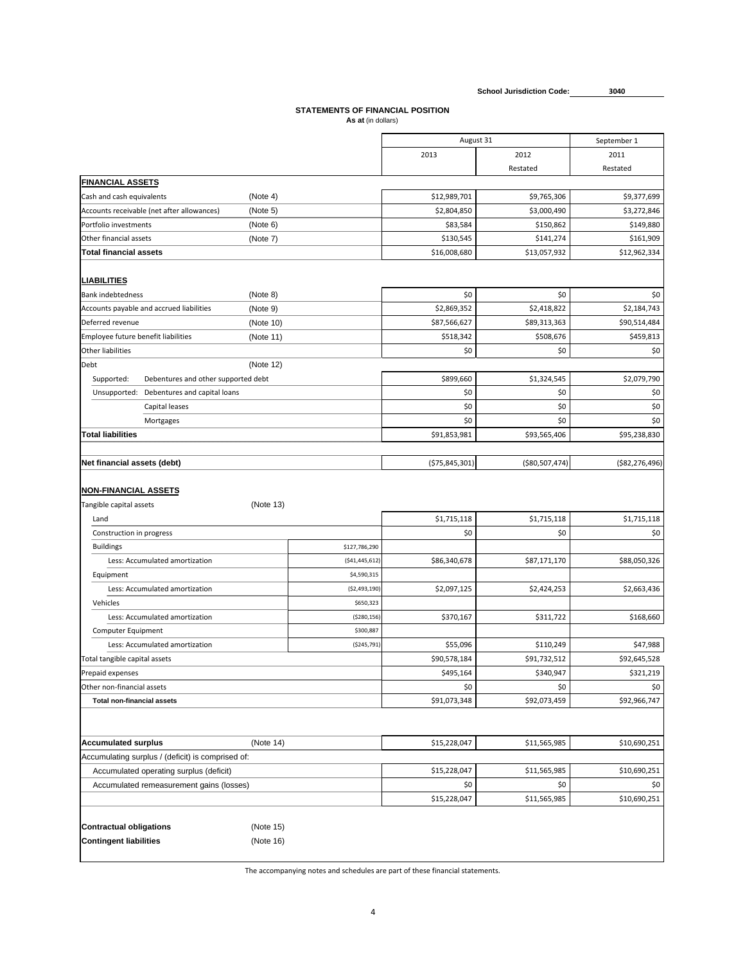**School Jurisdiction Code: 3040**

#### **STATEMENTS OF FINANCIAL POSITION**

**As at** (in dollars)

|                                                                |                 | August 31      |                   |                   |
|----------------------------------------------------------------|-----------------|----------------|-------------------|-------------------|
|                                                                |                 | 2013           | 2012              | 2011              |
|                                                                |                 |                | Restated          | Restated          |
| <b>FINANCIAL ASSETS</b>                                        |                 |                |                   |                   |
| Cash and cash equivalents                                      | (Note 4)        | \$12,989,701   | \$9,765,306       | \$9,377,699       |
| Accounts receivable (net after allowances)                     | (Note 5)        | \$2,804,850    | \$3,000,490       | \$3,272,846       |
| Portfolio investments                                          | (Note 6)        | \$83,584       | \$150,862         | \$149,880         |
| Other financial assets                                         | (Note 7)        | \$130,545      | \$141,274         | \$161,909         |
| Total financial assets                                         |                 | \$16,008,680   | \$13,057,932      | \$12,962,334      |
|                                                                |                 |                |                   |                   |
| <b>LIABILITIES</b>                                             |                 |                |                   |                   |
| <b>Bank indebtedness</b>                                       | (Note 8)        | \$0            | \$0               | \$0               |
| Accounts payable and accrued liabilities                       | (Note 9)        | \$2,869,352    | \$2,418,822       | \$2,184,743       |
| Deferred revenue                                               | (Note 10)       | \$87,566,627   | \$89,313,363      | \$90,514,484      |
| Employee future benefit liabilities                            | (Note 11)       | \$518,342      | \$508,676         | \$459,813         |
| Other liabilities                                              |                 | \$0            | \$0               | \$0               |
| Debt                                                           | (Note 12)       |                |                   |                   |
| Supported:<br>Debentures and other supported debt              |                 | \$899,660      | \$1,324,545       | \$2,079,790       |
| Unsupported:<br>Debentures and capital loans                   |                 | \$0            | \$0               | \$0               |
| Capital leases                                                 |                 | \$0            | \$0               | \$0               |
| Mortgages                                                      |                 | \$0            | \$0               | \$0               |
| <b>Total liabilities</b>                                       |                 | \$91,853,981   | \$93,565,406      | \$95,238,830      |
|                                                                |                 |                |                   |                   |
| Net financial assets (debt)                                    |                 | (\$75,845,301) | $($ \$80,507,474) | $($ \$82,276,496) |
| <b>NON-FINANCIAL ASSETS</b><br>Tangible capital assets<br>Land | (Note 13)       | \$1,715,118    | \$1,715,118       | \$1,715,118       |
| Construction in progress                                       |                 | \$0            | \$0               | \$0               |
| <b>Buildings</b>                                               | \$127,786,290   |                |                   |                   |
| Less: Accumulated amortization                                 | ( \$41,445,612] | \$86,340,678   | \$87,171,170      | \$88,050,326      |
| Equipment                                                      | \$4,590,315     |                |                   |                   |
| Less: Accumulated amortization                                 | ( \$2,493,190)  | \$2,097,125    | \$2,424,253       | \$2,663,436       |
| Vehicles                                                       | \$650,323       |                |                   |                   |
| Less: Accumulated amortization                                 | ( \$280, 156)   | \$370,167      | \$311,722         | \$168,660         |
| Computer Equipment                                             | \$300,887       |                |                   |                   |
| Less: Accumulated amortization                                 | ( \$245,791)    | \$55,096       | \$110,249         | \$47,988          |
| Total tangible capital assets                                  |                 | \$90,578,184   | \$91,732,512      | \$92,645,528      |
| Prepaid expenses                                               |                 | \$495,164      | \$340,947         | \$321,219         |
| Other non-financial assets                                     |                 | \$0            | \$0               | \$0               |
| <b>Total non-financial assets</b>                              |                 | \$91,073,348   | \$92,073,459      | \$92,966,747      |
|                                                                |                 |                |                   |                   |
| <b>Accumulated surplus</b>                                     | (Note 14)       | \$15,228,047   | \$11,565,985      | \$10,690,251      |
| Accumulating surplus / (deficit) is comprised of:              |                 |                |                   |                   |
| Accumulated operating surplus (deficit)                        |                 | \$15,228,047   | \$11,565,985      | \$10,690,251      |
| Accumulated remeasurement gains (losses)                       |                 | \$0            | \$0               | \$0               |
|                                                                |                 | \$15,228,047   | \$11,565,985      | \$10,690,251      |
| <b>Contractual obligations</b>                                 | (Note 15)       |                |                   |                   |
| <b>Contingent liabilities</b>                                  | (Note 16)       |                |                   |                   |
|                                                                |                 |                |                   |                   |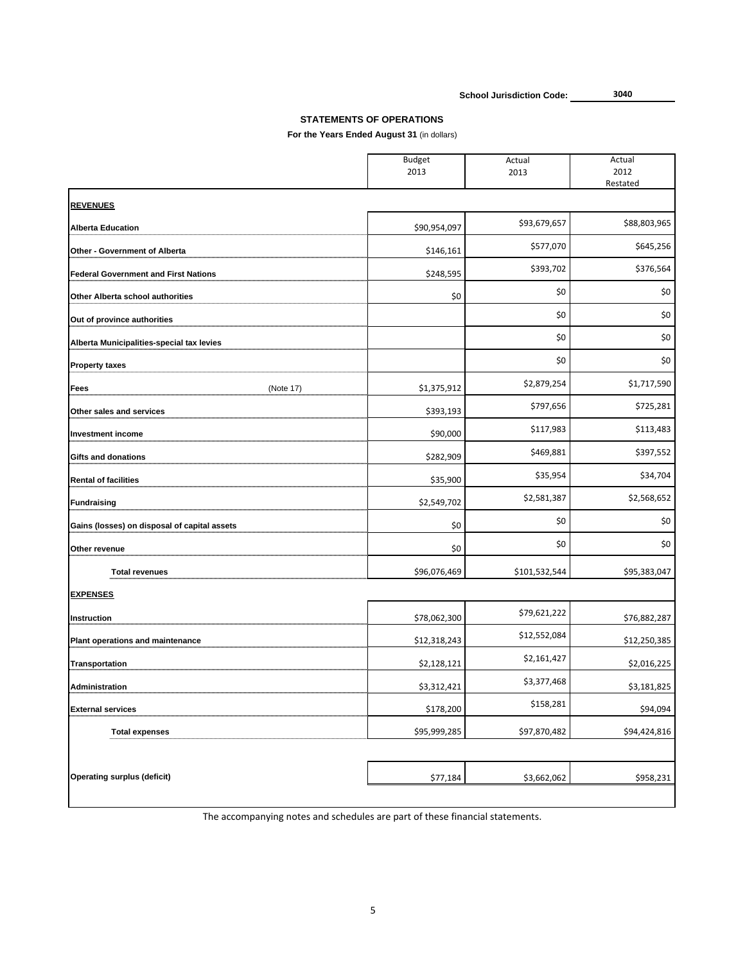**School Jurisdiction Code: 3040**

#### **STATEMENTS OF OPERATIONS**

#### **For the Years Ended August 31** (in dollars)

|                                              | <b>Budget</b><br>2013 | Actual<br>2013 | Actual<br>2012 |
|----------------------------------------------|-----------------------|----------------|----------------|
|                                              |                       |                | Restated       |
| <b>REVENUES</b>                              |                       |                |                |
| <b>Alberta Education</b>                     | \$90,954,097          | \$93,679,657   | \$88,803,965   |
| Other - Government of Alberta                | \$146,161             | \$577,070      | \$645,256      |
| <b>Federal Government and First Nations</b>  | \$248,595             | \$393,702      | \$376,564      |
| Other Alberta school authorities             | \$0                   | \$0            | \$0            |
| Out of province authorities                  |                       | \$0            | \$0            |
| Alberta Municipalities-special tax levies    |                       | \$0            | \$0            |
| <b>Property taxes</b>                        |                       | \$0            | \$0            |
| (Note 17)<br>Fees                            | \$1,375,912           | \$2,879,254    | \$1,717,590    |
| Other sales and services                     | \$393,193             | \$797,656      | \$725,281      |
| <b>Investment income</b>                     | \$90,000              | \$117,983      | \$113,483      |
| <b>Gifts and donations</b>                   | \$282,909             | \$469,881      | \$397,552      |
| <b>Rental of facilities</b>                  | \$35,900              | \$35,954       | \$34,704       |
| <b>Fundraising</b>                           | \$2,549,702           | \$2,581,387    | \$2,568,652    |
| Gains (losses) on disposal of capital assets | \$0                   | \$0            | \$0            |
| Other revenue                                | \$0                   | \$0            | \$0            |
| <b>Total revenues</b>                        | \$96,076,469          | \$101,532,544  | \$95,383,047   |
| <u>EXPENSES</u>                              |                       |                |                |
| <b>Instruction</b>                           | \$78,062,300          | \$79,621,222   | \$76,882,287   |
| Plant operations and maintenance             | \$12,318,243          | \$12,552,084   | \$12,250,385   |
| Transportation                               | \$2,128,121           | \$2,161,427    | \$2,016,225    |
| <b>Administration</b>                        | \$3,312,421           | \$3,377,468    | \$3,181,825    |
| <b>External services</b>                     | \$178,200             | \$158,281      | \$94,094       |
| <b>Total expenses</b>                        | \$95,999,285          | \$97,870,482   | \$94,424,816   |
|                                              |                       |                |                |
| <b>Operating surplus (deficit)</b>           | \$77,184              | \$3,662,062    | \$958,231      |
|                                              |                       |                |                |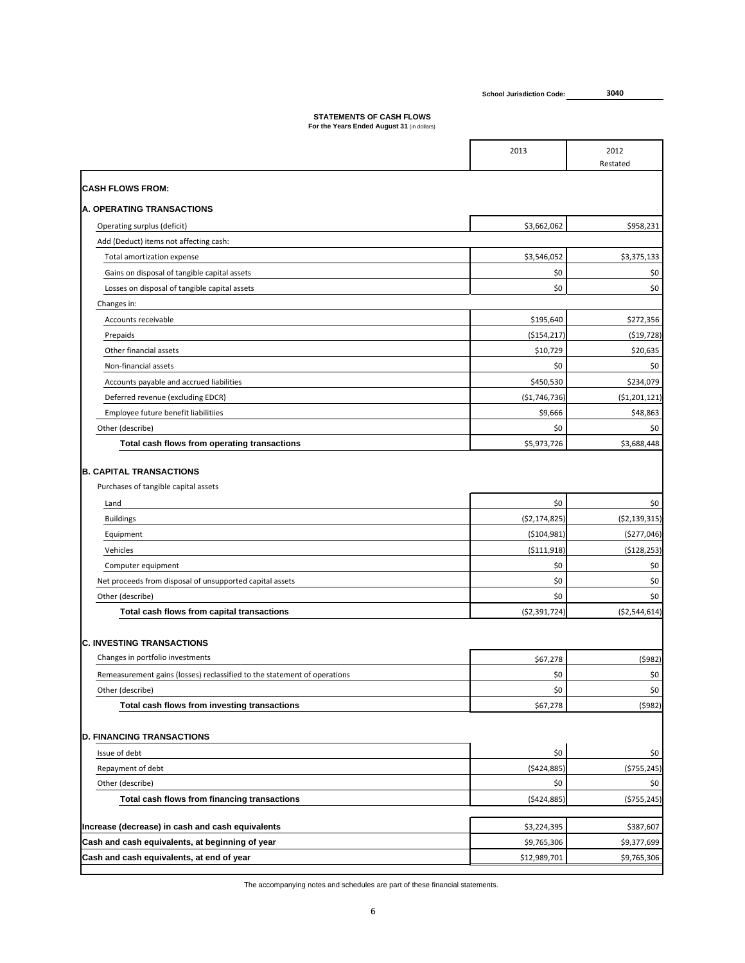#### **FOR STATEMENTS OF CASH FLOWS**<br>**For the Years Ended August 31** (in dollars)

|                                                                                | 2013           | 2012<br>Restated |
|--------------------------------------------------------------------------------|----------------|------------------|
| <b>CASH FLOWS FROM:</b>                                                        |                |                  |
| <b>A. OPERATING TRANSACTIONS</b>                                               |                |                  |
| Operating surplus (deficit)                                                    | \$3,662,062    | \$958,231        |
| Add (Deduct) items not affecting cash:                                         |                |                  |
| Total amortization expense                                                     | \$3,546,052    | \$3,375,133      |
| Gains on disposal of tangible capital assets                                   | \$0            | \$0              |
| Losses on disposal of tangible capital assets                                  | \$0            | \$0              |
| Changes in:                                                                    |                |                  |
| Accounts receivable                                                            | \$195,640      | \$272,356        |
| Prepaids                                                                       | ( \$154, 217)  | (519, 728)       |
| Other financial assets                                                         | \$10,729       | \$20,635         |
| Non-financial assets                                                           | \$0            | \$0              |
| Accounts payable and accrued liabilities                                       | \$450,530      | \$234,079        |
| Deferred revenue (excluding EDCR)                                              | (\$1,746,736)  | ( \$1,201,121)   |
| Employee future benefit liabilitiies                                           | \$9,666        | \$48.863         |
| Other (describe)                                                               | \$0            | \$0              |
| Total cash flows from operating transactions                                   | \$5,973,726    | \$3,688,448      |
| <b>B. CAPITAL TRANSACTIONS</b><br>Purchases of tangible capital assets<br>Land | \$0            | \$0              |
| <b>Buildings</b>                                                               | (\$2,174,825)  | ( \$2,139,315)   |
| Equipment                                                                      | ( \$104, 981)  | (5277,046)       |
| Vehicles                                                                       | ( \$111, 918)  | ( \$128, 253)    |
| Computer equipment                                                             | \$0            | \$0              |
| Net proceeds from disposal of unsupported capital assets                       | \$0            | \$0              |
| Other (describe)                                                               | \$0            | \$0              |
| Total cash flows from capital transactions                                     | ( \$2,391,724) | ( \$2,544,614)   |
| <b>C. INVESTING TRANSACTIONS</b>                                               |                |                  |
| Changes in portfolio investments                                               | \$67,278       | (5982)           |
| Remeasurement gains (losses) reclassified to the statement of operations       | \$0            | \$0              |
| Other (describe)                                                               | \$0            | \$0              |
| Total cash flows from investing transactions                                   | \$67,278       | (5982)           |
| <b>D. FINANCING TRANSACTIONS</b>                                               |                |                  |
| Issue of debt                                                                  | \$0            | \$0              |
| Repayment of debt                                                              | ( \$424, 885)  | ( \$755, 245)    |
| Other (describe)                                                               | \$0            | \$0              |
| Total cash flows from financing transactions                                   | ( \$424, 885)  | ( \$755, 245)    |
| Increase (decrease) in cash and cash equivalents                               | \$3,224,395    | \$387,607        |
| Cash and cash equivalents, at beginning of year                                | \$9,765,306    | \$9,377,699      |
| Cash and cash equivalents, at end of year                                      | \$12,989,701   | \$9,765,306      |
|                                                                                |                |                  |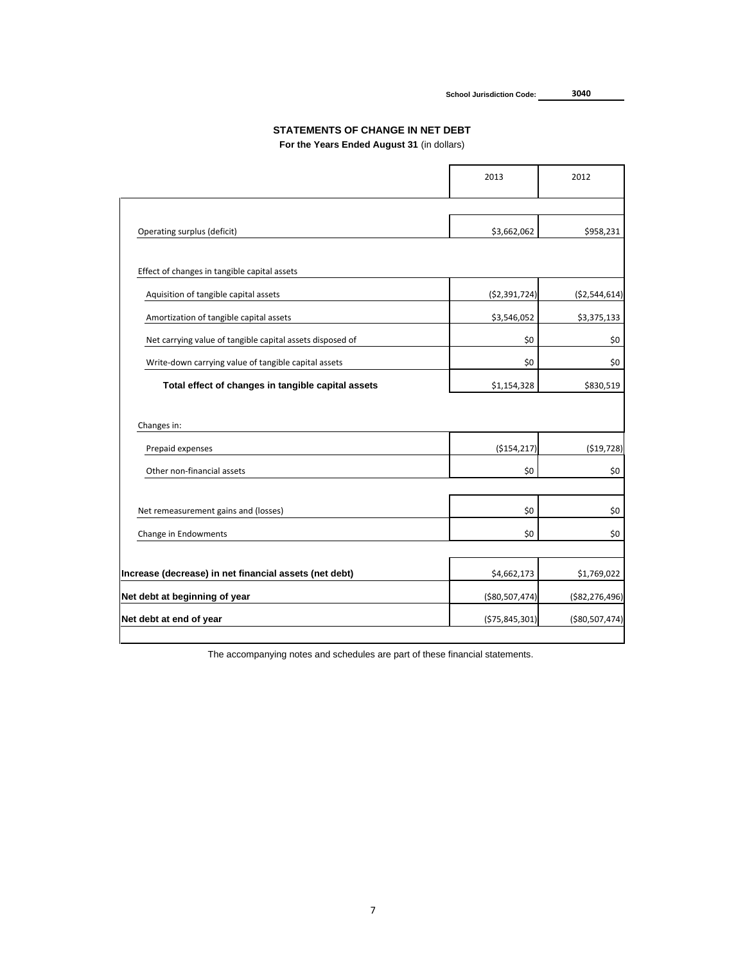#### **STATEMENTS OF CHANGE IN NET DEBT**

**For the Years Ended August 31** (in dollars)

|                                                           | 2013              | 2012              |
|-----------------------------------------------------------|-------------------|-------------------|
|                                                           |                   |                   |
| Operating surplus (deficit)                               | \$3,662,062       | \$958,231         |
| Effect of changes in tangible capital assets              |                   |                   |
| Aquisition of tangible capital assets                     | ( \$2,391,724)    | ( \$2,544,614)    |
| Amortization of tangible capital assets                   | \$3,546,052       | \$3,375,133       |
| Net carrying value of tangible capital assets disposed of | \$0               | \$0               |
| Write-down carrying value of tangible capital assets      | \$0               | \$0               |
| Total effect of changes in tangible capital assets        | \$1,154,328       | \$830,519         |
| Changes in:                                               |                   |                   |
| Prepaid expenses                                          | ( \$154, 217)     | (\$19,728)        |
| Other non-financial assets                                | \$0               | \$0               |
|                                                           |                   |                   |
| Net remeasurement gains and (losses)                      | \$0               | \$0               |
| Change in Endowments                                      | \$0               | \$0               |
| Increase (decrease) in net financial assets (net debt)    | \$4,662,173       | \$1,769,022       |
| Net debt at beginning of year                             | ( \$80,507,474)   | ( \$82, 276, 496) |
| Net debt at end of year                                   | ( \$75, 845, 301) | (\$80,507,474)    |
|                                                           |                   |                   |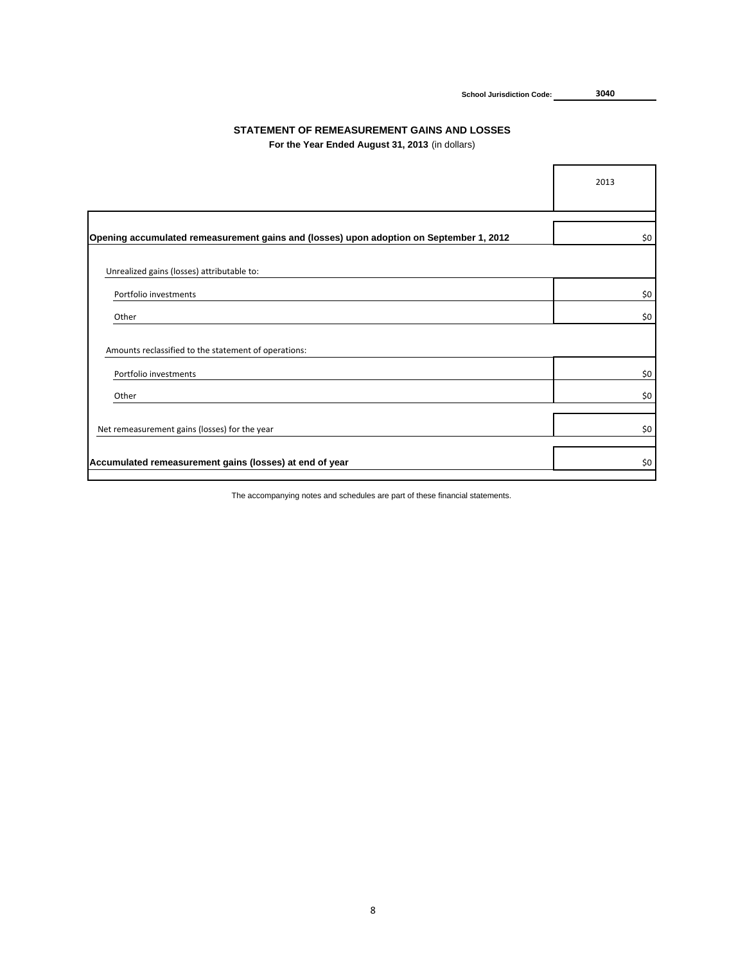#### **STATEMENT OF REMEASUREMENT GAINS AND LOSSES**

**For the Year Ended August 31, 2013** (in dollars)

|                                                                                         | 2013 |
|-----------------------------------------------------------------------------------------|------|
|                                                                                         |      |
| Opening accumulated remeasurement gains and (losses) upon adoption on September 1, 2012 | \$0  |
| Unrealized gains (losses) attributable to:                                              |      |
| Portfolio investments                                                                   | \$0  |
| Other                                                                                   | \$0  |
| Amounts reclassified to the statement of operations:                                    |      |
| Portfolio investments                                                                   | \$0  |
| Other                                                                                   | \$0  |
| Net remeasurement gains (losses) for the year                                           | \$0  |
| Accumulated remeasurement gains (losses) at end of year                                 | \$0  |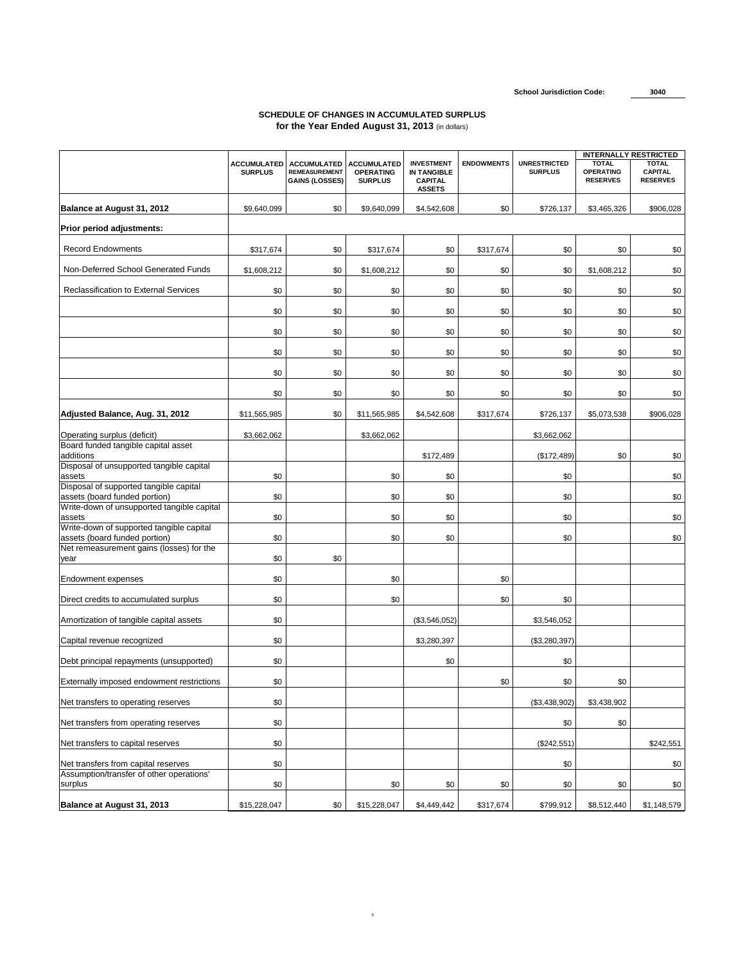**School Jurisdiction Code: 3040**

#### **SCHEDULE OF CHANGES IN ACCUMULATED SURPLUS for the Year Ended August 31, 2013** (in dollars)

|                                                                           |                                      |                                                                     |                                                          |                                                                            |                   |                                       |                                                     | <b>INTERNALLY RESTRICTED</b>                      |
|---------------------------------------------------------------------------|--------------------------------------|---------------------------------------------------------------------|----------------------------------------------------------|----------------------------------------------------------------------------|-------------------|---------------------------------------|-----------------------------------------------------|---------------------------------------------------|
|                                                                           | <b>ACCUMULATED</b><br><b>SURPLUS</b> | <b>ACCUMULATED</b><br><b>REMEASUREMENT</b><br><b>GAINS (LOSSES)</b> | <b>ACCUMULATED</b><br><b>OPERATING</b><br><b>SURPLUS</b> | <b>INVESTMENT</b><br><b>IN TANGIBLE</b><br><b>CAPITAL</b><br><b>ASSETS</b> | <b>ENDOWMENTS</b> | <b>UNRESTRICTED</b><br><b>SURPLUS</b> | <b>TOTAL</b><br><b>OPERATING</b><br><b>RESERVES</b> | <b>TOTAL</b><br><b>CAPITAL</b><br><b>RESERVES</b> |
| Balance at August 31, 2012                                                | \$9,640,099                          | \$0                                                                 | \$9,640,099                                              | \$4,542,608                                                                | \$0               | \$726,137                             | \$3,465,326                                         | \$906,028                                         |
| Prior period adjustments:                                                 |                                      |                                                                     |                                                          |                                                                            |                   |                                       |                                                     |                                                   |
| <b>Record Endowments</b>                                                  | \$317,674                            | \$0                                                                 | \$317,674                                                | \$0                                                                        | \$317,674         | \$0                                   | \$0                                                 | \$0                                               |
| Non-Deferred School Generated Funds                                       | \$1,608,212                          | \$0                                                                 | \$1,608,212                                              | \$0                                                                        | \$0               | \$0                                   | \$1,608,212                                         | \$0                                               |
| Reclassification to External Services                                     | \$0                                  | \$0                                                                 | \$0                                                      | \$0                                                                        | \$0               | \$0                                   | \$0                                                 | \$0                                               |
|                                                                           | \$0                                  | \$0                                                                 | \$0                                                      | \$0                                                                        | \$0               | \$0                                   | \$0                                                 | \$0                                               |
|                                                                           | \$0                                  | \$0                                                                 | \$0                                                      | \$0                                                                        | \$0               | \$0                                   | \$0                                                 | \$0                                               |
|                                                                           | \$0                                  | \$0                                                                 | \$0                                                      | \$0                                                                        | \$0               | \$0                                   | \$0                                                 | \$0                                               |
|                                                                           | \$0                                  | \$0                                                                 | \$0                                                      | \$0                                                                        | \$0               | \$0                                   | \$0                                                 | \$0                                               |
|                                                                           | \$0                                  | \$0                                                                 | \$0                                                      | \$0                                                                        | \$0               | \$0                                   | \$0                                                 | \$0                                               |
| Adjusted Balance, Aug. 31, 2012                                           | \$11,565,985                         | \$0                                                                 | \$11,565,985                                             | \$4,542,608                                                                | \$317,674         | \$726,137                             | \$5,073,538                                         | \$906,028                                         |
| Operating surplus (deficit)                                               | \$3,662,062                          |                                                                     | \$3,662,062                                              |                                                                            |                   | \$3,662,062                           |                                                     |                                                   |
| Board funded tangible capital asset<br>additions                          |                                      |                                                                     |                                                          | \$172,489                                                                  |                   | (\$172,489)                           | \$0                                                 | \$0                                               |
| Disposal of unsupported tangible capital<br>assets                        | \$0                                  |                                                                     | \$0                                                      | \$0                                                                        |                   | \$0                                   |                                                     | \$0                                               |
| Disposal of supported tangible capital<br>assets (board funded portion)   | \$0                                  |                                                                     | \$0                                                      | \$0                                                                        |                   | \$0                                   |                                                     | \$0                                               |
| Write-down of unsupported tangible capital<br>assets                      | \$0                                  |                                                                     | \$0                                                      | \$0                                                                        |                   | \$0                                   |                                                     | \$0                                               |
| Write-down of supported tangible capital<br>assets (board funded portion) | \$0                                  |                                                                     | \$0                                                      | \$0                                                                        |                   | \$0                                   |                                                     | \$0                                               |
| Net remeasurement gains (losses) for the<br>year                          | \$0                                  | \$0                                                                 |                                                          |                                                                            |                   |                                       |                                                     |                                                   |
| <b>Endowment expenses</b>                                                 | \$0                                  |                                                                     | \$0                                                      |                                                                            | \$0               |                                       |                                                     |                                                   |
| Direct credits to accumulated surplus                                     | \$0                                  |                                                                     | \$0                                                      |                                                                            | \$0               | \$0                                   |                                                     |                                                   |
| Amortization of tangible capital assets                                   | \$0                                  |                                                                     |                                                          | (\$3,546,052)                                                              |                   | \$3,546,052                           |                                                     |                                                   |
| Capital revenue recognized                                                | \$0                                  |                                                                     |                                                          | \$3,280,397                                                                |                   | (\$3,280,397)                         |                                                     |                                                   |
| Debt principal repayments (unsupported)                                   | \$0                                  |                                                                     |                                                          | \$0                                                                        |                   | \$0                                   |                                                     |                                                   |
| Externally imposed endowment restrictions                                 | \$0                                  |                                                                     |                                                          |                                                                            | \$0               | \$0                                   | \$0                                                 |                                                   |
| Net transfers to operating reserves                                       | \$0                                  |                                                                     |                                                          |                                                                            |                   | (\$3,438,902)                         | \$3,438,902                                         |                                                   |
| Net transfers from operating reserves                                     | \$0                                  |                                                                     |                                                          |                                                                            |                   | \$0                                   | \$0                                                 |                                                   |
| Net transfers to capital reserves                                         | \$0                                  |                                                                     |                                                          |                                                                            |                   | (\$242,551)                           |                                                     | \$242,551                                         |
| Net transfers from capital reserves                                       | \$0                                  |                                                                     |                                                          |                                                                            |                   | \$0                                   |                                                     | \$0                                               |
| Assumption/transfer of other operations'<br>surplus                       | \$0                                  |                                                                     | \$0                                                      | \$0                                                                        | \$0               | \$0                                   | \$0                                                 | \$0                                               |
| Balance at August 31, 2013                                                | \$15,228,047                         | \$0                                                                 | \$15,228,047                                             | \$4,449,442                                                                | \$317,674         | \$799,912                             | \$8,512,440                                         | \$1,148,579                                       |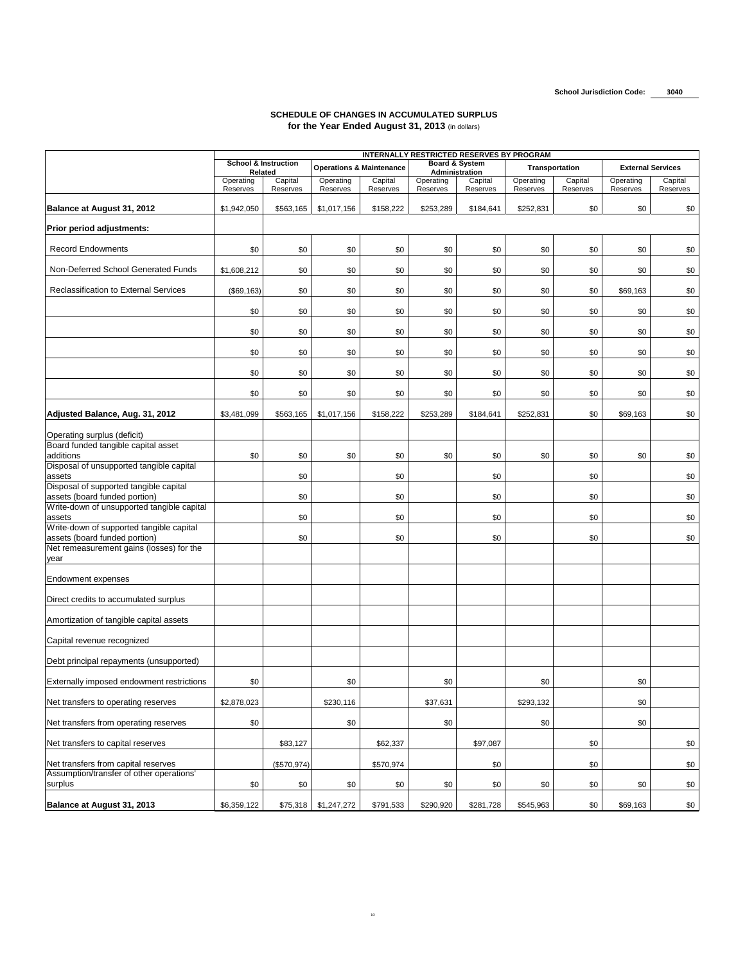#### **SCHEDULE OF CHANGES IN ACCUMULATED SURPLUS for the Year Ended August 31, 2013** (in dollars)

| <b>School &amp; Instruction</b><br>Board & System<br><b>Operations &amp; Maintenance</b><br><b>External Services</b><br>Transportation<br>Administration<br>Related<br>Operating<br>Operating<br>Capital<br>Operating<br>Operating<br>Capital<br>Operating<br>Capital<br>Capital<br>Capital<br>Reserves<br>Reserves<br>Reserves<br>Reserves<br>Reserves<br>Reserves<br>Reserves<br>Reserves<br>Reserves<br>Reserves<br>\$0<br>\$0<br>Balance at August 31, 2012<br>\$253,289<br>\$252,831<br>\$0<br>\$1,942,050<br>\$563,165<br>\$1,017,156<br>\$158,222<br>\$184,641<br>Prior period adjustments:<br><b>Record Endowments</b><br>\$0<br>\$0<br>\$0<br>\$0<br>\$0<br>\$0<br>\$0<br>\$0<br>\$0<br>\$0<br>Non-Deferred School Generated Funds<br>\$1,608,212<br>\$0<br>\$0<br>\$0<br>\$0<br>\$0<br>\$0<br>\$0<br>\$0<br>\$0<br><b>Reclassification to External Services</b><br>\$0<br>\$0<br>\$0<br>\$0<br>\$0<br>(\$69, 163)<br>\$0<br>\$0<br>\$69,163<br>\$0<br>\$0<br>\$0<br>\$0<br>\$0<br>\$0<br>\$0<br>\$0<br>\$0<br>\$0<br>\$0<br>\$0<br>\$0<br>\$0<br>\$0<br>\$0<br>\$0<br>\$0<br>\$0<br>\$0<br>\$0<br>\$0<br>\$0<br>\$0<br>\$0<br>\$0<br>\$0<br>\$0<br>\$0<br>\$0<br>\$0<br>\$0<br>\$0<br>\$0<br>\$0<br>\$0<br>\$0<br>\$0<br>\$0<br>\$0<br>\$0<br>\$0<br>\$0<br>\$0<br>\$0<br>\$0<br>\$0<br>\$0<br>\$0<br>\$0<br>\$0<br>Adjusted Balance, Aug. 31, 2012<br>\$3,481,099<br>\$563,165<br>\$1,017,156<br>\$158,222<br>\$253,289<br>\$184,641<br>\$252,831<br>\$0<br>\$69,163<br>\$0<br>Operating surplus (deficit)<br>Board funded tangible capital asset<br>additions<br>\$0<br>\$0<br>\$0<br>\$0<br>\$0<br>\$0<br>\$0<br>\$0<br>\$0<br>\$0<br>Disposal of unsupported tangible capital<br>\$0<br>\$0<br>assets<br>\$0<br>\$0<br>\$0<br>Disposal of supported tangible capital<br>assets (board funded portion)<br>\$0<br>\$0<br>\$0<br>\$0<br>\$0<br>Write-down of unsupported tangible capital<br>\$0<br>assets<br>\$0<br>\$0<br>\$0<br>\$0<br>Write-down of supported tangible capital<br>assets (board funded portion)<br>\$0<br>\$0<br>\$0<br>\$0<br>\$0<br>Net remeasurement gains (losses) for the<br>year<br><b>Endowment expenses</b><br>Direct credits to accumulated surplus<br>Amortization of tangible capital assets<br>Capital revenue recognized<br>Debt principal repayments (unsupported)<br>Externally imposed endowment restrictions<br>\$0<br>\$0<br>\$0<br>\$0<br>\$0<br>\$2,878,023<br>\$230,116<br>\$37,631<br>\$293,132<br>\$0 |                                     | <b>INTERNALLY RESTRICTED RESERVES BY PROGRAM</b> |  |  |  |  |  |  |  |  |  |  |
|-------------------------------------------------------------------------------------------------------------------------------------------------------------------------------------------------------------------------------------------------------------------------------------------------------------------------------------------------------------------------------------------------------------------------------------------------------------------------------------------------------------------------------------------------------------------------------------------------------------------------------------------------------------------------------------------------------------------------------------------------------------------------------------------------------------------------------------------------------------------------------------------------------------------------------------------------------------------------------------------------------------------------------------------------------------------------------------------------------------------------------------------------------------------------------------------------------------------------------------------------------------------------------------------------------------------------------------------------------------------------------------------------------------------------------------------------------------------------------------------------------------------------------------------------------------------------------------------------------------------------------------------------------------------------------------------------------------------------------------------------------------------------------------------------------------------------------------------------------------------------------------------------------------------------------------------------------------------------------------------------------------------------------------------------------------------------------------------------------------------------------------------------------------------------------------------------------------------------------------------------------------------------------------------------------------------------------------------------------------------------------------------------------------------------------------------------------------|-------------------------------------|--------------------------------------------------|--|--|--|--|--|--|--|--|--|--|
|                                                                                                                                                                                                                                                                                                                                                                                                                                                                                                                                                                                                                                                                                                                                                                                                                                                                                                                                                                                                                                                                                                                                                                                                                                                                                                                                                                                                                                                                                                                                                                                                                                                                                                                                                                                                                                                                                                                                                                                                                                                                                                                                                                                                                                                                                                                                                                                                                                                             |                                     |                                                  |  |  |  |  |  |  |  |  |  |  |
|                                                                                                                                                                                                                                                                                                                                                                                                                                                                                                                                                                                                                                                                                                                                                                                                                                                                                                                                                                                                                                                                                                                                                                                                                                                                                                                                                                                                                                                                                                                                                                                                                                                                                                                                                                                                                                                                                                                                                                                                                                                                                                                                                                                                                                                                                                                                                                                                                                                             |                                     |                                                  |  |  |  |  |  |  |  |  |  |  |
|                                                                                                                                                                                                                                                                                                                                                                                                                                                                                                                                                                                                                                                                                                                                                                                                                                                                                                                                                                                                                                                                                                                                                                                                                                                                                                                                                                                                                                                                                                                                                                                                                                                                                                                                                                                                                                                                                                                                                                                                                                                                                                                                                                                                                                                                                                                                                                                                                                                             |                                     |                                                  |  |  |  |  |  |  |  |  |  |  |
|                                                                                                                                                                                                                                                                                                                                                                                                                                                                                                                                                                                                                                                                                                                                                                                                                                                                                                                                                                                                                                                                                                                                                                                                                                                                                                                                                                                                                                                                                                                                                                                                                                                                                                                                                                                                                                                                                                                                                                                                                                                                                                                                                                                                                                                                                                                                                                                                                                                             |                                     |                                                  |  |  |  |  |  |  |  |  |  |  |
|                                                                                                                                                                                                                                                                                                                                                                                                                                                                                                                                                                                                                                                                                                                                                                                                                                                                                                                                                                                                                                                                                                                                                                                                                                                                                                                                                                                                                                                                                                                                                                                                                                                                                                                                                                                                                                                                                                                                                                                                                                                                                                                                                                                                                                                                                                                                                                                                                                                             |                                     |                                                  |  |  |  |  |  |  |  |  |  |  |
|                                                                                                                                                                                                                                                                                                                                                                                                                                                                                                                                                                                                                                                                                                                                                                                                                                                                                                                                                                                                                                                                                                                                                                                                                                                                                                                                                                                                                                                                                                                                                                                                                                                                                                                                                                                                                                                                                                                                                                                                                                                                                                                                                                                                                                                                                                                                                                                                                                                             |                                     |                                                  |  |  |  |  |  |  |  |  |  |  |
|                                                                                                                                                                                                                                                                                                                                                                                                                                                                                                                                                                                                                                                                                                                                                                                                                                                                                                                                                                                                                                                                                                                                                                                                                                                                                                                                                                                                                                                                                                                                                                                                                                                                                                                                                                                                                                                                                                                                                                                                                                                                                                                                                                                                                                                                                                                                                                                                                                                             |                                     |                                                  |  |  |  |  |  |  |  |  |  |  |
|                                                                                                                                                                                                                                                                                                                                                                                                                                                                                                                                                                                                                                                                                                                                                                                                                                                                                                                                                                                                                                                                                                                                                                                                                                                                                                                                                                                                                                                                                                                                                                                                                                                                                                                                                                                                                                                                                                                                                                                                                                                                                                                                                                                                                                                                                                                                                                                                                                                             |                                     |                                                  |  |  |  |  |  |  |  |  |  |  |
|                                                                                                                                                                                                                                                                                                                                                                                                                                                                                                                                                                                                                                                                                                                                                                                                                                                                                                                                                                                                                                                                                                                                                                                                                                                                                                                                                                                                                                                                                                                                                                                                                                                                                                                                                                                                                                                                                                                                                                                                                                                                                                                                                                                                                                                                                                                                                                                                                                                             |                                     |                                                  |  |  |  |  |  |  |  |  |  |  |
|                                                                                                                                                                                                                                                                                                                                                                                                                                                                                                                                                                                                                                                                                                                                                                                                                                                                                                                                                                                                                                                                                                                                                                                                                                                                                                                                                                                                                                                                                                                                                                                                                                                                                                                                                                                                                                                                                                                                                                                                                                                                                                                                                                                                                                                                                                                                                                                                                                                             |                                     |                                                  |  |  |  |  |  |  |  |  |  |  |
|                                                                                                                                                                                                                                                                                                                                                                                                                                                                                                                                                                                                                                                                                                                                                                                                                                                                                                                                                                                                                                                                                                                                                                                                                                                                                                                                                                                                                                                                                                                                                                                                                                                                                                                                                                                                                                                                                                                                                                                                                                                                                                                                                                                                                                                                                                                                                                                                                                                             |                                     |                                                  |  |  |  |  |  |  |  |  |  |  |
|                                                                                                                                                                                                                                                                                                                                                                                                                                                                                                                                                                                                                                                                                                                                                                                                                                                                                                                                                                                                                                                                                                                                                                                                                                                                                                                                                                                                                                                                                                                                                                                                                                                                                                                                                                                                                                                                                                                                                                                                                                                                                                                                                                                                                                                                                                                                                                                                                                                             |                                     |                                                  |  |  |  |  |  |  |  |  |  |  |
|                                                                                                                                                                                                                                                                                                                                                                                                                                                                                                                                                                                                                                                                                                                                                                                                                                                                                                                                                                                                                                                                                                                                                                                                                                                                                                                                                                                                                                                                                                                                                                                                                                                                                                                                                                                                                                                                                                                                                                                                                                                                                                                                                                                                                                                                                                                                                                                                                                                             |                                     |                                                  |  |  |  |  |  |  |  |  |  |  |
|                                                                                                                                                                                                                                                                                                                                                                                                                                                                                                                                                                                                                                                                                                                                                                                                                                                                                                                                                                                                                                                                                                                                                                                                                                                                                                                                                                                                                                                                                                                                                                                                                                                                                                                                                                                                                                                                                                                                                                                                                                                                                                                                                                                                                                                                                                                                                                                                                                                             |                                     |                                                  |  |  |  |  |  |  |  |  |  |  |
|                                                                                                                                                                                                                                                                                                                                                                                                                                                                                                                                                                                                                                                                                                                                                                                                                                                                                                                                                                                                                                                                                                                                                                                                                                                                                                                                                                                                                                                                                                                                                                                                                                                                                                                                                                                                                                                                                                                                                                                                                                                                                                                                                                                                                                                                                                                                                                                                                                                             |                                     |                                                  |  |  |  |  |  |  |  |  |  |  |
|                                                                                                                                                                                                                                                                                                                                                                                                                                                                                                                                                                                                                                                                                                                                                                                                                                                                                                                                                                                                                                                                                                                                                                                                                                                                                                                                                                                                                                                                                                                                                                                                                                                                                                                                                                                                                                                                                                                                                                                                                                                                                                                                                                                                                                                                                                                                                                                                                                                             |                                     |                                                  |  |  |  |  |  |  |  |  |  |  |
|                                                                                                                                                                                                                                                                                                                                                                                                                                                                                                                                                                                                                                                                                                                                                                                                                                                                                                                                                                                                                                                                                                                                                                                                                                                                                                                                                                                                                                                                                                                                                                                                                                                                                                                                                                                                                                                                                                                                                                                                                                                                                                                                                                                                                                                                                                                                                                                                                                                             |                                     |                                                  |  |  |  |  |  |  |  |  |  |  |
|                                                                                                                                                                                                                                                                                                                                                                                                                                                                                                                                                                                                                                                                                                                                                                                                                                                                                                                                                                                                                                                                                                                                                                                                                                                                                                                                                                                                                                                                                                                                                                                                                                                                                                                                                                                                                                                                                                                                                                                                                                                                                                                                                                                                                                                                                                                                                                                                                                                             |                                     |                                                  |  |  |  |  |  |  |  |  |  |  |
|                                                                                                                                                                                                                                                                                                                                                                                                                                                                                                                                                                                                                                                                                                                                                                                                                                                                                                                                                                                                                                                                                                                                                                                                                                                                                                                                                                                                                                                                                                                                                                                                                                                                                                                                                                                                                                                                                                                                                                                                                                                                                                                                                                                                                                                                                                                                                                                                                                                             |                                     |                                                  |  |  |  |  |  |  |  |  |  |  |
|                                                                                                                                                                                                                                                                                                                                                                                                                                                                                                                                                                                                                                                                                                                                                                                                                                                                                                                                                                                                                                                                                                                                                                                                                                                                                                                                                                                                                                                                                                                                                                                                                                                                                                                                                                                                                                                                                                                                                                                                                                                                                                                                                                                                                                                                                                                                                                                                                                                             |                                     |                                                  |  |  |  |  |  |  |  |  |  |  |
|                                                                                                                                                                                                                                                                                                                                                                                                                                                                                                                                                                                                                                                                                                                                                                                                                                                                                                                                                                                                                                                                                                                                                                                                                                                                                                                                                                                                                                                                                                                                                                                                                                                                                                                                                                                                                                                                                                                                                                                                                                                                                                                                                                                                                                                                                                                                                                                                                                                             |                                     |                                                  |  |  |  |  |  |  |  |  |  |  |
|                                                                                                                                                                                                                                                                                                                                                                                                                                                                                                                                                                                                                                                                                                                                                                                                                                                                                                                                                                                                                                                                                                                                                                                                                                                                                                                                                                                                                                                                                                                                                                                                                                                                                                                                                                                                                                                                                                                                                                                                                                                                                                                                                                                                                                                                                                                                                                                                                                                             |                                     |                                                  |  |  |  |  |  |  |  |  |  |  |
|                                                                                                                                                                                                                                                                                                                                                                                                                                                                                                                                                                                                                                                                                                                                                                                                                                                                                                                                                                                                                                                                                                                                                                                                                                                                                                                                                                                                                                                                                                                                                                                                                                                                                                                                                                                                                                                                                                                                                                                                                                                                                                                                                                                                                                                                                                                                                                                                                                                             |                                     |                                                  |  |  |  |  |  |  |  |  |  |  |
|                                                                                                                                                                                                                                                                                                                                                                                                                                                                                                                                                                                                                                                                                                                                                                                                                                                                                                                                                                                                                                                                                                                                                                                                                                                                                                                                                                                                                                                                                                                                                                                                                                                                                                                                                                                                                                                                                                                                                                                                                                                                                                                                                                                                                                                                                                                                                                                                                                                             |                                     |                                                  |  |  |  |  |  |  |  |  |  |  |
|                                                                                                                                                                                                                                                                                                                                                                                                                                                                                                                                                                                                                                                                                                                                                                                                                                                                                                                                                                                                                                                                                                                                                                                                                                                                                                                                                                                                                                                                                                                                                                                                                                                                                                                                                                                                                                                                                                                                                                                                                                                                                                                                                                                                                                                                                                                                                                                                                                                             |                                     |                                                  |  |  |  |  |  |  |  |  |  |  |
|                                                                                                                                                                                                                                                                                                                                                                                                                                                                                                                                                                                                                                                                                                                                                                                                                                                                                                                                                                                                                                                                                                                                                                                                                                                                                                                                                                                                                                                                                                                                                                                                                                                                                                                                                                                                                                                                                                                                                                                                                                                                                                                                                                                                                                                                                                                                                                                                                                                             |                                     |                                                  |  |  |  |  |  |  |  |  |  |  |
|                                                                                                                                                                                                                                                                                                                                                                                                                                                                                                                                                                                                                                                                                                                                                                                                                                                                                                                                                                                                                                                                                                                                                                                                                                                                                                                                                                                                                                                                                                                                                                                                                                                                                                                                                                                                                                                                                                                                                                                                                                                                                                                                                                                                                                                                                                                                                                                                                                                             |                                     |                                                  |  |  |  |  |  |  |  |  |  |  |
|                                                                                                                                                                                                                                                                                                                                                                                                                                                                                                                                                                                                                                                                                                                                                                                                                                                                                                                                                                                                                                                                                                                                                                                                                                                                                                                                                                                                                                                                                                                                                                                                                                                                                                                                                                                                                                                                                                                                                                                                                                                                                                                                                                                                                                                                                                                                                                                                                                                             |                                     |                                                  |  |  |  |  |  |  |  |  |  |  |
|                                                                                                                                                                                                                                                                                                                                                                                                                                                                                                                                                                                                                                                                                                                                                                                                                                                                                                                                                                                                                                                                                                                                                                                                                                                                                                                                                                                                                                                                                                                                                                                                                                                                                                                                                                                                                                                                                                                                                                                                                                                                                                                                                                                                                                                                                                                                                                                                                                                             | Net transfers to operating reserves |                                                  |  |  |  |  |  |  |  |  |  |  |
| Net transfers from operating reserves<br>\$0<br>\$0<br>\$0<br>\$0<br>\$0                                                                                                                                                                                                                                                                                                                                                                                                                                                                                                                                                                                                                                                                                                                                                                                                                                                                                                                                                                                                                                                                                                                                                                                                                                                                                                                                                                                                                                                                                                                                                                                                                                                                                                                                                                                                                                                                                                                                                                                                                                                                                                                                                                                                                                                                                                                                                                                    |                                     |                                                  |  |  |  |  |  |  |  |  |  |  |
| Net transfers to capital reserves<br>\$62,337<br>\$97,087<br>\$0<br>\$83,127<br>\$0                                                                                                                                                                                                                                                                                                                                                                                                                                                                                                                                                                                                                                                                                                                                                                                                                                                                                                                                                                                                                                                                                                                                                                                                                                                                                                                                                                                                                                                                                                                                                                                                                                                                                                                                                                                                                                                                                                                                                                                                                                                                                                                                                                                                                                                                                                                                                                         |                                     |                                                  |  |  |  |  |  |  |  |  |  |  |
| Net transfers from capital reserves<br>(\$570,974)<br>\$570,974<br>\$0<br>\$0<br>\$0                                                                                                                                                                                                                                                                                                                                                                                                                                                                                                                                                                                                                                                                                                                                                                                                                                                                                                                                                                                                                                                                                                                                                                                                                                                                                                                                                                                                                                                                                                                                                                                                                                                                                                                                                                                                                                                                                                                                                                                                                                                                                                                                                                                                                                                                                                                                                                        |                                     |                                                  |  |  |  |  |  |  |  |  |  |  |
| Assumption/transfer of other operations'<br>surplus<br>\$0<br>\$0<br>\$0<br>\$0<br>\$0<br>\$0<br>\$0<br>\$0<br>\$0<br>\$0                                                                                                                                                                                                                                                                                                                                                                                                                                                                                                                                                                                                                                                                                                                                                                                                                                                                                                                                                                                                                                                                                                                                                                                                                                                                                                                                                                                                                                                                                                                                                                                                                                                                                                                                                                                                                                                                                                                                                                                                                                                                                                                                                                                                                                                                                                                                   |                                     |                                                  |  |  |  |  |  |  |  |  |  |  |
| \$791,533<br>\$290,920<br>\$0<br>\$69,163<br>\$0<br>\$6,359,122<br>\$75,318 \$1,247,272<br>\$281,728<br>\$545,963                                                                                                                                                                                                                                                                                                                                                                                                                                                                                                                                                                                                                                                                                                                                                                                                                                                                                                                                                                                                                                                                                                                                                                                                                                                                                                                                                                                                                                                                                                                                                                                                                                                                                                                                                                                                                                                                                                                                                                                                                                                                                                                                                                                                                                                                                                                                           | Balance at August 31, 2013          |                                                  |  |  |  |  |  |  |  |  |  |  |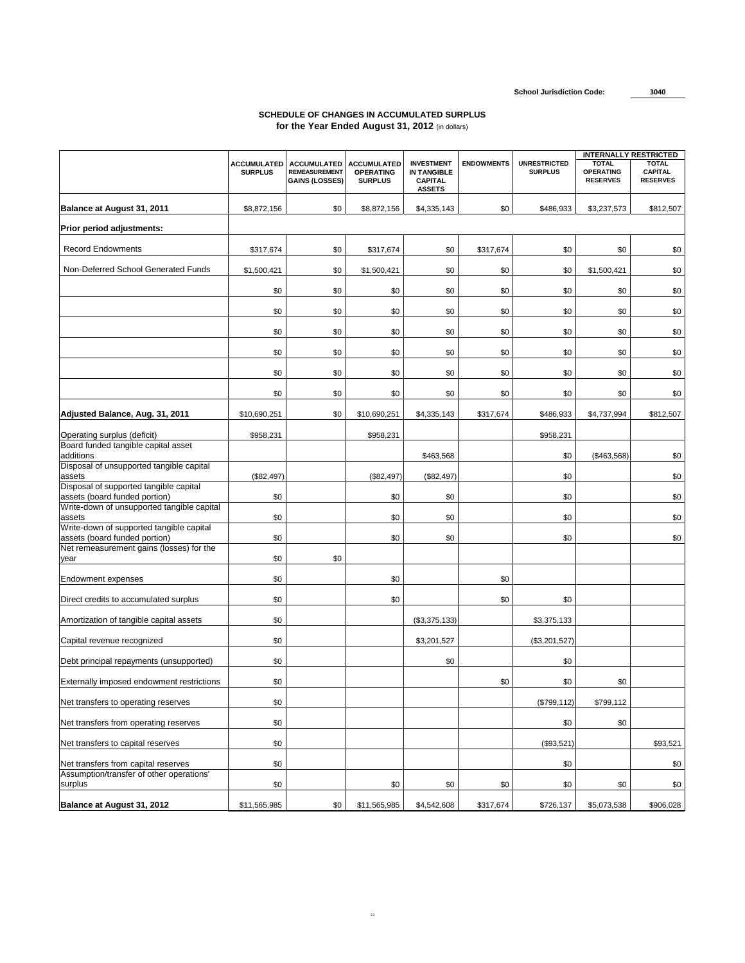**School Jurisdiction Code: 3040**

#### **SCHEDULE OF CHANGES IN ACCUMULATED SURPLUS for the Year Ended August 31, 2012** (in dollars)

|                                                                           |                                      |                                                                     |                                                          |                                                                     |                   |                                       |                                                     | <b>INTERNALLY RESTRICTED</b>                      |
|---------------------------------------------------------------------------|--------------------------------------|---------------------------------------------------------------------|----------------------------------------------------------|---------------------------------------------------------------------|-------------------|---------------------------------------|-----------------------------------------------------|---------------------------------------------------|
|                                                                           | <b>ACCUMULATED</b><br><b>SURPLUS</b> | <b>ACCUMULATED</b><br><b>REMEASUREMENT</b><br><b>GAINS (LOSSES)</b> | <b>ACCUMULATED</b><br><b>OPERATING</b><br><b>SURPLUS</b> | <b>INVESTMENT</b><br>IN TANGIBLE<br><b>CAPITAL</b><br><b>ASSETS</b> | <b>ENDOWMENTS</b> | <b>UNRESTRICTED</b><br><b>SURPLUS</b> | <b>TOTAL</b><br><b>OPERATING</b><br><b>RESERVES</b> | <b>TOTAL</b><br><b>CAPITAL</b><br><b>RESERVES</b> |
| Balance at August 31, 2011                                                | \$8,872,156                          | \$0                                                                 | \$8,872,156                                              | \$4,335,143                                                         | \$0               | \$486,933                             | \$3,237,573                                         | \$812,507                                         |
| Prior period adjustments:                                                 |                                      |                                                                     |                                                          |                                                                     |                   |                                       |                                                     |                                                   |
| <b>Record Endowments</b>                                                  | \$317,674                            | \$0                                                                 | \$317,674                                                | \$0                                                                 | \$317,674         | \$0                                   | \$0                                                 | \$0                                               |
| Non-Deferred School Generated Funds                                       | \$1,500,421                          | \$0                                                                 | \$1,500,421                                              | \$0                                                                 | \$0               | \$0                                   | \$1,500,421                                         | \$0                                               |
|                                                                           | \$0                                  | \$0                                                                 | \$0                                                      | \$0                                                                 | \$0               | \$0                                   | \$0                                                 | \$0                                               |
|                                                                           | \$0                                  | \$0                                                                 | \$0                                                      | \$0                                                                 | \$0               | \$0                                   | \$0                                                 | \$0                                               |
|                                                                           | \$0                                  | \$0                                                                 | \$0                                                      | \$0                                                                 | \$0               | \$0                                   | \$0                                                 | \$0                                               |
|                                                                           | \$0                                  | \$0                                                                 | \$0                                                      | \$0                                                                 | \$0               | \$0                                   | \$0                                                 | \$0                                               |
|                                                                           | \$0                                  | \$0                                                                 | \$0                                                      | \$0                                                                 | \$0               | \$0                                   | \$0                                                 | \$0                                               |
|                                                                           | \$0                                  | \$0                                                                 | \$0                                                      | \$0                                                                 | \$0               | \$0                                   | \$0                                                 | \$0                                               |
| Adjusted Balance, Aug. 31, 2011                                           | \$10,690,251                         | \$0                                                                 | \$10,690,251                                             | \$4,335,143                                                         | \$317,674         | \$486,933                             | \$4,737,994                                         | \$812,507                                         |
| Operating surplus (deficit)                                               | \$958,231                            |                                                                     | \$958,231                                                |                                                                     |                   | \$958,231                             |                                                     |                                                   |
| Board funded tangible capital asset<br>additions                          |                                      |                                                                     |                                                          | \$463,568                                                           |                   | \$0                                   | (\$463,568)                                         | \$0                                               |
| Disposal of unsupported tangible capital<br>assets                        | (\$82,497)                           |                                                                     | (\$82,497)                                               | (\$82,497)                                                          |                   | \$0                                   |                                                     | \$0                                               |
| Disposal of supported tangible capital<br>assets (board funded portion)   | \$0                                  |                                                                     | \$0                                                      | \$0                                                                 |                   | \$0                                   |                                                     | \$0                                               |
| Write-down of unsupported tangible capital<br>assets                      | \$0                                  |                                                                     | \$0                                                      | \$0                                                                 |                   | \$0                                   |                                                     | \$0                                               |
| Write-down of supported tangible capital<br>assets (board funded portion) | \$0                                  |                                                                     | \$0                                                      | \$0                                                                 |                   | \$0                                   |                                                     | \$0                                               |
| Net remeasurement gains (losses) for the<br>year                          | \$0                                  | \$0                                                                 |                                                          |                                                                     |                   |                                       |                                                     |                                                   |
| Endowment expenses                                                        | \$0                                  |                                                                     | \$0                                                      |                                                                     | \$0               |                                       |                                                     |                                                   |
| Direct credits to accumulated surplus                                     | \$0                                  |                                                                     | \$0                                                      |                                                                     | \$0               | \$0                                   |                                                     |                                                   |
| Amortization of tangible capital assets                                   | \$0                                  |                                                                     |                                                          | (\$3,375,133)                                                       |                   | \$3,375,133                           |                                                     |                                                   |
| Capital revenue recognized                                                | \$0                                  |                                                                     |                                                          | \$3,201,527                                                         |                   | (\$3,201,527)                         |                                                     |                                                   |
| Debt principal repayments (unsupported)                                   | \$0                                  |                                                                     |                                                          | \$0                                                                 |                   | \$0                                   |                                                     |                                                   |
| Externally imposed endowment restrictions                                 | \$0                                  |                                                                     |                                                          |                                                                     | \$0               | \$0                                   | \$0                                                 |                                                   |
| Net transfers to operating reserves                                       | \$0                                  |                                                                     |                                                          |                                                                     |                   | (\$799, 112)                          | \$799,112                                           |                                                   |
| Net transfers from operating reserves                                     | \$0                                  |                                                                     |                                                          |                                                                     |                   | \$0                                   | \$0                                                 |                                                   |
| Net transfers to capital reserves                                         | \$0                                  |                                                                     |                                                          |                                                                     |                   | (\$93,521)                            |                                                     | \$93,521                                          |
| Net transfers from capital reserves                                       | \$0                                  |                                                                     |                                                          |                                                                     |                   | \$0                                   |                                                     | \$0                                               |
| Assumption/transfer of other operations'<br>surplus                       | \$0                                  |                                                                     | \$0                                                      | \$0                                                                 | \$0               | \$0                                   | \$0                                                 | \$0                                               |
| Balance at August 31, 2012                                                | \$11,565,985                         | \$0                                                                 | \$11,565,985                                             | \$4,542,608                                                         | \$317,674         | \$726,137                             | \$5,073,538                                         | \$906,028                                         |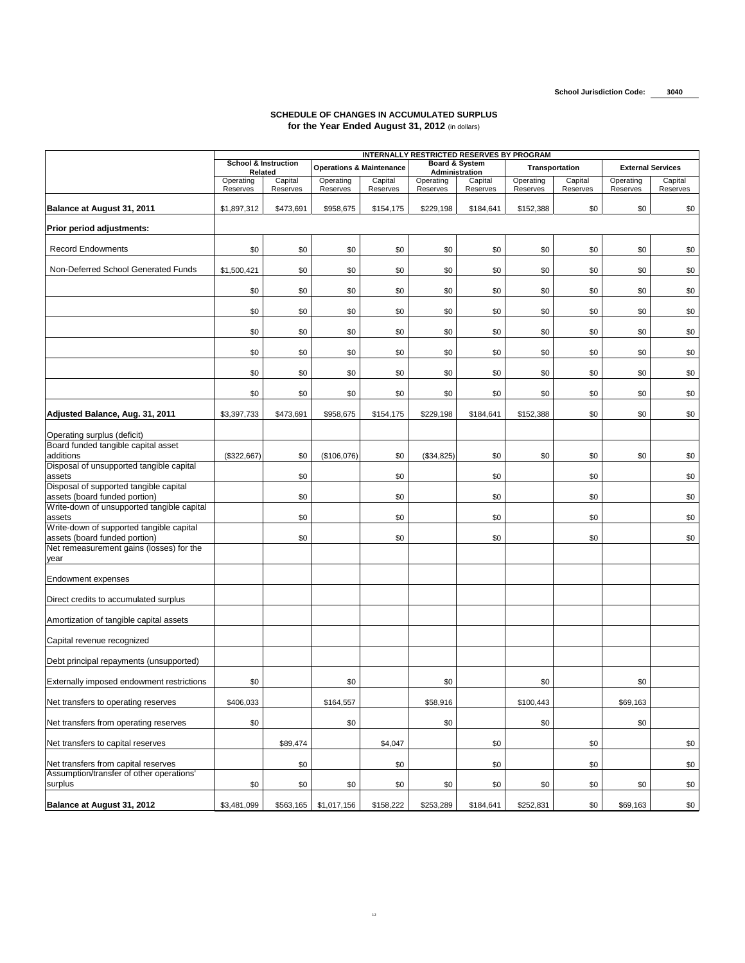#### **SCHEDULE OF CHANGES IN ACCUMULATED SURPLUS for the Year Ended August 31, 2012** (in dollars)

|                                                                           | <b>INTERNALLY RESTRICTED RESERVES BY PROGRAM</b> |                                 |                         |                                                                                    |                       |                     |                       |                     |                          |                     |
|---------------------------------------------------------------------------|--------------------------------------------------|---------------------------------|-------------------------|------------------------------------------------------------------------------------|-----------------------|---------------------|-----------------------|---------------------|--------------------------|---------------------|
|                                                                           |                                                  | <b>School &amp; Instruction</b> |                         | <b>Board &amp; System</b><br><b>Operations &amp; Maintenance</b><br>Administration |                       |                     | Transportation        |                     | <b>External Services</b> |                     |
|                                                                           | Operating<br>Reserves                            | Related<br>Capital<br>Reserves  | Operating<br>Reserves   | Capital<br>Reserves                                                                | Operating<br>Reserves | Capital<br>Reserves | Operating<br>Reserves | Capital<br>Reserves | Operating<br>Reserves    | Capital<br>Reserves |
| Balance at August 31, 2011                                                | \$1,897,312                                      | \$473,691                       | \$958,675               | \$154,175                                                                          | \$229,198             | \$184,641           | \$152,388             | \$0                 | \$0                      | \$0                 |
| Prior period adjustments:                                                 |                                                  |                                 |                         |                                                                                    |                       |                     |                       |                     |                          |                     |
| <b>Record Endowments</b>                                                  | \$0                                              | \$0                             | \$0                     | \$0                                                                                | \$0                   | \$0                 | \$0                   | \$0                 | \$0                      | \$0                 |
| Non-Deferred School Generated Funds                                       | \$1,500,421                                      | \$0                             | \$0                     | \$0                                                                                | \$0                   | \$0                 | \$0                   | \$0                 | \$0                      | \$0                 |
|                                                                           | \$0                                              | \$0                             | \$0                     | \$0                                                                                | \$0                   | \$0                 | \$0                   | \$0                 | \$0                      | \$0                 |
|                                                                           | \$0                                              | \$0                             | \$0                     | \$0                                                                                | \$0                   | \$0                 | \$0                   | \$0                 | \$0                      | \$0                 |
|                                                                           | \$0                                              | \$0                             | \$0                     | \$0                                                                                | \$0                   | \$0                 | \$0                   | \$0                 | \$0                      | \$0                 |
|                                                                           | \$0                                              | \$0                             | \$0                     | \$0                                                                                | \$0                   | \$0                 | \$0                   | \$0                 | \$0                      | \$0                 |
|                                                                           | \$0                                              | \$0                             | \$0                     | \$0                                                                                | \$0                   | \$0                 | \$0                   | \$0                 | \$0                      | \$0                 |
|                                                                           | \$0                                              | \$0                             | \$0                     | \$0                                                                                | \$0                   | \$0                 | \$0                   | \$0                 | \$0                      | \$0                 |
| Adjusted Balance, Aug. 31, 2011                                           | \$3,397,733                                      | \$473,691                       | \$958,675               | \$154,175                                                                          | \$229,198             | \$184,641           | \$152,388             | \$0                 | \$0                      | \$0                 |
| Operating surplus (deficit)                                               |                                                  |                                 |                         |                                                                                    |                       |                     |                       |                     |                          |                     |
| Board funded tangible capital asset<br>additions                          |                                                  |                                 |                         |                                                                                    |                       |                     |                       |                     |                          |                     |
| Disposal of unsupported tangible capital                                  | (\$322,667)                                      | \$0                             | (\$106,076)             | \$0                                                                                | (\$34,825)            | \$0                 | \$0                   | \$0                 | \$0                      | \$0                 |
| assets<br>Disposal of supported tangible capital                          |                                                  | \$0                             |                         | \$0                                                                                |                       | \$0                 |                       | \$0                 |                          | \$0                 |
| assets (board funded portion)                                             |                                                  | \$0                             |                         | \$0                                                                                |                       | \$0                 |                       | \$0                 |                          | \$0                 |
| Write-down of unsupported tangible capital<br>assets                      |                                                  | \$0                             |                         | \$0                                                                                |                       | \$0                 |                       | \$0                 |                          | \$0                 |
| Write-down of supported tangible capital<br>assets (board funded portion) |                                                  | \$0                             |                         | \$0                                                                                |                       | \$0                 |                       | \$0                 |                          | \$0                 |
| Net remeasurement gains (losses) for the<br>year                          |                                                  |                                 |                         |                                                                                    |                       |                     |                       |                     |                          |                     |
| <b>Endowment expenses</b>                                                 |                                                  |                                 |                         |                                                                                    |                       |                     |                       |                     |                          |                     |
| Direct credits to accumulated surplus                                     |                                                  |                                 |                         |                                                                                    |                       |                     |                       |                     |                          |                     |
| Amortization of tangible capital assets                                   |                                                  |                                 |                         |                                                                                    |                       |                     |                       |                     |                          |                     |
| Capital revenue recognized                                                |                                                  |                                 |                         |                                                                                    |                       |                     |                       |                     |                          |                     |
| Debt principal repayments (unsupported)                                   |                                                  |                                 |                         |                                                                                    |                       |                     |                       |                     |                          |                     |
| Externally imposed endowment restrictions                                 | \$0                                              |                                 | \$0                     |                                                                                    | \$0                   |                     | \$0                   |                     | \$0                      |                     |
| Net transfers to operating reserves                                       | \$406,033                                        |                                 | \$164,557               |                                                                                    | \$58,916              |                     | \$100,443             |                     | \$69,163                 |                     |
| Net transfers from operating reserves                                     | \$0                                              |                                 | \$0                     |                                                                                    | \$0                   |                     | \$0                   |                     | \$0                      |                     |
| Net transfers to capital reserves                                         |                                                  | \$89,474                        |                         | \$4,047                                                                            |                       | \$0                 |                       | \$0                 |                          | \$0                 |
| Net transfers from capital reserves                                       |                                                  | \$0                             |                         | \$0                                                                                |                       | \$0                 |                       | \$0                 |                          | \$0                 |
| Assumption/transfer of other operations'<br>surplus                       | \$0                                              | \$0                             | \$0                     | \$0                                                                                | \$0                   | \$0                 | \$0                   | \$0                 | \$0                      | \$0                 |
| Balance at August 31, 2012                                                | \$3,481,099                                      |                                 | $$563,165$ $$1,017,156$ | \$158,222                                                                          | \$253,289             | \$184,641           | \$252,831             | \$0                 | \$69,163                 | \$0                 |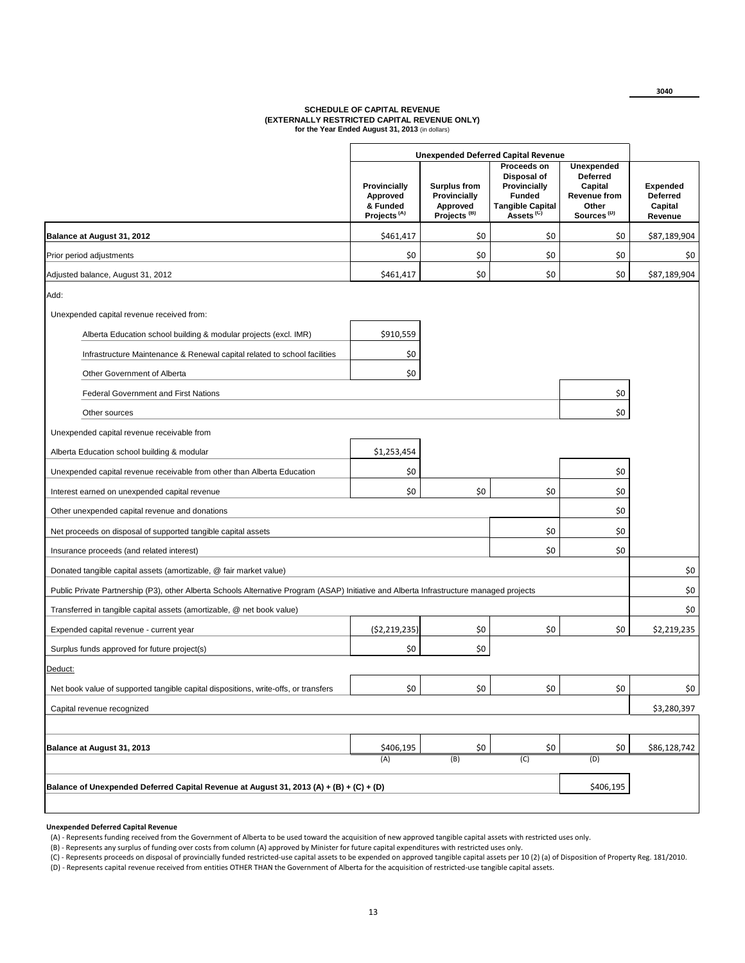#### **SCHEDULE OF CAPITAL REVENUE (EXTERNALLY RESTRICTED CAPITAL REVENUE ONLY) for the Year Ended August 31, 2013** (in dollars)

|                                                                                                                                          |                                                                 | <b>Unexpended Deferred Capital Revenue</b>                                 |                                                                                                                 |                                                                                             |                                                          |  |
|------------------------------------------------------------------------------------------------------------------------------------------|-----------------------------------------------------------------|----------------------------------------------------------------------------|-----------------------------------------------------------------------------------------------------------------|---------------------------------------------------------------------------------------------|----------------------------------------------------------|--|
|                                                                                                                                          | Provincially<br>Approved<br>& Funded<br>Projects <sup>(A)</sup> | <b>Surplus from</b><br>Provincially<br>Approved<br>Projects <sup>(B)</sup> | Proceeds on<br>Disposal of<br>Provincially<br><b>Funded</b><br><b>Tangible Capital</b><br>Assets <sup>(C)</sup> | Unexpended<br><b>Deferred</b><br>Capital<br>Revenue from<br>Other<br>Sources <sup>(D)</sup> | <b>Expended</b><br><b>Deferred</b><br>Capital<br>Revenue |  |
| Balance at August 31, 2012                                                                                                               | \$461,417                                                       | \$0                                                                        | \$0                                                                                                             | \$0                                                                                         | \$87,189,904                                             |  |
| Prior period adjustments                                                                                                                 | \$0                                                             | \$0                                                                        | \$0                                                                                                             | \$0                                                                                         | \$0                                                      |  |
| Adjusted balance, August 31, 2012                                                                                                        | \$461,417                                                       | \$0                                                                        | \$0                                                                                                             | \$0                                                                                         | \$87,189,904                                             |  |
| Add:                                                                                                                                     |                                                                 |                                                                            |                                                                                                                 |                                                                                             |                                                          |  |
| Unexpended capital revenue received from:                                                                                                |                                                                 |                                                                            |                                                                                                                 |                                                                                             |                                                          |  |
| Alberta Education school building & modular projects (excl. IMR)                                                                         | \$910,559                                                       |                                                                            |                                                                                                                 |                                                                                             |                                                          |  |
| Infrastructure Maintenance & Renewal capital related to school facilities                                                                | \$0                                                             |                                                                            |                                                                                                                 |                                                                                             |                                                          |  |
| Other Government of Alberta                                                                                                              | \$0                                                             |                                                                            |                                                                                                                 |                                                                                             |                                                          |  |
| <b>Federal Government and First Nations</b>                                                                                              |                                                                 |                                                                            |                                                                                                                 | \$0                                                                                         |                                                          |  |
| Other sources                                                                                                                            |                                                                 |                                                                            |                                                                                                                 | \$0                                                                                         |                                                          |  |
| Unexpended capital revenue receivable from                                                                                               |                                                                 |                                                                            |                                                                                                                 |                                                                                             |                                                          |  |
| Alberta Education school building & modular                                                                                              | \$1,253,454                                                     |                                                                            |                                                                                                                 |                                                                                             |                                                          |  |
| Unexpended capital revenue receivable from other than Alberta Education                                                                  | \$0                                                             |                                                                            |                                                                                                                 | \$0                                                                                         |                                                          |  |
| Interest earned on unexpended capital revenue                                                                                            | \$0                                                             | \$0                                                                        | \$0                                                                                                             | \$0                                                                                         |                                                          |  |
| Other unexpended capital revenue and donations                                                                                           |                                                                 |                                                                            |                                                                                                                 | \$0                                                                                         |                                                          |  |
| Net proceeds on disposal of supported tangible capital assets                                                                            |                                                                 |                                                                            | \$0                                                                                                             | \$0                                                                                         |                                                          |  |
| Insurance proceeds (and related interest)                                                                                                |                                                                 |                                                                            | \$0                                                                                                             | \$0                                                                                         |                                                          |  |
| Donated tangible capital assets (amortizable, @ fair market value)                                                                       |                                                                 |                                                                            |                                                                                                                 |                                                                                             | \$0                                                      |  |
| Public Private Partnership (P3), other Alberta Schools Alternative Program (ASAP) Initiative and Alberta Infrastructure managed projects |                                                                 |                                                                            |                                                                                                                 |                                                                                             | \$0                                                      |  |
| Transferred in tangible capital assets (amortizable, @ net book value)                                                                   |                                                                 |                                                                            |                                                                                                                 |                                                                                             | \$0                                                      |  |
| Expended capital revenue - current year                                                                                                  | ( \$2, 219, 235)                                                | \$0                                                                        | \$0                                                                                                             | \$0                                                                                         | \$2,219,235                                              |  |
| Surplus funds approved for future project(s)                                                                                             | \$0                                                             | \$0                                                                        |                                                                                                                 |                                                                                             |                                                          |  |
| Deduct:                                                                                                                                  |                                                                 |                                                                            |                                                                                                                 |                                                                                             |                                                          |  |
| Net book value of supported tangible capital dispositions, write-offs, or transfers                                                      | \$0                                                             | $$0\,$                                                                     | \$0                                                                                                             | \$0                                                                                         | \$0                                                      |  |
| Capital revenue recognized                                                                                                               |                                                                 |                                                                            |                                                                                                                 |                                                                                             | \$3,280,397                                              |  |
|                                                                                                                                          |                                                                 |                                                                            |                                                                                                                 |                                                                                             |                                                          |  |
| Balance at August 31, 2013                                                                                                               | \$406,195                                                       | \$0                                                                        | \$0                                                                                                             | \$0                                                                                         | \$86,128,742                                             |  |
|                                                                                                                                          | (A)                                                             | (B)                                                                        | $\overline{C}$                                                                                                  | (D)                                                                                         |                                                          |  |
| Balance of Unexpended Deferred Capital Revenue at August 31, 2013 (A) + (B) + (C) + (D)                                                  |                                                                 |                                                                            |                                                                                                                 | \$406,195                                                                                   |                                                          |  |
|                                                                                                                                          |                                                                 |                                                                            |                                                                                                                 |                                                                                             |                                                          |  |

#### **Unexpended Deferred Capital Revenue**

(A) ‐ Represents funding received from the Government of Alberta to be used toward the acquisition of new approved tangible capital assets with restricted uses only.

(B) ‐ Represents any surplus of funding over costs from column (A) approved by Minister for future capital expenditures with restricted uses only.

(C) ‐ Represents proceeds on disposal of provincially funded restricted‐use capital assets to be expended on approved tangible capital assets per 10 (2) (a) of Disposition of Property Reg. 181/2010.

(D) ‐ Represents capital revenue received from entities OTHER THAN the Government of Alberta for the acquisition of restricted‐use tangible capital assets.

**3040**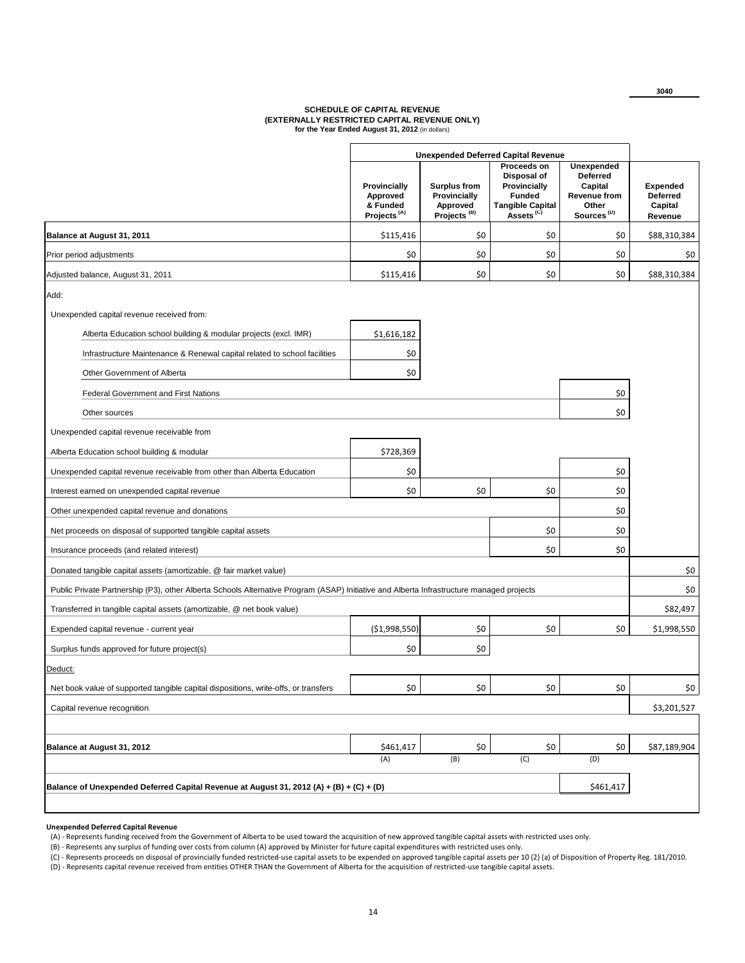#### **SCHEDULE OF CAPITAL REVENUE (EXTERNALLY RESTRICTED CAPITAL REVENUE ONLY) for the Year Ended August 31, 2012** (in dollars)

|                                                                                                                                          |                                                                 |                                                                            | <b>Unexpended Deferred Capital Revenue</b>                                                                      |                                                                                             |                                                          |
|------------------------------------------------------------------------------------------------------------------------------------------|-----------------------------------------------------------------|----------------------------------------------------------------------------|-----------------------------------------------------------------------------------------------------------------|---------------------------------------------------------------------------------------------|----------------------------------------------------------|
|                                                                                                                                          | Provincially<br>Approved<br>& Funded<br>Projects <sup>(A)</sup> | <b>Surplus from</b><br>Provincially<br>Approved<br>Projects <sup>(B)</sup> | Proceeds on<br>Disposal of<br>Provincially<br><b>Funded</b><br><b>Tangible Capital</b><br>Assets <sup>(C)</sup> | Unexpended<br><b>Deferred</b><br>Capital<br>Revenue from<br>Other<br>Sources <sup>(D)</sup> | <b>Expended</b><br><b>Deferred</b><br>Capital<br>Revenue |
| Balance at August 31, 2011                                                                                                               | \$115,416                                                       | \$0                                                                        | \$0                                                                                                             | \$0                                                                                         | \$88,310,384                                             |
| Prior period adjustments                                                                                                                 | \$0                                                             | \$0                                                                        | \$0                                                                                                             | \$0                                                                                         | \$0                                                      |
| Adjusted balance, August 31, 2011                                                                                                        | \$115,416                                                       | \$0                                                                        | \$0                                                                                                             | \$0                                                                                         | \$88,310,384                                             |
| Add:                                                                                                                                     |                                                                 |                                                                            |                                                                                                                 |                                                                                             |                                                          |
| Unexpended capital revenue received from:                                                                                                |                                                                 |                                                                            |                                                                                                                 |                                                                                             |                                                          |
| Alberta Education school building & modular projects (excl. IMR)                                                                         | \$1,616,182                                                     |                                                                            |                                                                                                                 |                                                                                             |                                                          |
| Infrastructure Maintenance & Renewal capital related to school facilities                                                                | \$0                                                             |                                                                            |                                                                                                                 |                                                                                             |                                                          |
| Other Government of Alberta                                                                                                              | \$0                                                             |                                                                            |                                                                                                                 |                                                                                             |                                                          |
| <b>Federal Government and First Nations</b>                                                                                              |                                                                 |                                                                            |                                                                                                                 | \$0                                                                                         |                                                          |
| Other sources                                                                                                                            |                                                                 |                                                                            |                                                                                                                 | \$0                                                                                         |                                                          |
| Unexpended capital revenue receivable from                                                                                               |                                                                 |                                                                            |                                                                                                                 |                                                                                             |                                                          |
| Alberta Education school building & modular                                                                                              | \$728,369                                                       |                                                                            |                                                                                                                 |                                                                                             |                                                          |
| Unexpended capital revenue receivable from other than Alberta Education                                                                  | \$0                                                             |                                                                            |                                                                                                                 | \$0                                                                                         |                                                          |
| Interest earned on unexpended capital revenue                                                                                            | \$0                                                             | \$0                                                                        | \$0                                                                                                             | \$0                                                                                         |                                                          |
| Other unexpended capital revenue and donations                                                                                           |                                                                 |                                                                            |                                                                                                                 | \$0                                                                                         |                                                          |
| Net proceeds on disposal of supported tangible capital assets                                                                            |                                                                 |                                                                            | \$0                                                                                                             | \$0                                                                                         |                                                          |
| Insurance proceeds (and related interest)                                                                                                |                                                                 |                                                                            | \$0                                                                                                             | \$0                                                                                         |                                                          |
| Donated tangible capital assets (amortizable, @ fair market value)                                                                       |                                                                 |                                                                            |                                                                                                                 |                                                                                             | \$0                                                      |
| Public Private Partnership (P3), other Alberta Schools Alternative Program (ASAP) Initiative and Alberta Infrastructure managed projects |                                                                 |                                                                            |                                                                                                                 |                                                                                             | \$0                                                      |
| Transferred in tangible capital assets (amortizable, @ net book value)                                                                   |                                                                 |                                                                            |                                                                                                                 |                                                                                             | \$82,497                                                 |
| Expended capital revenue - current year                                                                                                  | (\$1,998,550)                                                   | \$0                                                                        | \$0                                                                                                             | \$0                                                                                         | \$1,998,550                                              |
| Surplus funds approved for future project(s)                                                                                             | \$0                                                             | \$0                                                                        |                                                                                                                 |                                                                                             |                                                          |
| Deduct:                                                                                                                                  |                                                                 |                                                                            |                                                                                                                 |                                                                                             |                                                          |
| Net book value of supported tangible capital dispositions, write-offs, or transfers                                                      | \$0                                                             | \$0                                                                        | \$0                                                                                                             | \$0                                                                                         | \$0                                                      |
| Capital revenue recognition                                                                                                              |                                                                 |                                                                            |                                                                                                                 |                                                                                             | \$3,201,527                                              |
|                                                                                                                                          |                                                                 |                                                                            |                                                                                                                 |                                                                                             |                                                          |
| Balance at August 31, 2012                                                                                                               | \$461,417                                                       | \$0                                                                        | \$0                                                                                                             | \$0                                                                                         | \$87,189,904                                             |
|                                                                                                                                          | (A)                                                             | (B)                                                                        | (C)                                                                                                             | (D)                                                                                         |                                                          |
| Balance of Unexpended Deferred Capital Revenue at August 31, 2012 (A) + (B) + (C) + (D)                                                  |                                                                 |                                                                            |                                                                                                                 | \$461,417                                                                                   |                                                          |
|                                                                                                                                          |                                                                 |                                                                            |                                                                                                                 |                                                                                             |                                                          |

#### **Unexpended Deferred Capital Revenue**

(A) ‐ Represents funding received from the Government of Alberta to be used toward the acquisition of new approved tangible capital assets with restricted uses only.

(B) ‐ Represents any surplus of funding over costs from column (A) approved by Minister for future capital expenditures with restricted uses only.

(C) ‐ Represents proceeds on disposal of provincially funded restricted‐use capital assets to be expended on approved tangible capital assets per 10 (2) (a) of Disposition of Property Reg. 181/2010.

(D) ‐ Represents capital revenue received from entities OTHER THAN the Government of Alberta for the acquisition of restricted‐use tangible capital assets.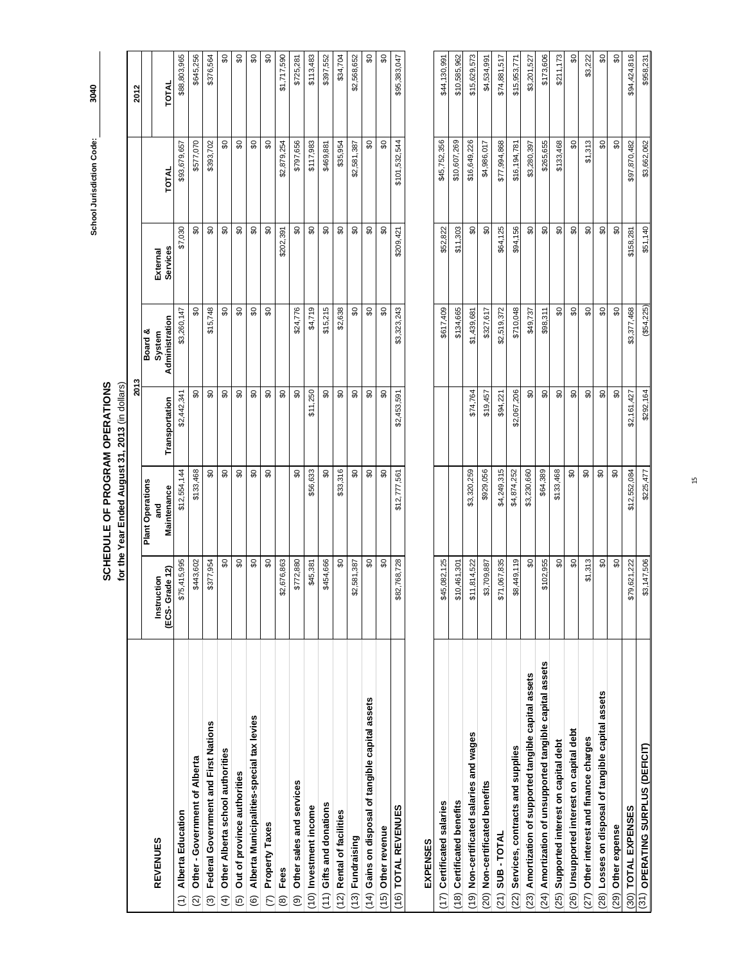|                                                                       |                               | for the Year Ended August 31, 2013 (in dollars) |                     |                      |                      |                |              |
|-----------------------------------------------------------------------|-------------------------------|-------------------------------------------------|---------------------|----------------------|----------------------|----------------|--------------|
|                                                                       |                               |                                                 | <b>2013</b>         |                      |                      |                | 2012         |
| <b>REVENUES</b>                                                       |                               | <b>Plant Operations</b><br>and                  |                     | Board &<br>System    |                      |                |              |
|                                                                       | Instruction<br>(ECS-Grade 12) | Maintenance                                     | Transportation      | Administration       | External<br>Services | <b>TOTAL</b>   | TOTAL        |
| Alberta Education<br>$\widehat{E}$                                    | \$75,415,995                  | \$12,554,144                                    | \$2,442,341         | \$3,260,147          | \$7,030              | \$93,679,657   | \$88,803,965 |
| Other - Government of Alberta<br>$\widehat{\infty}$                   | \$443,602                     | \$133,468                                       | \$O                 | \$O                  | S                    | \$577,070      | \$645,256    |
| Federal Government and First Nations<br>$\odot$                       | \$377,954                     | င္တ                                             | \$O                 | \$15,748             | \$O                  | \$393,702      | \$376,564    |
| Other Alberta school authorities<br>$\bigoplus$                       | \$Q                           | \$O                                             | $\pmb{\mathcal{G}}$ | \$O                  | S                    | œ              | ఞ            |
| Out of province authorities<br>$\widehat{\mathfrak{G}}$               | \$                            | င္တ                                             | \$O                 | င္တ                  | æ                    | \$O            | ္တ           |
| Alberta Municipalities-special tax levies<br>$\widehat{\mathfrak{G}}$ | \$                            | င္တ                                             | ₿                   | င္တ                  | \$O                  | \$Q            | င္တ          |
| <b>Property Taxes</b><br>$\epsilon$                                   | œ                             | ₿                                               | \$O                 | S                    | \$O                  | S              | န္တ          |
| Fees<br>$\circledR$                                                   | \$2,676,863                   |                                                 | \$O                 |                      | \$202,391            | \$2,879,254    | \$1,717,590  |
| Other sales and services<br>$\circledcirc$                            | \$772,880                     | \$Q                                             | ₿                   | \$24,776             | \$O                  | \$797,656      | \$725,281    |
| $(10)$ Investment income                                              | \$45,381                      | \$56,633                                        | \$11,250            | \$4,719              | င္တ                  | \$117,983      | \$113,483    |
| (11) Gifts and donations                                              | \$454,666                     | œ                                               | ₿                   | \$15,215             | င္တ                  | \$469,881      | \$397,552    |
| (12) Rental of facilities                                             | œ                             | \$33,316                                        | \$O                 | \$2,638              | င္တ                  | \$35,954       | \$34,704     |
| $(13)$ Fundraising                                                    | \$2,581,387                   | \$O                                             | \$O                 | $\pmb{\mathfrak{S}}$ | င္တ                  | \$2,581,387    | \$2,568,652  |
| (14) Gains on disposal of tangible capital assets                     | œ                             | င္တ                                             | $\pmb{\mathcal{G}}$ | င္တ                  | $\pmb{\mathcal{G}}$  | S              | င္တ          |
| (15) Other revenue                                                    | œ                             | $\mathfrak{S}$                                  | \$O                 | œ                    | \$O                  | S              | \$O          |
| (16) TOTAL REVENUES                                                   | \$82,768,728                  | \$12,777,561                                    | \$2,453,591         | \$3,323,243          | \$209,421            | \$101,532,544  | \$95,383,047 |
| <b>EXPENSES</b>                                                       |                               |                                                 |                     |                      |                      |                |              |
| (17) Certificated salaries                                            | \$45,082,125                  |                                                 |                     | \$617,409            | \$52,822             | \$45,752,356   | \$44,130,991 |
| (18) Certificated benefits                                            | \$10,461,301                  |                                                 |                     | \$134,665            | \$11,303             | \$10,607,269   | \$10,585,962 |
| (19) Non-certificated salaries and wages                              | \$11,814,522                  | \$3,320,259                                     | \$74,764            | \$1,439,681          | S                    | \$16,649,226   | \$15,629,573 |
| (20) Non-certificated benefits                                        | \$3,709,887                   | \$929,056                                       | \$19,457            | \$327,617            | င္တ                  | \$4,986,017    | \$4,534,991  |
| $(21)$ SUB - TOTAL                                                    | ,067,835<br>57                | \$4,249,315                                     | \$94,221            | \$2,519,372          | \$64,125             | \$77,994,868   | \$74,881,517 |
| (22) Services, contracts and supplies                                 | \$8,449,119                   | \$4,874,252                                     | \$2,067,206         | \$710,048            | \$94,156             | \$16,194,781   | \$15,953,77  |
| (23) Amortization of supported tangible capital assets                | œ                             | \$3,230,660                                     | $\pmb{\mathcal{G}}$ | \$49,737             | \$O                  | \$3,280,397    | \$3,201,527  |
| $(24)$ Amortization of unsupported tangible capital assets            | \$102,955                     | \$64,389                                        | œ                   | \$98,311             | င္တ                  | \$265,655      | \$173,606    |
| (25) Supported interest on capital debt                               | \$                            | \$133,468                                       | SO                  | င္တ                  | င္တ                  | \$133,468      | \$211,173    |
| (26) Unsupported interest on capital debt                             | $\pmb{\mathfrak{S}}$          | S)                                              | $\pmb{\mathcal{G}}$ | œ                    | င္တ                  | S              | \$O          |
| (27) Other interest and finance charges                               | \$1,313                       | $\pmb{\mathcal{G}}$                             | œ                   | င္တ                  | င္တ                  | \$1,313        | \$3,222      |
| (28) Losses on disposal of tangible capital assets                    | \$                            | $\mathfrak{S}$                                  | င္တ                 | $\mathfrak{S}$       | $\mathfrak{S}$       | \$Q            | SO           |
| (29) Other expense                                                    | $\mathfrak{S}$                | \$Q                                             | œ                   | S                    | \$Q                  | $\mathfrak{S}$ | œ            |
| (30) TOTAL EXPENSES                                                   | \$79,621,222                  | \$12,552,084                                    | \$2,161,427         | \$3,377,468          | \$158,281            | \$97,870,482   | \$94,424,816 |
| $(31)$ OPERATING SURPLUS (DEFICIT)                                    | \$3,147,506                   | \$225,477                                       | \$292,164           | ( \$54,225)          | \$51,140             | \$3,662,062    | \$958,231    |

SCHEDULE OF PROGRAM OPERATIONS **SCHEDULE OF PROGRAM OPERATIONS**

**School Jurisdiction Code: 3040**

School Jurisdiction Code:

3040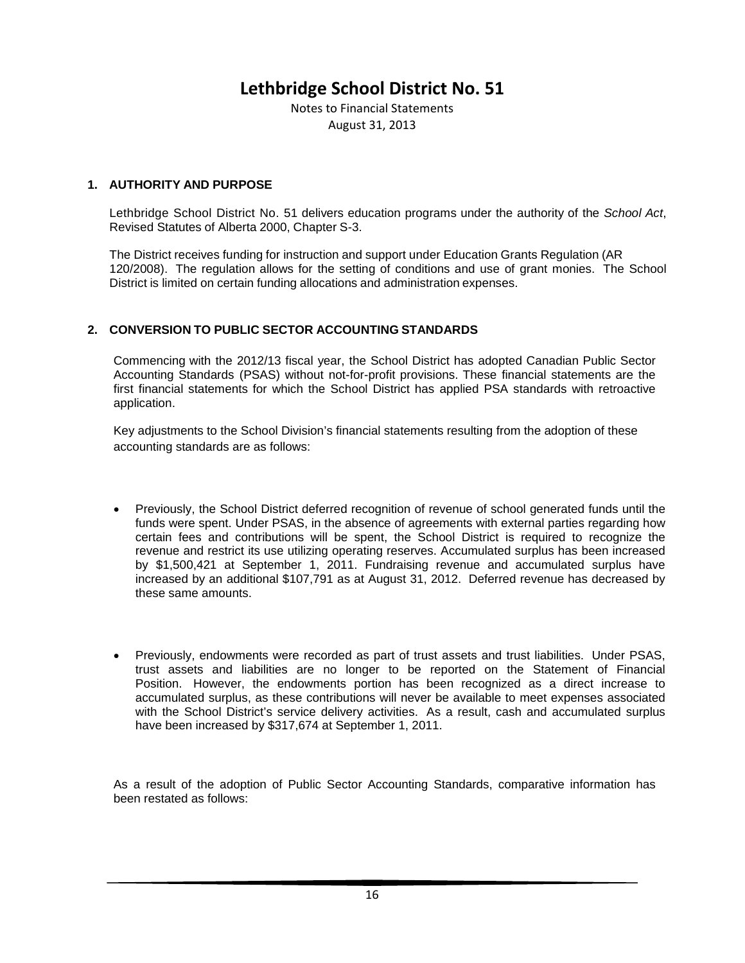Notes to Financial Statements August 31, 2013

#### **1. AUTHORITY AND PURPOSE**

Lethbridge School District No. 51 delivers education programs under the authority of the *School Act*, Revised Statutes of Alberta 2000, Chapter S-3.

The District receives funding for instruction and support under Education Grants Regulation (AR 120/2008). The regulation allows for the setting of conditions and use of grant monies. The School District is limited on certain funding allocations and administration expenses.

#### **2. CONVERSION TO PUBLIC SECTOR ACCOUNTING STANDARDS**

Commencing with the 2012/13 fiscal year, the School District has adopted Canadian Public Sector Accounting Standards (PSAS) without not-for-profit provisions. These financial statements are the first financial statements for which the School District has applied PSA standards with retroactive application.

Key adjustments to the School Division's financial statements resulting from the adoption of these accounting standards are as follows:

- Previously, the School District deferred recognition of revenue of school generated funds until the funds were spent. Under PSAS, in the absence of agreements with external parties regarding how certain fees and contributions will be spent, the School District is required to recognize the revenue and restrict its use utilizing operating reserves. Accumulated surplus has been increased by \$1,500,421 at September 1, 2011. Fundraising revenue and accumulated surplus have increased by an additional \$107,791 as at August 31, 2012. Deferred revenue has decreased by these same amounts.
- Previously, endowments were recorded as part of trust assets and trust liabilities. Under PSAS, trust assets and liabilities are no longer to be reported on the Statement of Financial Position. However, the endowments portion has been recognized as a direct increase to accumulated surplus, as these contributions will never be available to meet expenses associated with the School District's service delivery activities. As a result, cash and accumulated surplus have been increased by \$317,674 at September 1, 2011.

As a result of the adoption of Public Sector Accounting Standards, comparative information has been restated as follows: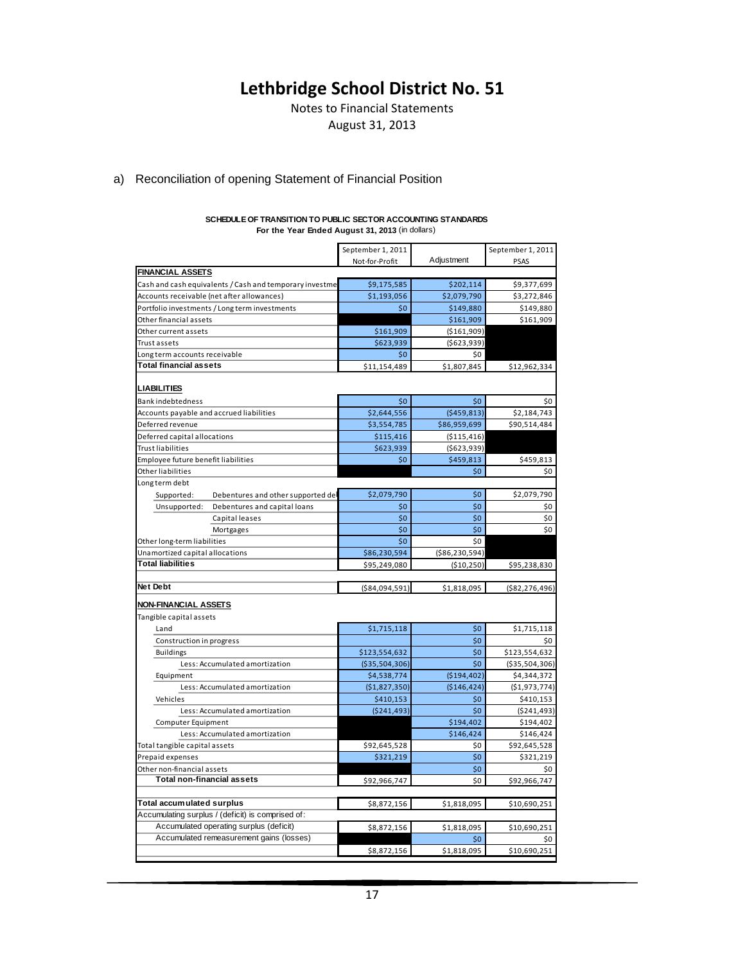Notes to Financial Statements August 31, 2013

#### a) Reconciliation of opening Statement of Financial Position

#### **SCHEDULE OF TRANSITION TO PUBLIC SECTOR ACCOUNTING STANDARDS For the Year Ended August 31, 2013** (in dollars)

|                                              |                                                         | September 1, 2011 |                   | September 1, 2011  |
|----------------------------------------------|---------------------------------------------------------|-------------------|-------------------|--------------------|
|                                              |                                                         | Not-for-Profit    | Adjustment        | <b>PSAS</b>        |
| <b>FINANCIAL ASSETS</b>                      |                                                         |                   |                   |                    |
|                                              | Cash and cash equivalents / Cash and temporary investme | \$9,175,585       | \$202,114         | \$9,377,699        |
|                                              | Accounts receivable (net after allowances)              | \$1,193,056       | \$2,079,790       | \$3,272,846        |
|                                              | Portfolio investments / Long term investments           | \$0               | \$149,880         | \$149,880          |
| Other financial assets                       |                                                         |                   | \$161,909         | \$161,909          |
| Other current assets                         |                                                         | \$161,909         | ( \$161, 909)     |                    |
| Trust assets                                 |                                                         | \$623,939         | ( \$623, 939)     |                    |
| Long term accounts receivable                |                                                         | \$0               | \$0               |                    |
| <b>Total financial assets</b>                |                                                         | \$11,154,489      | \$1,807,845       | \$12,962,334       |
| LIABILITIES                                  |                                                         |                   |                   |                    |
| Bank indebtedness                            |                                                         | \$0               | \$0               | \$0                |
| Accounts payable and accrued liabilities     |                                                         | \$2,644,556       | (5459, 813)       | \$2,184,743        |
| Deferred revenue                             |                                                         | \$3,554,785       | \$86,959,699      | \$90,514,484       |
| Deferred capital allocations                 |                                                         | \$115,416         | ( \$115, 416)     |                    |
| Trust liabilities                            |                                                         | \$623,939         | ( \$623, 939)     |                    |
| Employee future benefit liabilities          |                                                         | \$0               | \$459,813         | \$459,813          |
| Other liabilities                            |                                                         |                   | \$0               | \$0                |
| Long term debt                               |                                                         |                   |                   |                    |
| Supported:                                   | Debentures and other supported del                      | \$2,079,790       | \$0               | \$2,079,790        |
| Unsupported:                                 | Debentures and capital loans                            | \$0               | \$0               | \$0                |
|                                              | Capital leases                                          | \$0               | \$0               | \$0                |
|                                              | Mortgages                                               | \$0               | \$0               | \$0                |
| Other long-term liabilities                  |                                                         | \$0               | \$0               |                    |
| Unamortized capital allocations              |                                                         | \$86,230,594      | ( \$86, 230, 594) |                    |
| <b>Total liabilities</b>                     |                                                         | \$95,249,080      | (\$10,250)        | \$95,238,830       |
|                                              |                                                         |                   |                   |                    |
| Net Debt                                     |                                                         | ( \$84,094,591)   | \$1,818,095       | ( \$82, 276, 496)  |
| NON-FINANCIAL ASSETS                         |                                                         |                   |                   |                    |
|                                              |                                                         |                   |                   |                    |
| Tangible capital assets<br>Land              |                                                         |                   | \$0               |                    |
|                                              |                                                         | \$1,715,118       | \$0               | \$1,715,118<br>\$0 |
| Construction in progress<br><b>Buildings</b> |                                                         | \$123,554,632     | \$0               | \$123,554,632      |
|                                              | Less: Accumulated amortization                          | ( \$35,504,306)   | \$0               | ( \$35,504,306)    |
| Equipment                                    |                                                         | \$4,538,774       | (\$194,402)       | \$4,344,372        |
|                                              | Less: Accumulated amortization                          | (\$1,827,350)     | (\$146,424)       | ( \$1,973,774)     |
| Vehicles                                     |                                                         | \$410,153         | \$0               | \$410,153          |
|                                              | Less: Accumulated amortization                          | (5241, 493)       | \$0               | (S241, 493)        |
| Computer Equipment                           |                                                         |                   | \$194,402         | \$194,402          |
|                                              | Less: Accumulated amortization                          |                   | \$146,424         | \$146,424          |
| Total tangible capital assets                |                                                         | \$92,645,528      | \$0               | \$92,645,528       |
| Prepaid expenses                             |                                                         | \$321,219         | \$0               | \$321,219          |
| Other non-financial assets                   |                                                         |                   | \$0               | \$0                |
| <b>Total non-financial assets</b>            |                                                         | \$92,966,747      | \$0               | \$92,966,747       |
|                                              |                                                         |                   |                   |                    |
| Total accumulated surplus                    |                                                         | \$8,872,156       | \$1,818,095       | \$10,690,251       |
|                                              | Accumulating surplus / (deficit) is comprised of:       |                   |                   |                    |
|                                              | Accumulated operating surplus (deficit)                 | \$8,872,156       | \$1,818,095       | \$10,690,251       |
|                                              | Accumulated remeasurement gains (losses)                |                   | \$0               | \$0                |
|                                              |                                                         | \$8,872,156       | \$1,818,095       | \$10,690,251       |
|                                              |                                                         |                   |                   |                    |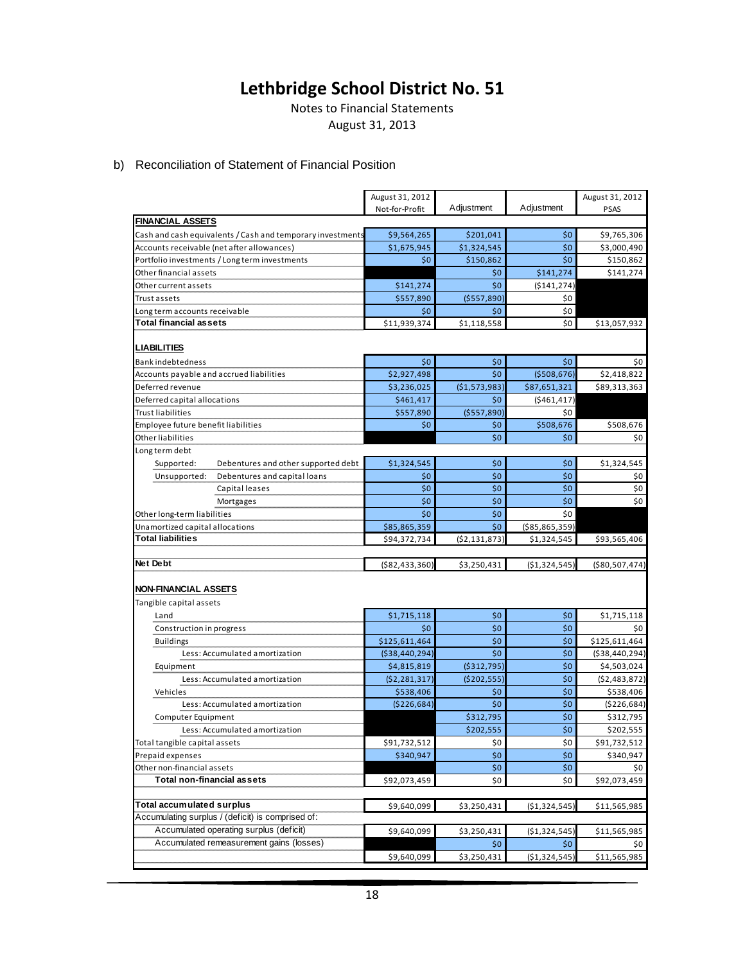Notes to Financial Statements August 31, 2013

#### b) Reconciliation of Statement of Financial Position

|                                                             | August 31, 2012 |                |                   | August 31, 2012 |
|-------------------------------------------------------------|-----------------|----------------|-------------------|-----------------|
|                                                             | Not-for-Profit  | Adjustment     | Adjustment        | <b>PSAS</b>     |
| FINANCIAL ASSETS                                            |                 |                |                   |                 |
| Cash and cash equivalents / Cash and temporary investments  | \$9,564,265     | \$201,041      | \$0               | \$9,765,306     |
| Accounts receivable (net after allowances)                  | \$1,675,945     | \$1,324,545    | \$0               | \$3,000,490     |
| Portfolio investments / Long term investments               | \$0             | \$150,862      | \$0               | \$150,862       |
| Other financial assets                                      |                 | \$0            | \$141,274         | \$141,274       |
| Other current assets                                        | \$141,274       | \$0            | (5141, 274)       |                 |
| Trust assets                                                | \$557,890       | (\$557,890)    | \$0               |                 |
| Long term accounts receivable                               | \$0             | \$0            | \$0               |                 |
| <b>Total financial assets</b>                               | \$11,939,374    | \$1,118,558    | \$0               | \$13,057,932    |
|                                                             |                 |                |                   |                 |
| LIABILITIES                                                 |                 |                |                   |                 |
| <b>Bankindebtedness</b>                                     | \$0             | \$0            | \$0               | \$0             |
| Accounts payable and accrued liabilities                    | \$2,927,498     | \$0            | ( \$508, 676)     | \$2,418,822     |
| Deferred revenue                                            | \$3,236,025     | (51, 573, 983) | \$87,651,321      | \$89,313,363    |
| Deferred capital allocations                                | \$461,417       | \$0            | (\$461,417)       |                 |
| Trust liabilities                                           | \$557,890       | ( \$557, 890)  | \$0               |                 |
| Employee future benefit liabilities                         | \$0             | \$0            | \$508,676         | \$508,676       |
| Other liabilities                                           |                 | \$0            | \$0               | \$0             |
| Long term debt                                              |                 |                |                   |                 |
| Debentures and other supported debt<br>Supported:           | \$1,324,545     | \$0            | \$0               | \$1,324,545     |
| Unsupported:<br>Debentures and capital loans                | \$0             | \$0            | \$0               | \$0             |
| Capital leases                                              | \$0             | \$0            | \$0               | \$0             |
| Mortgages                                                   | \$0             | \$0            | \$0               | \$0             |
| Other long-term liabilities                                 | \$0             | \$0            | \$0               |                 |
| Unamortized capital allocations<br><b>Total liabilities</b> | \$85,865,359    | \$0            | ( \$85, 865, 359) |                 |
|                                                             | \$94,372,734    | (\$2,131,873)  | \$1,324,545       | \$93,565,406    |
| <b>Net Debt</b>                                             | ( \$82,433,360) | \$3,250,431    | (51, 324, 545)    | ( \$80,507,474) |
|                                                             |                 |                |                   |                 |
| NON-FINANCIAL ASSETS                                        |                 |                |                   |                 |
| Tangible capital assets                                     |                 |                |                   |                 |
| Land                                                        | \$1,715,118     | \$0            | \$0               | \$1,715,118     |
| Construction in progress                                    | \$0             | \$0            | \$0               | \$0             |
| <b>Buildings</b>                                            | \$125,611,464   | \$0            | \$0               | \$125,611,464   |
| Less: Accumulated amortization                              | ( \$38,440,294) | \$0            | \$0               | (\$38,440,294)  |
| Equipment                                                   | \$4,815,819     | ( \$312, 795)  | \$0               | \$4,503,024     |
| Less: Accumulated amortization                              | (52, 281, 317)  | (\$202,555)    | \$0               | (52, 483, 872)  |
| Vehicles                                                    | \$538,406       | \$0            | \$0               | \$538,406       |
| Less: Accumulated amortization                              | (\$226,684)     | \$0            | \$0               | ( \$226, 684)   |
| Computer Equipment                                          |                 | \$312,795      | \$0               | \$312,795       |
| Less: Accumulated amortization                              |                 | \$202,555      | \$0\$             | \$202,555       |
| Total tangible capital assets                               | \$91,732,512    | \$0            | \$0               | \$91,732,512    |
| Prepaid expenses                                            | \$340,947       | \$0            | \$0               | \$340,947       |
| Other non-financial assets                                  |                 | \$0            | \$0\$             | \$0             |
| <b>Total non-financial assets</b>                           | \$92,073,459    | \$0            | \$0               | \$92,073,459    |
|                                                             |                 |                |                   |                 |
| Total accumulated surplus                                   | \$9,640,099     | \$3,250,431    | (\$1,324,545)     | \$11,565,985    |
| Accumulating surplus / (deficit) is comprised of:           |                 |                |                   |                 |
| Accumulated operating surplus (deficit)                     | \$9,640,099     | \$3,250,431    | (\$1,324,545)     | \$11,565,985    |
| Accumulated remeasurement gains (losses)                    |                 | \$0            | \$0               | \$0             |
|                                                             | \$9,640,099     | \$3,250,431    | (\$1,324,545)     | \$11,565,985    |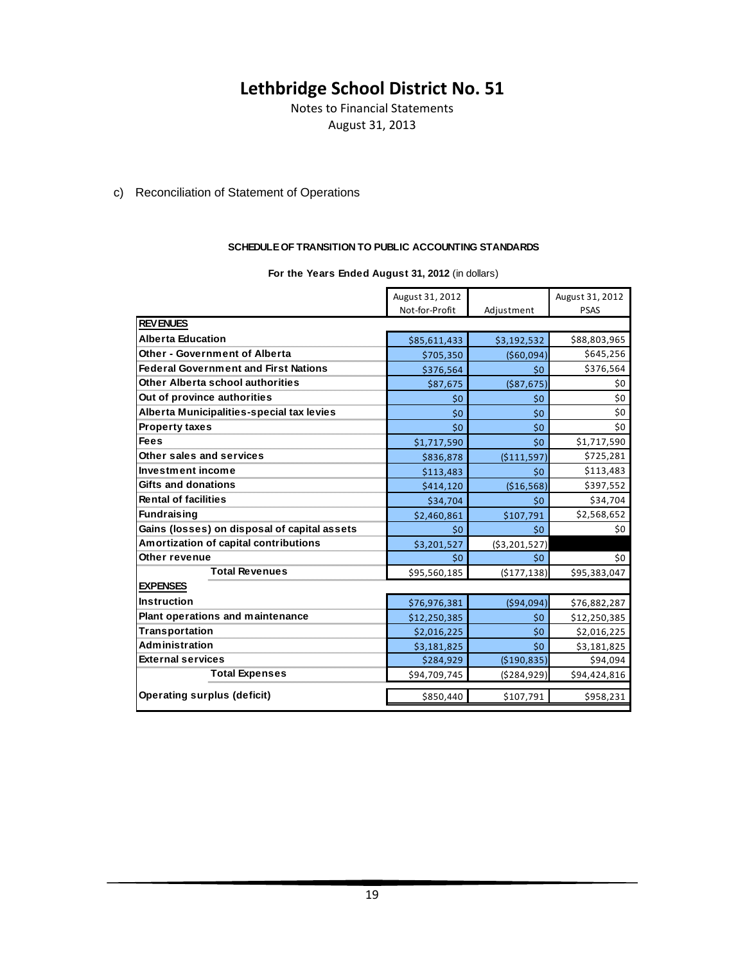Notes to Financial Statements August 31, 2013

#### c) Reconciliation of Statement of Operations

#### **SCHEDULE OF TRANSITION TO PUBLIC ACCOUNTING STANDARDS**

|                                              | August 31, 2012 |                  | August 31, 2012 |
|----------------------------------------------|-----------------|------------------|-----------------|
|                                              | Not-for-Profit  | Adjustment       | <b>PSAS</b>     |
| <b>REVENUES</b>                              |                 |                  |                 |
| <b>Alberta Education</b>                     | \$85,611,433    | \$3,192,532      | \$88,803,965    |
| <b>Other - Government of Alberta</b>         | \$705,350       | ( \$60,094)      | \$645,256       |
| <b>Federal Government and First Nations</b>  | \$376,564       | \$0              | \$376,564       |
| Other Alberta school authorities             | \$87,675        | (\$87,675)       | \$0             |
| Out of province authorities                  | \$0             | \$0              | \$0             |
| Alberta Municipalities-special tax levies    | \$0             | \$0              | \$0             |
| <b>Property taxes</b>                        | \$0             | \$0              | \$0             |
| <b>Fees</b>                                  | \$1,717,590     | \$0              | \$1,717,590     |
| Other sales and services                     | \$836,878       | (\$111,597]      | \$725,281       |
| <b>Investment income</b>                     | \$113,483       | \$0              | \$113,483       |
| Gifts and donations                          | \$414,120       | (\$16,568)       | \$397,552       |
| <b>Rental of facilities</b>                  | \$34,704        | \$0              | \$34,704        |
| <b>Fundraising</b>                           | \$2,460,861     | \$107,791        | \$2,568,652     |
| Gains (losses) on disposal of capital assets | \$0             | \$0              | \$0             |
| Amortization of capital contributions        | \$3,201,527     | ( \$3, 201, 527) |                 |
| Other revenue                                | \$0             | \$0              | \$0             |
| <b>Total Revenues</b>                        | \$95,560,185    | (5177, 138)      | \$95,383,047    |
| <b>EXPENSES</b>                              |                 |                  |                 |
| <b>Instruction</b>                           | \$76,976,381    | (\$94,094)       | \$76,882,287    |
| Plant operations and maintenance             | \$12,250,385    | \$0              | \$12,250,385    |
| <b>Transportation</b>                        | \$2,016,225     | \$0              | \$2,016,225     |
| <b>Administration</b>                        | \$3,181,825     | \$0              | \$3,181,825     |
| <b>External services</b>                     | \$284,929       | ( \$190, 835)    | \$94,094        |
| <b>Total Expenses</b>                        | \$94,709,745    | (5284, 929)      | \$94,424,816    |
| <b>Operating surplus (deficit)</b>           |                 |                  |                 |
|                                              | \$850,440       | \$107,791        | \$958,231       |

**For the Years Ended August 31, 2012** (in dollars)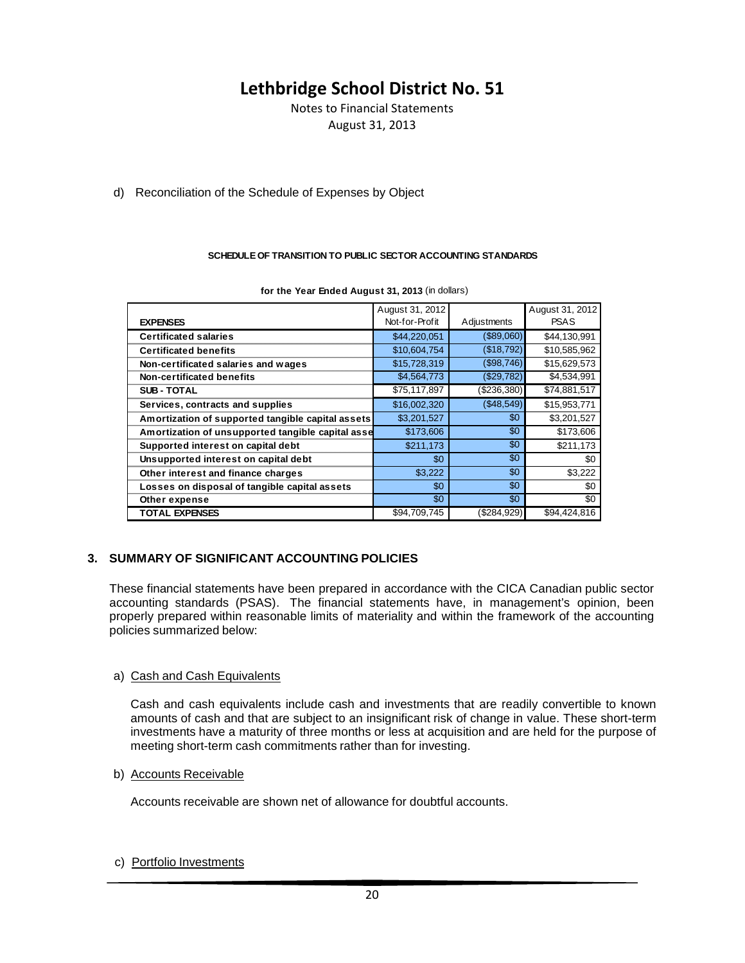Notes to Financial Statements August 31, 2013

#### d) Reconciliation of the Schedule of Expenses by Object

#### **SCHEDULE OF TRANSITION TO PUBLIC SECTOR ACCOUNTING STANDARDS**

|                                                   | August 31, 2012 |             | August 31, 2012 |
|---------------------------------------------------|-----------------|-------------|-----------------|
| <b>EXPENSES</b>                                   | Not-for-Profit  | Adjustments | <b>PSAS</b>     |
| <b>Certificated salaries</b>                      | \$44,220,051    | (\$89,060)  | \$44,130,991    |
| <b>Certificated benefits</b>                      | \$10,604,754    | (\$18,792)  | \$10,585,962    |
| Non-certificated salaries and wages               | \$15,728,319    | (\$98,746)  | \$15,629,573    |
| Non-certificated benefits                         | \$4,564,773     | (\$29,782)  | \$4,534,991     |
| <b>SUB-TOTAL</b>                                  | \$75,117,897    | (\$236,380) | \$74,881,517    |
| Services, contracts and supplies                  | \$16,002,320    | (\$48,549)  | \$15,953,771    |
| Amortization of supported tangible capital assets | \$3,201,527     | \$0         | \$3,201,527     |
| Amortization of unsupported tangible capital asse | \$173,606       | \$0         | \$173,606       |
| Supported interest on capital debt                | \$211,173       | \$0         | \$211,173       |
| Unsupported interest on capital debt              | \$0             | \$0         | \$0             |
| Other interest and finance charges                | \$3,222         | \$0         | \$3,222         |
| Losses on disposal of tangible capital assets     | \$0             | \$0         | \$0             |
| Other expense                                     | \$0             | \$0         | \$0             |
| <b>TOTAL EXPENSES</b>                             | \$94,709,745    | (\$284,929) | \$94,424,816    |

**for the Year Ended August 31, 2013** (in dollars)

#### **3. SUMMARY OF SIGNIFICANT ACCOUNTING POLICIES**

These financial statements have been prepared in accordance with the CICA Canadian public sector accounting standards (PSAS). The financial statements have, in management's opinion, been properly prepared within reasonable limits of materiality and within the framework of the accounting policies summarized below:

#### a) Cash and Cash Equivalents

Cash and cash equivalents include cash and investments that are readily convertible to known amounts of cash and that are subject to an insignificant risk of change in value. These short-term investments have a maturity of three months or less at acquisition and are held for the purpose of meeting short-term cash commitments rather than for investing.

#### b) Accounts Receivable

Accounts receivable are shown net of allowance for doubtful accounts.

c) Portfolio Investments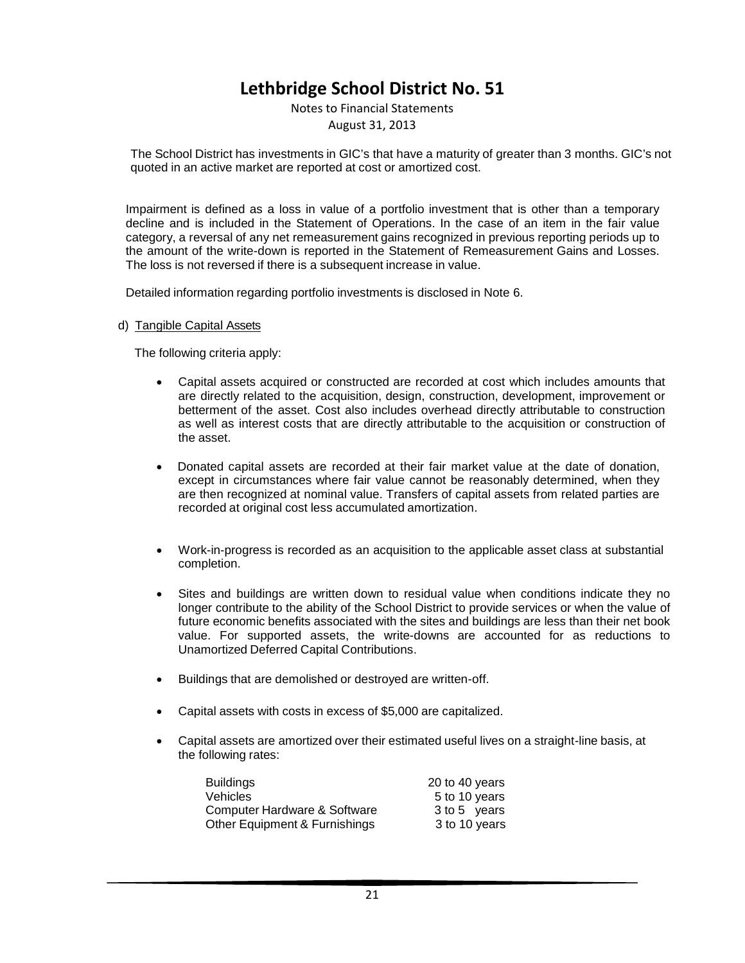Notes to Financial Statements August 31, 2013

The School District has investments in GIC's that have a maturity of greater than 3 months. GIC's not quoted in an active market are reported at cost or amortized cost.

Impairment is defined as a loss in value of a portfolio investment that is other than a temporary decline and is included in the Statement of Operations. In the case of an item in the fair value category, a reversal of any net remeasurement gains recognized in previous reporting periods up to the amount of the write-down is reported in the Statement of Remeasurement Gains and Losses. The loss is not reversed if there is a subsequent increase in value.

Detailed information regarding portfolio investments is disclosed in Note 6.

#### d) Tangible Capital Assets

The following criteria apply:

- Capital assets acquired or constructed are recorded at cost which includes amounts that are directly related to the acquisition, design, construction, development, improvement or betterment of the asset. Cost also includes overhead directly attributable to construction as well as interest costs that are directly attributable to the acquisition or construction of the asset.
- Donated capital assets are recorded at their fair market value at the date of donation, except in circumstances where fair value cannot be reasonably determined, when they are then recognized at nominal value. Transfers of capital assets from related parties are recorded at original cost less accumulated amortization.
- Work-in-progress is recorded as an acquisition to the applicable asset class at substantial completion.
- Sites and buildings are written down to residual value when conditions indicate they no longer contribute to the ability of the School District to provide services or when the value of future economic benefits associated with the sites and buildings are less than their net book value. For supported assets, the write-downs are accounted for as reductions to Unamortized Deferred Capital Contributions.
- Buildings that are demolished or destroyed are written-off.
- Capital assets with costs in excess of \$5,000 are capitalized.
- Capital assets are amortized over their estimated useful lives on a straight-line basis, at the following rates:

| Buildings                     | 20 to 40 years |
|-------------------------------|----------------|
| <b>Vehicles</b>               | 5 to 10 years  |
| Computer Hardware & Software  | 3 to 5 vears   |
| Other Equipment & Furnishings | 3 to 10 years  |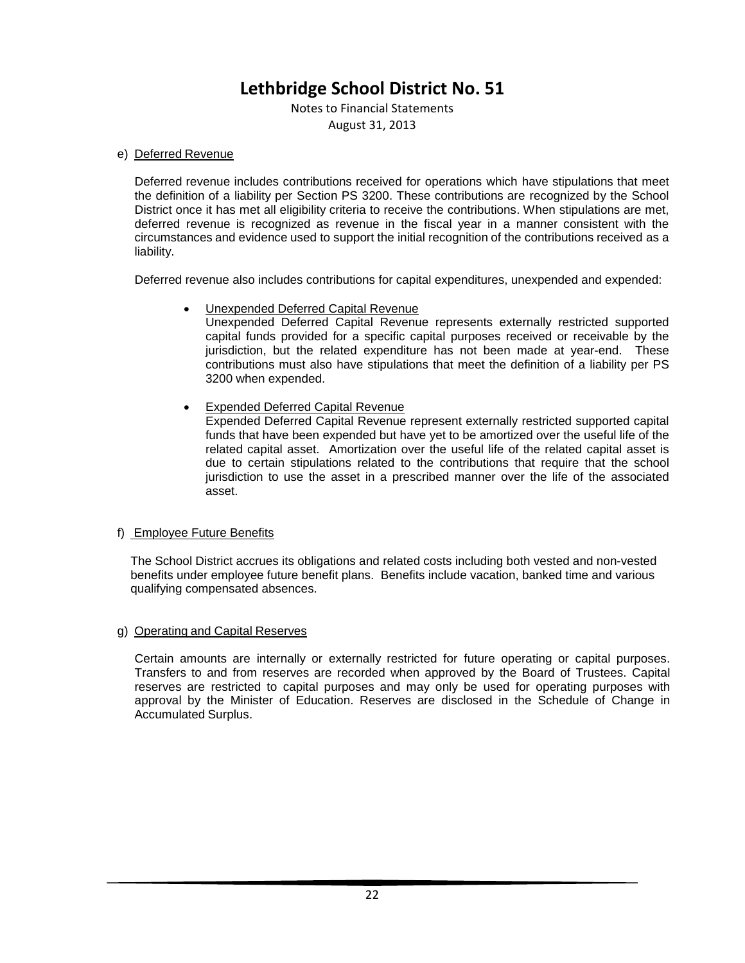Notes to Financial Statements August 31, 2013

#### e) Deferred Revenue

Deferred revenue includes contributions received for operations which have stipulations that meet the definition of a liability per Section PS 3200. These contributions are recognized by the School District once it has met all eligibility criteria to receive the contributions. When stipulations are met, deferred revenue is recognized as revenue in the fiscal year in a manner consistent with the circumstances and evidence used to support the initial recognition of the contributions received as a liability.

Deferred revenue also includes contributions for capital expenditures, unexpended and expended:

Unexpended Deferred Capital Revenue

Unexpended Deferred Capital Revenue represents externally restricted supported capital funds provided for a specific capital purposes received or receivable by the jurisdiction, but the related expenditure has not been made at year-end. These contributions must also have stipulations that meet the definition of a liability per PS 3200 when expended.

Expended Deferred Capital Revenue

Expended Deferred Capital Revenue represent externally restricted supported capital funds that have been expended but have yet to be amortized over the useful life of the related capital asset. Amortization over the useful life of the related capital asset is due to certain stipulations related to the contributions that require that the school jurisdiction to use the asset in a prescribed manner over the life of the associated asset.

#### f) Employee Future Benefits

The School District accrues its obligations and related costs including both vested and non-vested benefits under employee future benefit plans. Benefits include vacation, banked time and various qualifying compensated absences.

g) Operating and Capital Reserves

Certain amounts are internally or externally restricted for future operating or capital purposes. Transfers to and from reserves are recorded when approved by the Board of Trustees. Capital reserves are restricted to capital purposes and may only be used for operating purposes with approval by the Minister of Education. Reserves are disclosed in the Schedule of Change in Accumulated Surplus.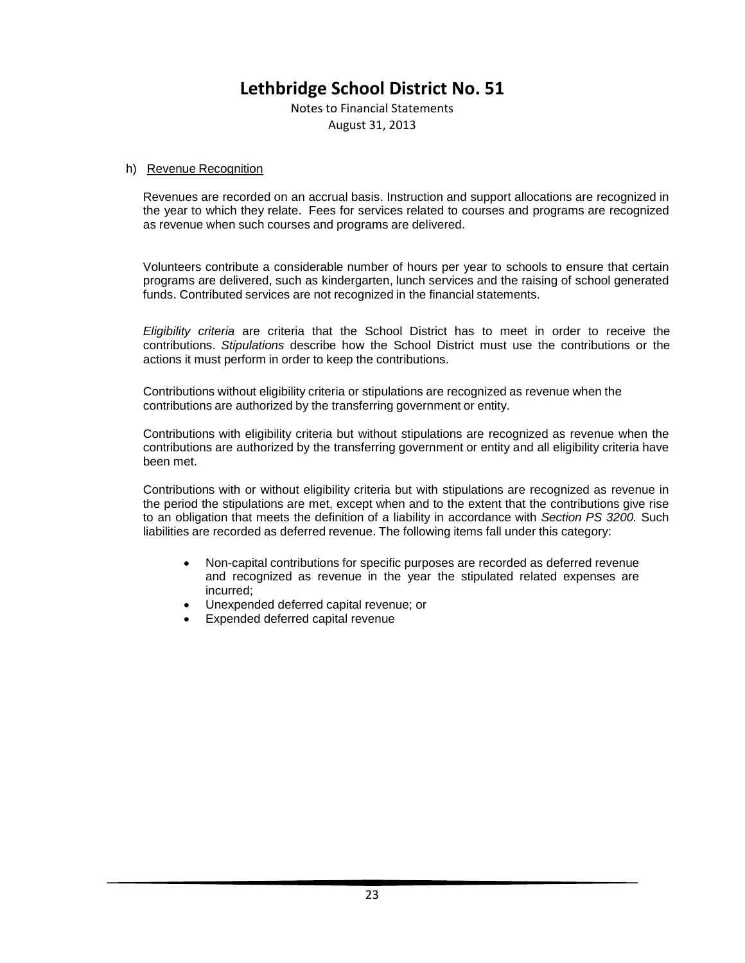Notes to Financial Statements August 31, 2013

#### h) Revenue Recognition

Revenues are recorded on an accrual basis. Instruction and support allocations are recognized in the year to which they relate. Fees for services related to courses and programs are recognized as revenue when such courses and programs are delivered.

Volunteers contribute a considerable number of hours per year to schools to ensure that certain programs are delivered, such as kindergarten, lunch services and the raising of school generated funds. Contributed services are not recognized in the financial statements.

*Eligibility criteria* are criteria that the School District has to meet in order to receive the contributions. *Stipulations* describe how the School District must use the contributions or the actions it must perform in order to keep the contributions.

Contributions without eligibility criteria or stipulations are recognized as revenue when the contributions are authorized by the transferring government or entity.

Contributions with eligibility criteria but without stipulations are recognized as revenue when the contributions are authorized by the transferring government or entity and all eligibility criteria have been met.

Contributions with or without eligibility criteria but with stipulations are recognized as revenue in the period the stipulations are met, except when and to the extent that the contributions give rise to an obligation that meets the definition of a liability in accordance with *Section PS 3200.* Such liabilities are recorded as deferred revenue. The following items fall under this category:

- Non-capital contributions for specific purposes are recorded as deferred revenue and recognized as revenue in the year the stipulated related expenses are incurred;
- Unexpended deferred capital revenue; or
- Expended deferred capital revenue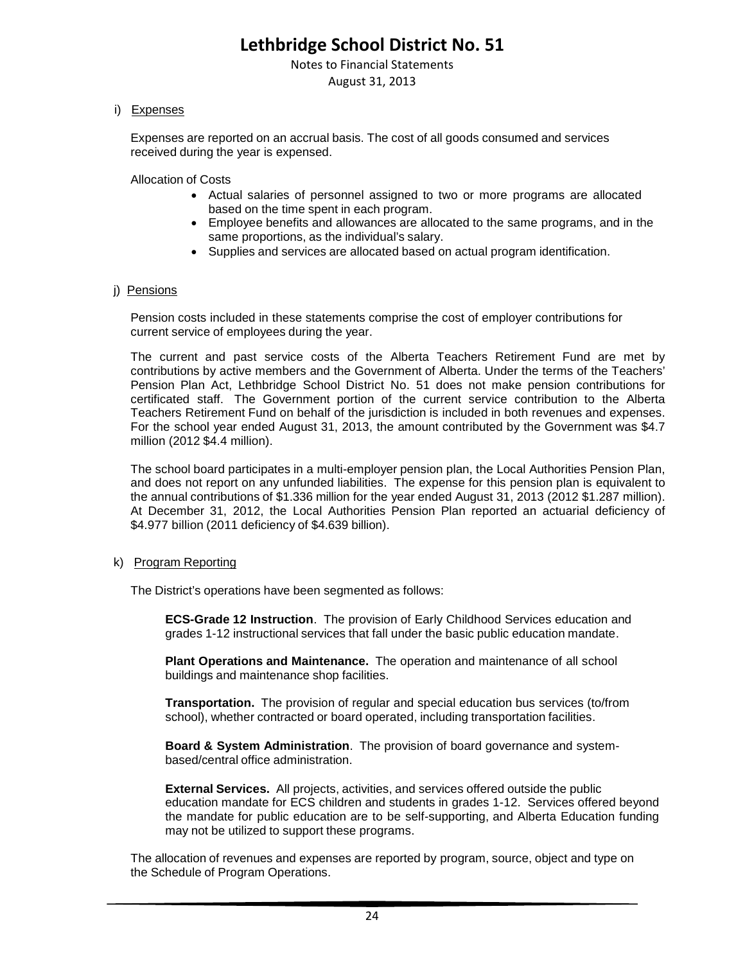Notes to Financial Statements August 31, 2013

#### i) Expenses

Expenses are reported on an accrual basis. The cost of all goods consumed and services received during the year is expensed.

Allocation of Costs

- Actual salaries of personnel assigned to two or more programs are allocated based on the time spent in each program.
- Employee benefits and allowances are allocated to the same programs, and in the same proportions, as the individual's salary.
- Supplies and services are allocated based on actual program identification.

#### j) Pensions

Pension costs included in these statements comprise the cost of employer contributions for current service of employees during the year.

The current and past service costs of the Alberta Teachers Retirement Fund are met by contributions by active members and the Government of Alberta. Under the terms of the Teachers' Pension Plan Act, Lethbridge School District No. 51 does not make pension contributions for certificated staff. The Government portion of the current service contribution to the Alberta Teachers Retirement Fund on behalf of the jurisdiction is included in both revenues and expenses. For the school year ended August 31, 2013, the amount contributed by the Government was \$4.7 million (2012 \$4.4 million).

The school board participates in a multi-employer pension plan, the Local Authorities Pension Plan, and does not report on any unfunded liabilities. The expense for this pension plan is equivalent to the annual contributions of \$1.336 million for the year ended August 31, 2013 (2012 \$1.287 million). At December 31, 2012, the Local Authorities Pension Plan reported an actuarial deficiency of \$4.977 billion (2011 deficiency of \$4.639 billion).

#### k) Program Reporting

The District's operations have been segmented as follows:

**ECS-Grade 12 Instruction**. The provision of Early Childhood Services education and grades 1-12 instructional services that fall under the basic public education mandate.

**Plant Operations and Maintenance.** The operation and maintenance of all school buildings and maintenance shop facilities.

**Transportation.** The provision of regular and special education bus services (to/from school), whether contracted or board operated, including transportation facilities.

**Board & System Administration**. The provision of board governance and systembased/central office administration.

**External Services.** All projects, activities, and services offered outside the public education mandate for ECS children and students in grades 1-12. Services offered beyond the mandate for public education are to be self-supporting, and Alberta Education funding may not be utilized to support these programs.

The allocation of revenues and expenses are reported by program, source, object and type on the Schedule of Program Operations.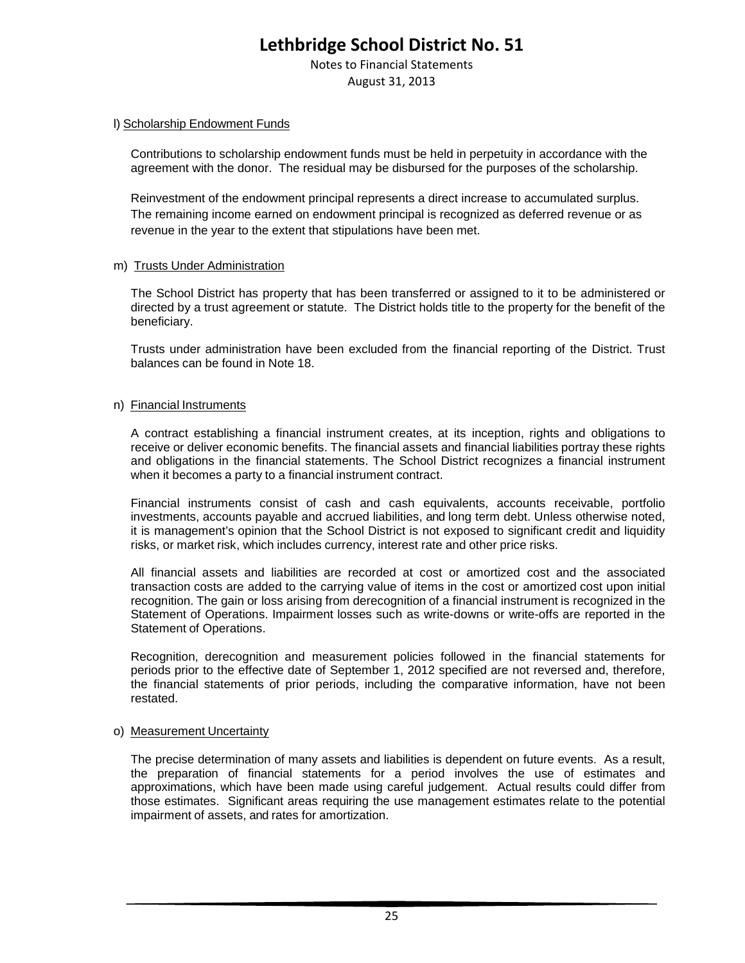Notes to Financial Statements August 31, 2013

#### l) Scholarship Endowment Funds

Contributions to scholarship endowment funds must be held in perpetuity in accordance with the agreement with the donor. The residual may be disbursed for the purposes of the scholarship.

Reinvestment of the endowment principal represents a direct increase to accumulated surplus. The remaining income earned on endowment principal is recognized as deferred revenue or as revenue in the year to the extent that stipulations have been met.

#### m) Trusts Under Administration

The School District has property that has been transferred or assigned to it to be administered or directed by a trust agreement or statute. The District holds title to the property for the benefit of the beneficiary.

Trusts under administration have been excluded from the financial reporting of the District. Trust balances can be found in Note 18.

#### n) Financial Instruments

A contract establishing a financial instrument creates, at its inception, rights and obligations to receive or deliver economic benefits. The financial assets and financial liabilities portray these rights and obligations in the financial statements. The School District recognizes a financial instrument when it becomes a party to a financial instrument contract.

Financial instruments consist of cash and cash equivalents, accounts receivable, portfolio investments, accounts payable and accrued liabilities, and long term debt. Unless otherwise noted, it is management's opinion that the School District is not exposed to significant credit and liquidity risks, or market risk, which includes currency, interest rate and other price risks.

All financial assets and liabilities are recorded at cost or amortized cost and the associated transaction costs are added to the carrying value of items in the cost or amortized cost upon initial recognition. The gain or loss arising from derecognition of a financial instrument is recognized in the Statement of Operations. Impairment losses such as write-downs or write-offs are reported in the Statement of Operations.

Recognition, derecognition and measurement policies followed in the financial statements for periods prior to the effective date of September 1, 2012 specified are not reversed and, therefore, the financial statements of prior periods, including the comparative information, have not been restated.

#### o) Measurement Uncertainty

The precise determination of many assets and liabilities is dependent on future events. As a result, the preparation of financial statements for a period involves the use of estimates and approximations, which have been made using careful judgement. Actual results could differ from those estimates. Significant areas requiring the use management estimates relate to the potential impairment of assets, and rates for amortization.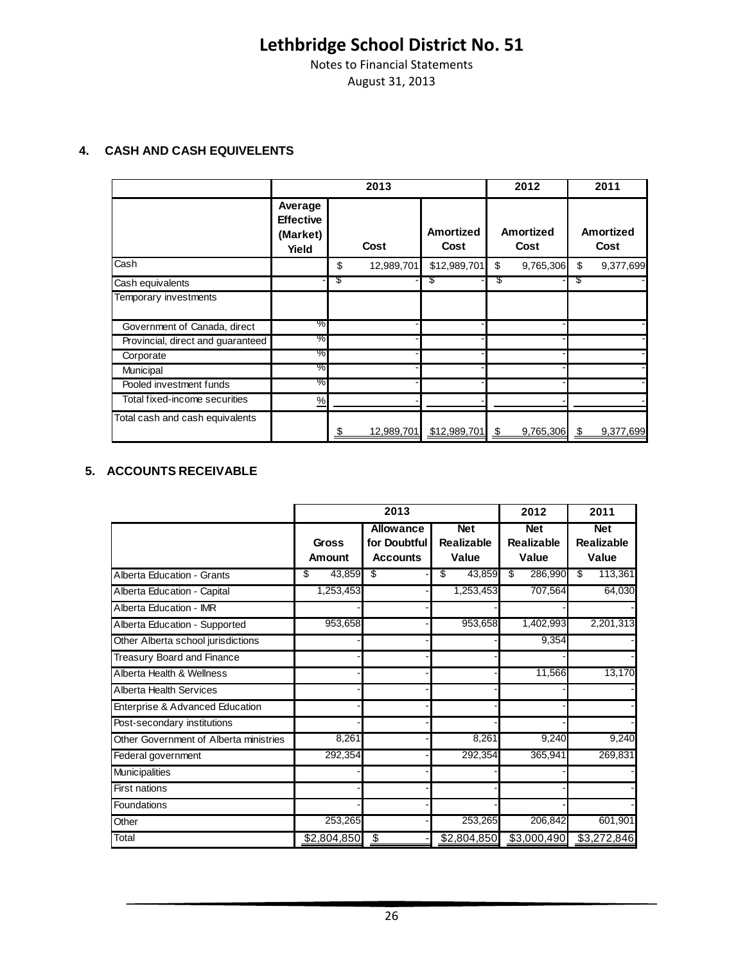Notes to Financial Statements August 31, 2013

#### **4. CASH AND CASH EQUIVELENTS**

|                                   |                                                  | 2013             |                          | 2012                     | 2011              |
|-----------------------------------|--------------------------------------------------|------------------|--------------------------|--------------------------|-------------------|
|                                   | Average<br><b>Effective</b><br>(Market)<br>Yield | Cost             | <b>Amortized</b><br>Cost | <b>Amortized</b><br>Cost | Amortized<br>Cost |
| Cash                              |                                                  | \$<br>12,989,701 | \$12,989,701             | \$<br>9,765,306          | \$<br>9,377,699   |
| Cash equivalents                  |                                                  | \$               | \$                       | \$                       | Φ                 |
| Temporary investments             |                                                  |                  |                          |                          |                   |
| Government of Canada, direct      | %                                                |                  |                          |                          |                   |
| Provincial, direct and guaranteed | %                                                |                  |                          |                          |                   |
| Corporate                         | %                                                |                  |                          |                          |                   |
| Municipal                         | ℅                                                |                  |                          |                          |                   |
| Pooled investment funds           | ℅                                                |                  |                          |                          |                   |
| Total fixed-income securities     | %                                                |                  |                          |                          |                   |
| Total cash and cash equivalents   |                                                  | 12,989,701       | \$12,989,701             | 9,765,306                | 9,377,699         |

#### **5. ACCOUNTS RECEIVABLE**

|                                        |                 | 2013                                                |                                          | 2012                                     | 2011                                     |
|----------------------------------------|-----------------|-----------------------------------------------------|------------------------------------------|------------------------------------------|------------------------------------------|
|                                        | Gross<br>Amount | <b>Allowance</b><br>for Doubtful<br><b>Accounts</b> | <b>Net</b><br><b>Realizable</b><br>Value | <b>Net</b><br><b>Realizable</b><br>Value | <b>Net</b><br><b>Realizable</b><br>Value |
| Alberta Education - Grants             | 43,859<br>\$    | \$                                                  | 43,859<br>\$                             | \$<br>286,990                            | 113,361<br>\$                            |
| Alberta Education - Capital            | 1,253,453       |                                                     | 1,253,453                                | 707,564                                  | 64,030                                   |
| Alberta Education - IMR                |                 |                                                     |                                          |                                          |                                          |
| Alberta Education - Supported          | 953,658         |                                                     | 953,658                                  | 1,402,993                                | 2,201,313                                |
| Other Alberta school jurisdictions     |                 |                                                     |                                          | 9,354                                    |                                          |
| Treasury Board and Finance             |                 |                                                     |                                          |                                          |                                          |
| Alberta Health & Wellness              |                 |                                                     |                                          | 11,566                                   | 13,170                                   |
| Alberta Health Services                |                 |                                                     |                                          |                                          |                                          |
| Enterprise & Advanced Education        |                 |                                                     |                                          |                                          |                                          |
| Post-secondary institutions            |                 |                                                     |                                          |                                          |                                          |
| Other Government of Alberta ministries | 8,261           |                                                     | 8,261                                    | 9,240                                    | 9,240                                    |
| Federal government                     | 292,354         |                                                     | 292,354                                  | 365,941                                  | 269,831                                  |
| <b>Municipalities</b>                  |                 |                                                     |                                          |                                          |                                          |
| <b>First nations</b>                   |                 |                                                     |                                          |                                          |                                          |
| Foundations                            |                 |                                                     |                                          |                                          |                                          |
| Other                                  | 253,265         |                                                     | 253,265                                  | 206,842                                  | 601,901                                  |
| Total                                  | \$2,804,850     | \$                                                  | \$2,804,850                              | \$3,000,490                              | \$3,272,846                              |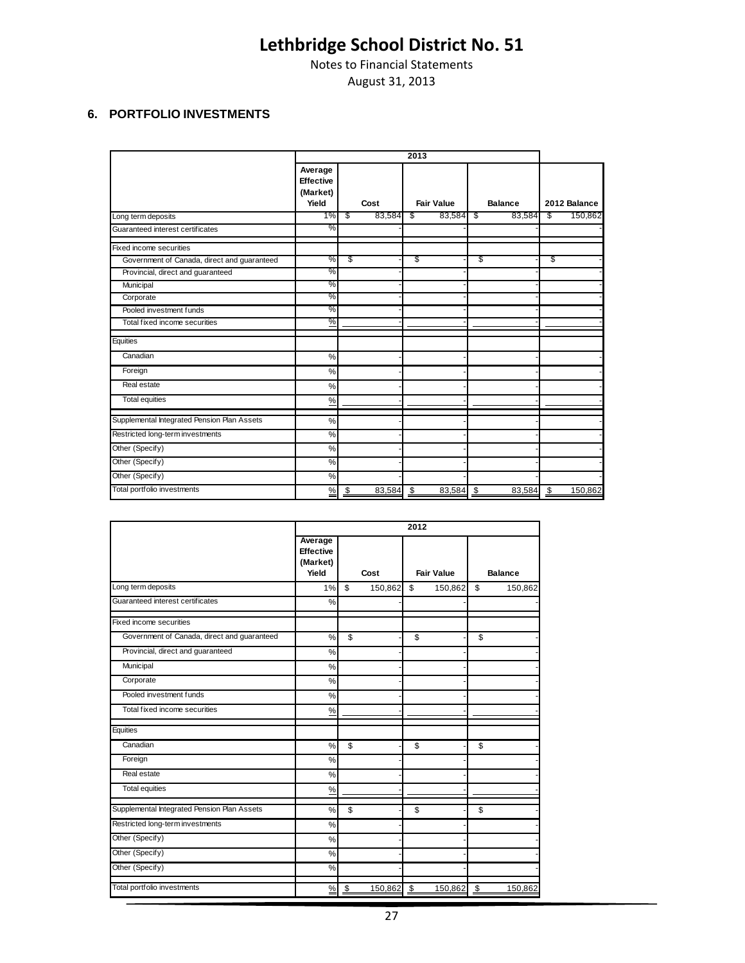Notes to Financial Statements August 31, 2013

#### **6. PORTFOLIO INVESTMENTS**

|                                             |                                                  |                |        | 2013           |                   |                |                |                |              |
|---------------------------------------------|--------------------------------------------------|----------------|--------|----------------|-------------------|----------------|----------------|----------------|--------------|
|                                             | Average<br><b>Effective</b><br>(Market)<br>Yield |                | Cost   |                | <b>Fair Value</b> |                | <b>Balance</b> |                | 2012 Balance |
| Long term deposits                          | 1%                                               | S              | 83,584 | -\$            | 83,584 \$         |                | 83,584         | S              | 150,862      |
| Guaranteed interest certificates            | %                                                |                |        |                |                   |                |                |                |              |
| Fixed income securities                     |                                                  |                |        |                |                   |                |                |                |              |
| Government of Canada, direct and guaranteed | %                                                | S              |        | \$             |                   | \$             |                | \$             |              |
| Provincial, direct and guaranteed           | ℅                                                |                |        |                |                   |                |                |                |              |
| Municipal                                   | %                                                |                |        |                |                   |                |                |                |              |
| Corporate                                   | ℅                                                |                |        |                |                   |                |                |                |              |
| Pooled investment funds                     | ℅                                                |                |        |                |                   |                |                |                |              |
| Total fixed income securities               | %                                                |                |        |                |                   |                |                |                |              |
| Equities                                    |                                                  |                |        |                |                   |                |                |                |              |
| Canadian                                    | %                                                |                |        |                |                   |                |                |                |              |
| Foreign                                     | %                                                |                |        |                |                   |                |                |                |              |
| Real estate                                 | %                                                |                |        |                |                   |                |                |                |              |
| <b>Total equities</b>                       | $\frac{0}{2}$                                    |                |        |                |                   |                |                |                |              |
| Supplemental Integrated Pension Plan Assets | %                                                |                |        |                |                   |                |                |                |              |
| Restricted long-term investments            | %                                                |                |        |                |                   |                |                |                |              |
| Other (Specify)                             | %                                                |                |        |                |                   |                |                |                |              |
| Other (Specify)                             | %                                                |                |        |                |                   |                |                |                |              |
| Other (Specify)                             | %                                                |                |        |                |                   |                |                |                |              |
| Total portfolio investments                 | $\frac{9}{6}$                                    | $\mathfrak{L}$ | 83,584 | $\mathfrak{L}$ | 83,584            | $\mathfrak{s}$ | 83,584         | $\mathfrak{L}$ | 150,862      |

|                                             |                                           |                         |         | 2012                     |                   |                |
|---------------------------------------------|-------------------------------------------|-------------------------|---------|--------------------------|-------------------|----------------|
|                                             | Average<br>Effective<br>(Market)<br>Yield |                         | Cost    |                          | <b>Fair Value</b> | <b>Balance</b> |
| Long term deposits                          | 1%                                        | \$                      | 150,862 | \$                       | 150,862           | \$<br>150,862  |
| Guaranteed interest certificates            | %                                         |                         |         |                          |                   |                |
| Fixed income securities                     |                                           |                         |         |                          |                   |                |
| Government of Canada, direct and guaranteed | $\%$                                      | $\overline{\mathbb{S}}$ |         | $\overline{\mathcal{S}}$ |                   | \$             |
| Provincial, direct and guaranteed           | %                                         |                         |         |                          |                   |                |
| Municipal                                   | %                                         |                         |         |                          |                   |                |
| Corporate                                   | %                                         |                         |         |                          |                   |                |
| Pooled investment funds                     | %                                         |                         |         |                          |                   |                |
| Total fixed income securities               | $\%$                                      |                         |         |                          |                   |                |
| Equities                                    |                                           |                         |         |                          |                   |                |
| Canadian                                    | $\%$                                      | \$                      |         | \$                       |                   | \$             |
| Foreign                                     | $\%$                                      |                         |         |                          |                   |                |
| Real estate                                 | %                                         |                         |         |                          |                   |                |
| <b>Total equities</b>                       | $\frac{0}{2}$                             |                         |         |                          |                   |                |
| Supplemental Integrated Pension Plan Assets | $\frac{0}{0}$                             | \$                      |         | \$                       |                   | \$             |
| Restricted long-term investments            | %                                         |                         |         |                          |                   |                |
| Other (Specify)                             | $\%$                                      |                         |         |                          |                   |                |
| Other (Specify)                             | %                                         |                         |         |                          |                   |                |
| Other (Specify)                             | %                                         |                         |         |                          |                   |                |
| Total portfolio investments                 | $\%$                                      | \$                      | 150,862 | $\sqrt{2}$               | 150,862           | \$<br>150,862  |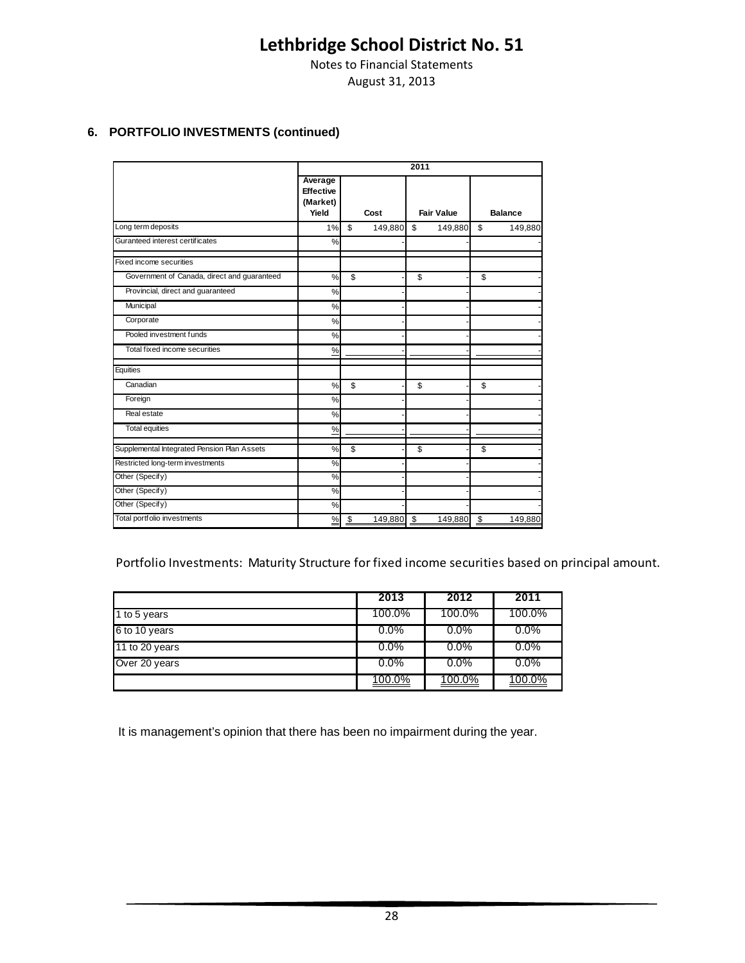Notes to Financial Statements August 31, 2013

#### **6. PORTFOLIO INVESTMENTS (continued)**

|                                             |                                                  |               |         | 2011           |                   |               |                |  |  |  |  |  |  |  |
|---------------------------------------------|--------------------------------------------------|---------------|---------|----------------|-------------------|---------------|----------------|--|--|--|--|--|--|--|
|                                             | Average<br><b>Effective</b><br>(Market)<br>Yield |               | Cost    |                | <b>Fair Value</b> |               | <b>Balance</b> |  |  |  |  |  |  |  |
| Long term deposits                          | 1%                                               | \$            | 149,880 | \$             | 149,880           | \$            | 149,880        |  |  |  |  |  |  |  |
| Guranteed interest certificates             | %                                                |               |         |                |                   |               |                |  |  |  |  |  |  |  |
| Fixed income securities                     |                                                  |               |         |                |                   |               |                |  |  |  |  |  |  |  |
| Government of Canada, direct and guaranteed | $\%$                                             | \$            |         | \$             |                   | \$            |                |  |  |  |  |  |  |  |
| Provincial, direct and guaranteed           | %                                                |               |         |                |                   |               |                |  |  |  |  |  |  |  |
| Municipal                                   | %                                                |               |         |                |                   |               |                |  |  |  |  |  |  |  |
| Corporate                                   | %                                                |               |         |                |                   |               |                |  |  |  |  |  |  |  |
| Pooled investment funds                     | $\frac{0}{0}$                                    |               |         |                |                   |               |                |  |  |  |  |  |  |  |
| Total fixed income securities               | $\%$                                             |               |         |                |                   |               |                |  |  |  |  |  |  |  |
| Equities                                    |                                                  |               |         |                |                   |               |                |  |  |  |  |  |  |  |
| Canadian                                    | %                                                | \$            |         | \$             |                   | \$            |                |  |  |  |  |  |  |  |
| Foreign                                     | %                                                |               |         |                |                   |               |                |  |  |  |  |  |  |  |
| Real estate                                 | %                                                |               |         |                |                   |               |                |  |  |  |  |  |  |  |
| <b>Total equities</b>                       | $\%$                                             |               |         |                |                   |               |                |  |  |  |  |  |  |  |
| Supplemental Integrated Pension Plan Assets | $\%$                                             | \$            |         | \$             |                   | \$            |                |  |  |  |  |  |  |  |
| Restricted long-term investments            | $\%$                                             |               |         |                |                   |               |                |  |  |  |  |  |  |  |
| Other (Specify)                             | %                                                |               |         |                |                   |               |                |  |  |  |  |  |  |  |
| Other (Specify)                             | %                                                |               |         |                |                   |               |                |  |  |  |  |  |  |  |
| Other (Specify)                             | %                                                |               |         |                |                   |               |                |  |  |  |  |  |  |  |
| Total portfolio investments                 | $\frac{9}{6}$                                    | $\frac{3}{2}$ | 149,880 | $\mathfrak{S}$ | 149,880           | $\mathcal{S}$ | 149,880        |  |  |  |  |  |  |  |

Portfolio Investments: Maturity Structure for fixed income securities based on principal amount.

|                           | 2013    | 2012            | 2011    |
|---------------------------|---------|-----------------|---------|
| $\overline{1}$ to 5 years | 100.0%  | 100.0%          | 100.0%  |
| 6 to 10 years             | $0.0\%$ | $0.0\%$         | $0.0\%$ |
| 11 to 20 years            | $0.0\%$ | $0.0\%$         | $0.0\%$ |
| Over 20 years             | $0.0\%$ | $0.0\%$         | $0.0\%$ |
|                           | ' 00.0% | 1 <u>00.0</u> % | 00.0%   |

It is management's opinion that there has been no impairment during the year.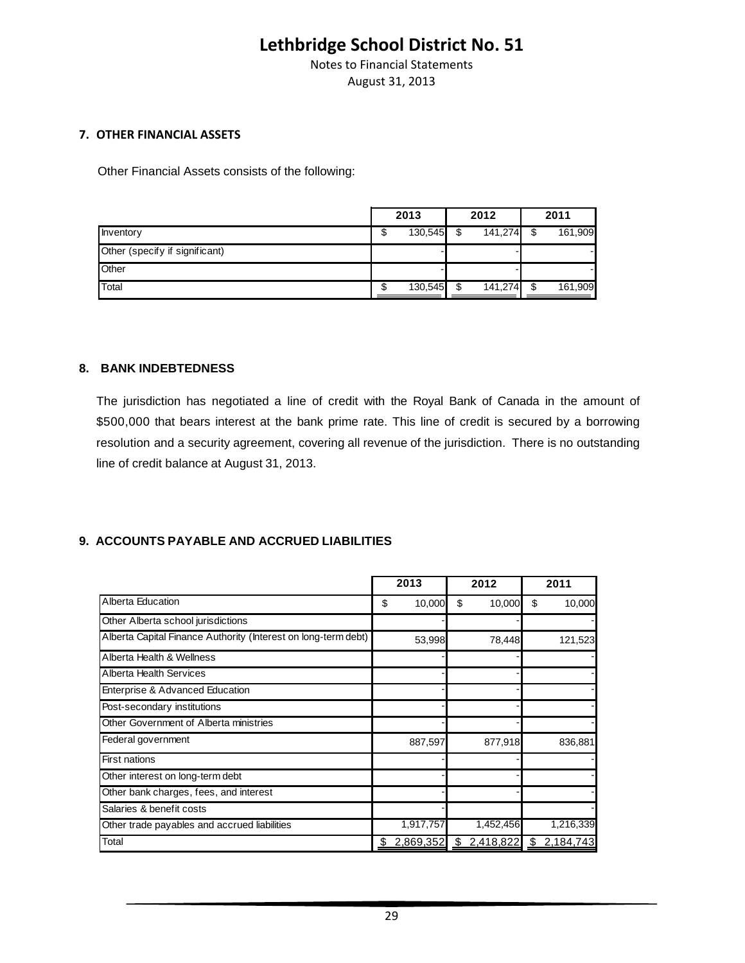Notes to Financial Statements August 31, 2013

#### **7. OTHER FINANCIAL ASSETS**

Other Financial Assets consists of the following:

|                                |    | 2013    |    | 2012    | 2011          |
|--------------------------------|----|---------|----|---------|---------------|
| Inventory                      |    | 130,545 | -S | 141,274 | \$<br>161,909 |
| Other (specify if significant) |    |         |    |         |               |
| Other                          |    |         |    |         |               |
| Total                          | ۰D | 130,545 | \$ | 141,274 | 161,909       |

#### **8. BANK INDEBTEDNESS**

The jurisdiction has negotiated a line of credit with the Royal Bank of Canada in the amount of \$500,000 that bears interest at the bank prime rate. This line of credit is secured by a borrowing resolution and a security agreement, covering all revenue of the jurisdiction. There is no outstanding line of credit balance at August 31, 2013.

#### **9. ACCOUNTS PAYABLE AND ACCRUED LIABILITIES**

|                                                                | 2013            | 2012            | 2011            |
|----------------------------------------------------------------|-----------------|-----------------|-----------------|
| Alberta Education                                              | \$<br>10,000    | \$<br>10,000    | \$<br>10,000    |
| Other Alberta school jurisdictions                             |                 |                 |                 |
| Alberta Capital Finance Authority (Interest on long-term debt) | 53,998          | 78,448          | 121,523         |
| Alberta Health & Wellness                                      |                 |                 |                 |
| Alberta Health Services                                        |                 |                 |                 |
| Enterprise & Advanced Education                                |                 |                 |                 |
| Post-secondary institutions                                    |                 |                 |                 |
| Other Government of Alberta ministries                         |                 |                 |                 |
| Federal government                                             | 887,597         | 877,918         | 836,881         |
| First nations                                                  |                 |                 |                 |
| Other interest on long-term debt                               |                 |                 |                 |
| Other bank charges, fees, and interest                         |                 |                 |                 |
| Salaries & benefit costs                                       |                 |                 |                 |
| Other trade payables and accrued liabilities                   | 1,917,757       | 1,452,456       | 1,216,339       |
| Total                                                          | \$<br>2,869,352 | \$<br>2,418,822 | \$<br>2,184,743 |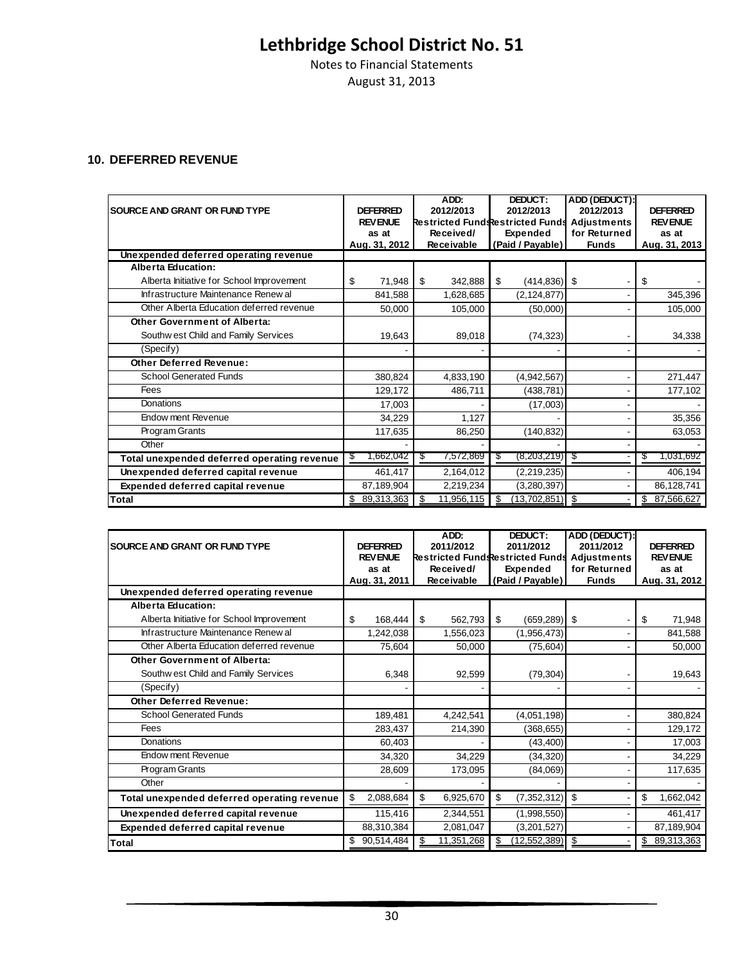Notes to Financial Statements August 31, 2013

#### **10. DEFERRED REVENUE**

| SOURCE AND GRANT OR FUND TYPE               | <b>DEFERRED</b><br><b>REVENUE</b><br>as at<br>Aug. 31, 2012 | ADD:<br>2012/2013<br><b>Restricted Funds estricted Funds</b><br>Received/<br><b>Receivable</b> | DEDUCT:<br>2012/2013<br><b>Expended</b><br>(Paid / Payable) | ADD (DEDUCT):<br>2012/2013<br>Adjustments<br>for Returned<br><b>Funds</b> | <b>DEFERRED</b><br><b>REVENUE</b><br>as at<br>Aug. 31, 2013 |
|---------------------------------------------|-------------------------------------------------------------|------------------------------------------------------------------------------------------------|-------------------------------------------------------------|---------------------------------------------------------------------------|-------------------------------------------------------------|
| Unexpended deferred operating revenue       |                                                             |                                                                                                |                                                             |                                                                           |                                                             |
| <b>Alberta Education:</b>                   |                                                             |                                                                                                |                                                             |                                                                           |                                                             |
| Alberta Initiative for School Improvement   | 71,948<br>\$                                                | \$<br>342,888                                                                                  | \$<br>$(414, 836)$ \$                                       |                                                                           | \$                                                          |
| Infrastructure Maintenance Renew al         | 841,588                                                     | 1,628,685                                                                                      | (2, 124, 877)                                               |                                                                           | 345,396                                                     |
| Other Alberta Education deferred revenue    | 50,000                                                      | 105,000                                                                                        | (50,000)                                                    |                                                                           | 105,000                                                     |
| <b>Other Government of Alberta:</b>         |                                                             |                                                                                                |                                                             |                                                                           |                                                             |
| Southw est Child and Family Services        | 19,643                                                      | 89,018                                                                                         | (74, 323)                                                   |                                                                           | 34,338                                                      |
| (Specify)                                   |                                                             |                                                                                                |                                                             |                                                                           |                                                             |
| <b>Other Deferred Revenue:</b>              |                                                             |                                                                                                |                                                             |                                                                           |                                                             |
| <b>School Generated Funds</b>               | 380,824                                                     | 4,833,190                                                                                      | (4,942,567)                                                 |                                                                           | 271,447                                                     |
| Fees                                        | 129,172                                                     | 486,711                                                                                        | (438, 781)                                                  |                                                                           | 177,102                                                     |
| Donations                                   | 17,003                                                      |                                                                                                | (17,003)                                                    |                                                                           |                                                             |
| Endow ment Revenue                          | 34,229                                                      | 1,127                                                                                          |                                                             |                                                                           | 35,356                                                      |
| Program Grants                              | 117,635                                                     | 86,250                                                                                         | (140, 832)                                                  |                                                                           | 63,053                                                      |
| Other                                       |                                                             |                                                                                                |                                                             |                                                                           |                                                             |
| Total unexpended deferred operating revenue | .662.042<br>Ъ                                               | 7,572,869<br>Ъ                                                                                 | (8,203,219)                                                 | Ъ                                                                         | 1,031,692<br>Ъ                                              |
| Unexpended deferred capital revenue         | 461,417                                                     | 2,164,012                                                                                      | (2,219,235)                                                 |                                                                           | 406,194                                                     |
| <b>Expended deferred capital revenue</b>    | 87,189,904                                                  | 2,219,234                                                                                      | (3,280,397)                                                 |                                                                           | 86,128,741                                                  |
| Total                                       | 89,313,363<br>\$.                                           | 11,956,115<br>\$                                                                               | (13,702,851)                                                | \$                                                                        | 87,566,627<br>\$                                            |

| SOURCE AND GRANT OR FUND TYPE               | <b>DEFERRED</b><br><b>REVENUE</b><br>as at<br>Aug. 31, 2011 | ADD:<br>2011/2012<br>Received/<br>Receivable | DEDUCT:<br>2011/2012<br><b>Restricted Funds Restricted Funds</b><br>Expended<br>(Paid / Payable) | ADD (DEDUCT):<br>2011/2012<br>Adjustments<br>for Returned<br><b>Funds</b> | <b>DEFERRED</b><br><b>REVENUE</b><br>as at<br>Aug. 31, 2012 |
|---------------------------------------------|-------------------------------------------------------------|----------------------------------------------|--------------------------------------------------------------------------------------------------|---------------------------------------------------------------------------|-------------------------------------------------------------|
| Unexpended deferred operating revenue       |                                                             |                                              |                                                                                                  |                                                                           |                                                             |
| <b>Alberta Education:</b>                   |                                                             |                                              |                                                                                                  |                                                                           |                                                             |
| Alberta Initiative for School Improvement   | \$<br>168,444                                               | \$<br>562,793                                | \$.<br>(659, 289)                                                                                | \$                                                                        | \$<br>71,948                                                |
| Infrastructure Maintenance Renew al         | 1,242,038                                                   | 1,556,023                                    | (1,956,473)                                                                                      |                                                                           | 841,588                                                     |
| Other Alberta Education deferred revenue    | 75,604                                                      | 50,000                                       | (75, 604)                                                                                        |                                                                           | 50,000                                                      |
| <b>Other Government of Alberta:</b>         |                                                             |                                              |                                                                                                  |                                                                           |                                                             |
| Southw est Child and Family Services        | 6,348                                                       | 92,599                                       | (79, 304)                                                                                        |                                                                           | 19,643                                                      |
| (Specify)                                   |                                                             |                                              |                                                                                                  |                                                                           |                                                             |
| <b>Other Deferred Revenue:</b>              |                                                             |                                              |                                                                                                  |                                                                           |                                                             |
| <b>School Generated Funds</b>               | 189,481                                                     | 4,242,541                                    | (4,051,198)                                                                                      |                                                                           | 380,824                                                     |
| Fees                                        | 283,437                                                     | 214,390                                      | (368, 655)                                                                                       |                                                                           | 129,172                                                     |
| Donations                                   | 60,403                                                      |                                              | (43, 400)                                                                                        |                                                                           | 17,003                                                      |
| Endow ment Revenue                          | 34,320                                                      | 34,229                                       | (34, 320)                                                                                        |                                                                           | 34,229                                                      |
| Program Grants                              | 28,609                                                      | 173,095                                      | (84,069)                                                                                         |                                                                           | 117,635                                                     |
| Other                                       |                                                             |                                              |                                                                                                  |                                                                           |                                                             |
| Total unexpended deferred operating revenue | \$<br>2,088,684                                             | \$<br>6,925,670                              | \$<br>(7, 352, 312)                                                                              | \$                                                                        | \$<br>1,662,042                                             |
| Unexpended deferred capital revenue         | 115,416                                                     | 2,344,551                                    | (1,998,550)                                                                                      |                                                                           | 461,417                                                     |
| Expended deferred capital revenue           | 88,310,384                                                  | 2,081,047                                    | (3,201,527)                                                                                      |                                                                           | 87,189,904                                                  |
| <b>Total</b>                                | \$<br>90,514,484                                            | 11,351,268                                   | (12, 552, 389)                                                                                   | \$                                                                        | \$<br>89,313,363                                            |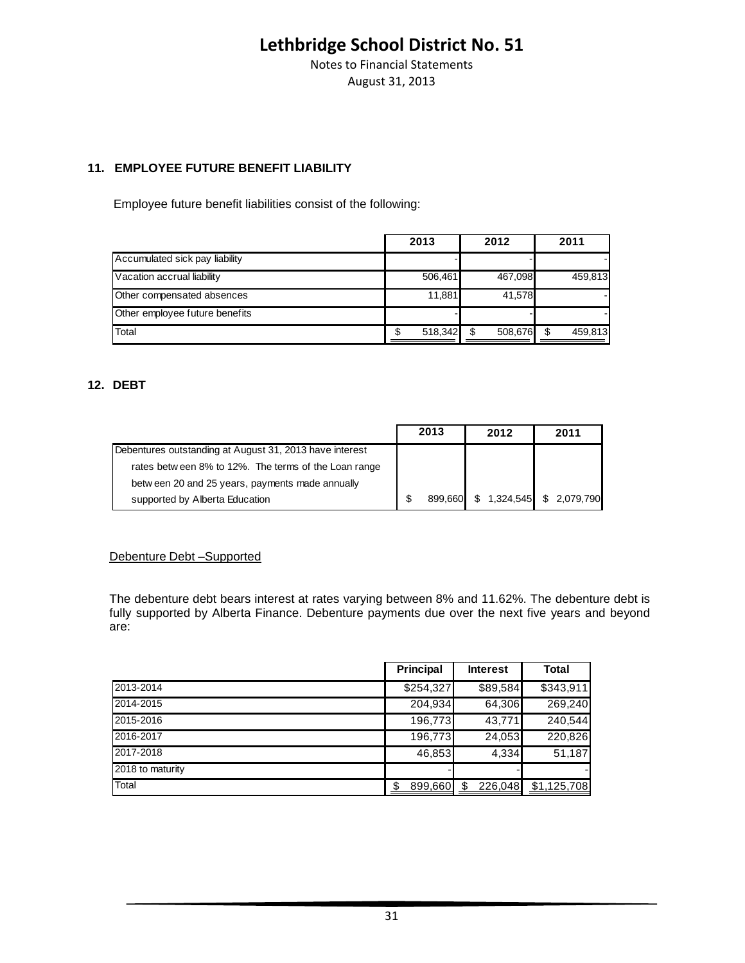Notes to Financial Statements August 31, 2013

#### **11. EMPLOYEE FUTURE BENEFIT LIABILITY**

Employee future benefit liabilities consist of the following:

|                                | 2013    | 2012    | 2011    |
|--------------------------------|---------|---------|---------|
| Accumulated sick pay liability |         |         |         |
| Vacation accrual liability     | 506,461 | 467,098 | 459,813 |
| Other compensated absences     | 11.881  | 41,578  |         |
| Other employee future benefits |         |         |         |
| Total                          | 518,342 | 508,676 | 459,813 |

#### **12. DEBT**

|                                                         | 2013    | 2012                      | 2011 |
|---------------------------------------------------------|---------|---------------------------|------|
| Debentures outstanding at August 31, 2013 have interest |         |                           |      |
| rates between 8% to 12%. The terms of the Loan range    |         |                           |      |
| betw een 20 and 25 years, payments made annually        |         |                           |      |
| supported by Alberta Education                          | 899.660 | $$1,324,545$ $$2,079,790$ |      |

#### Debenture Debt - Supported

The debenture debt bears interest at rates varying between 8% and 11.62%. The debenture debt is fully supported by Alberta Finance. Debenture payments due over the next five years and beyond are:

|                  | Principal | <b>Interest</b> | Total       |
|------------------|-----------|-----------------|-------------|
| 2013-2014        | \$254,327 | \$89,584        | \$343,911   |
| 2014-2015        | 204,934   | 64,306          | 269,240     |
| 2015-2016        | 196,773   | 43,771          | 240,544     |
| 2016-2017        | 196,773   | 24,053          | 220,826     |
| 2017-2018        | 46,853    | 4,334           | 51,187      |
| 2018 to maturity |           |                 |             |
| Total            | 899,660   | 226,048         | \$1,125,708 |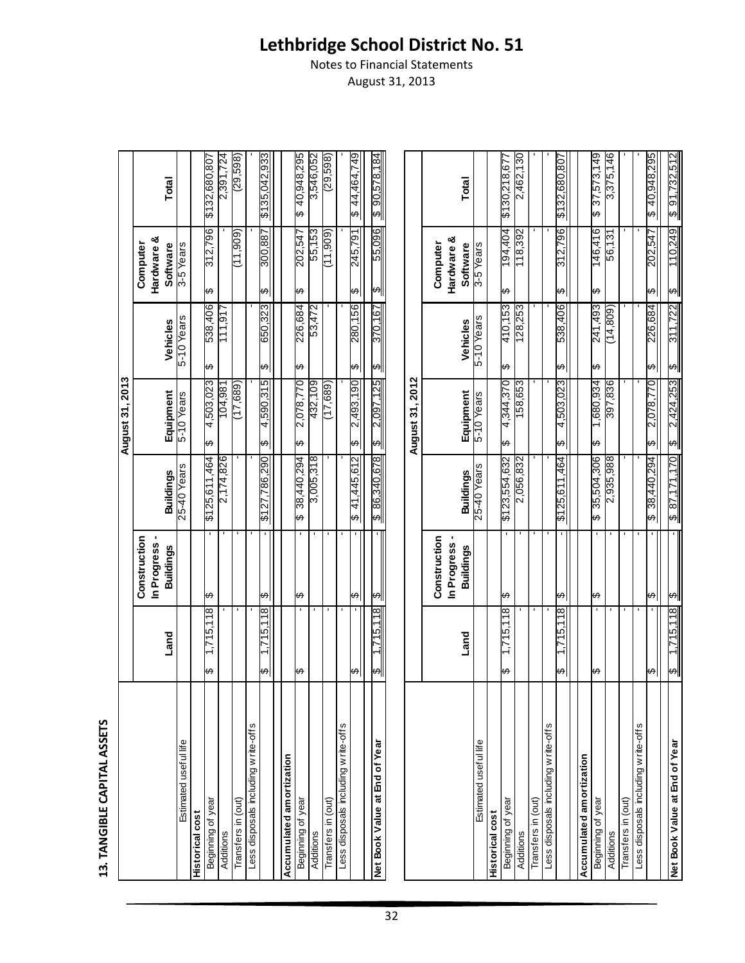Notes to Financial Statements August 31, 2013

|                                     |                       |                                                            |                         | August 31, 2013                      |                            |                               |                          |
|-------------------------------------|-----------------------|------------------------------------------------------------|-------------------------|--------------------------------------|----------------------------|-------------------------------|--------------------------|
|                                     |                       | Construction                                               |                         |                                      |                            | Computer                      |                          |
|                                     | Land                  | ı<br>In Progress<br><b>Buildings</b>                       | Buildings               | Equipment                            | Vehicles                   | Hardware &<br><b>Software</b> | <b>Total</b>             |
| Estimated useful life               |                       |                                                            | 25-40 Years             | 5-10 Years                           | 5-10 Years                 | 3-5 Years                     |                          |
| <b>Historical cost</b>              |                       |                                                            |                         |                                      |                            |                               |                          |
| Beginning of year                   | 1,715,118<br>မာ       | မာ                                                         | \$125,611,464           | 4,503,023<br>ക                       | 538,406<br>မာ              | 312,796<br>မာ                 | \$132,680,807            |
| Additions                           |                       |                                                            | 2,174,826               | 104,98                               | 111,917                    |                               | 2,391,724                |
| Transfers in (out)                  |                       |                                                            |                         | (17,689)                             |                            | (11, 909)                     | (29,598)                 |
| Less disposals including write-offs |                       |                                                            |                         |                                      |                            |                               |                          |
|                                     | 1,715,118<br>⊷        | မာ                                                         | 8127,786,200            | 4,590,315<br>⊷                       | 650,323<br>↮               | 300,887<br>⊷                  | \$135,042,933            |
| Accumulated amortization            |                       |                                                            |                         |                                      |                            |                               |                          |
| Beginning of year                   | ⊬                     | Ю                                                          | \$38,440,294            | 2,078,770<br>↔                       | 226,684<br>မာ              | 202,547<br>⊷                  | \$40,948,295             |
| Additions                           |                       |                                                            | 3,005,318               | 432,109                              | 53,472                     | 55,153                        | 3,546,052                |
| Transfers in (out)                  |                       |                                                            |                         | (17, 689)                            |                            | (1,909)                       | (29,598)                 |
| Less disposals including write-offs |                       |                                                            |                         |                                      |                            |                               |                          |
|                                     | ↮                     | \$                                                         | \$41,445,612            | 2,493,190<br>⊷                       | 280,156<br>s               | 245,791<br>မာ                 | \$44,464,749             |
| Net Book Value at End of Year       | $\frac{1.715.118}{2}$ | $\begin{array}{c} \hline \hline \hline \hline \end{array}$ | $\frac{1586340.678}{6}$ | $\frac{2.097,125}{2}$                | $\frac{370,167}{2}$        | $\frac{36.096}{55.096}$       | $\frac{1}{2}$ 90.578.184 |
|                                     |                       |                                                            |                         |                                      |                            |                               |                          |
|                                     |                       |                                                            |                         | August 31, 2012                      |                            |                               |                          |
|                                     |                       | Construction                                               |                         |                                      |                            | Computer                      |                          |
|                                     |                       | ×<br>In Progress                                           |                         |                                      |                            | Hardware &                    |                          |
|                                     | Land                  | <b>Buildings</b>                                           | <b>Buildings</b>        | Equipment                            | Vehicles                   | Software                      | <b>Total</b>             |
| Estimated useful life               |                       |                                                            | 25-40 Years             | 5-10 Years                           | 5-10 Years                 | 3-5 Years                     |                          |
| <b>Historical cost</b>              |                       |                                                            |                         |                                      |                            |                               |                          |
| Beginning of year                   | 1,715,118<br>ఱ        | o۹                                                         | \$123,554,632           | 4,344,370<br>မာ                      | 410,153<br>⊷               | 194,404<br>⊷                  | \$130,218,67             |
| Additions                           |                       |                                                            | 2,056,832               | 158,653                              | 128,253                    | 118,392                       | 2,462,130                |
| Transfers in (out)                  |                       |                                                            |                         |                                      |                            |                               |                          |
| Less disposals including write-offs |                       |                                                            |                         |                                      |                            |                               |                          |
|                                     | 1,715,118<br>∽        | မာ                                                         | \$125,611,464           | 4,503,023<br>မှ                      | 207 829<br>∽               | 312,796<br>∽                  | \$132,680,807            |
| Accumulated amortization            |                       |                                                            |                         |                                      |                            |                               |                          |
| Beginning of year                   | ⊷                     | Ю                                                          | 35,504,306<br>မာ        | 1,680,934<br>↔                       | 241,493<br>မာ              | 146,416<br>မာ                 | 37,573,149<br>↔          |
| Additions                           |                       |                                                            | 2,935,988               | 397,836                              | (14, 809)                  | 56,131                        | 3,375,146                |
| Transfers in (out)                  |                       |                                                            |                         |                                      |                            |                               |                          |
| Less disposals including write-offs |                       |                                                            |                         |                                      |                            |                               |                          |
|                                     | ↮                     | S                                                          | \$38,440,294            | 2,078,770<br>⊷                       | 226,684<br>⊷               | 202,547<br>⊷                  | \$40,948,295             |
| Net Book Value at End of Year       | 1.715.118<br>⊷∥       | ∞                                                          | 87,171,170              | 2,424,253<br>$\overline{\mathbb{E}}$ | <u>311.722</u><br>$\Theta$ | 110,249<br>۱ф                 | 91,732,512               |

# 13. TANGIBLE CAPITAL ASSETS **13. TANGIBLE CAPITAL ASSETS**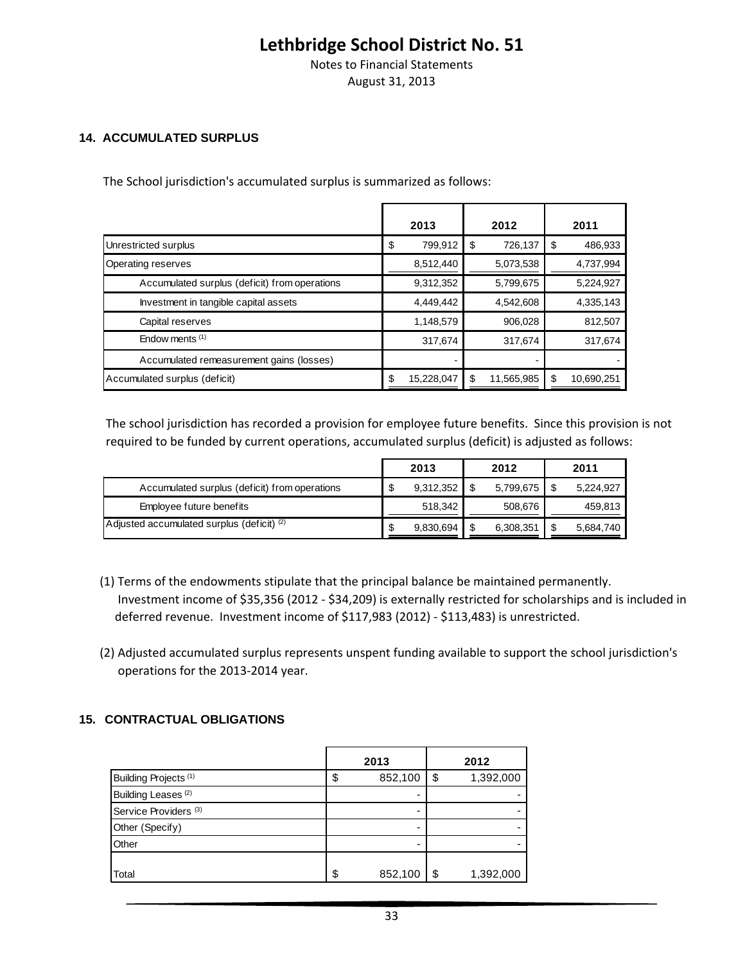Notes to Financial Statements August 31, 2013

#### **14. ACCUMULATED SURPLUS**

The School jurisdiction's accumulated surplus is summarized as follows:

|                                               | 2013          |     | 2012       | 2011             |
|-----------------------------------------------|---------------|-----|------------|------------------|
| Unrestricted surplus                          | \$<br>799,912 | -\$ | 726,137    | \$<br>486,933    |
| <b>Operating reserves</b>                     | 8,512,440     |     | 5,073,538  | 4,737,994        |
| Accumulated surplus (deficit) from operations | 9,312,352     |     | 5,799,675  | 5,224,927        |
| Investment in tangible capital assets         | 4,449,442     |     | 4,542,608  | 4,335,143        |
| Capital reserves                              | 1,148,579     |     | 906,028    | 812,507          |
| Endow ments $(1)$                             | 317,674       |     | 317,674    | 317,674          |
| Accumulated remeasurement gains (losses)      |               |     |            |                  |
| Accumulated surplus (deficit)                 | 15,228,047    | £.  | 11,565,985 | \$<br>10,690,251 |

 The school jurisdiction has recorded a provision for employee future benefits. Since this provision is not required to be funded by current operations, accumulated surplus (deficit) is adjusted as follows:

|                                               | 2013      | 2012      | 2011      |
|-----------------------------------------------|-----------|-----------|-----------|
| Accumulated surplus (deficit) from operations | 9,312,352 | 5,799,675 | 5,224,927 |
| Employee future benefits                      | 518.342   | 508,676   | 459,813   |
| Adjusted accumulated surplus (deficit) (2)    | 9,830,694 | 6,308,351 | 5,684,740 |

- (1) Terms of the endowments stipulate that the principal balance be maintained permanently. Investment income of \$35,356 (2012 ‐ \$34,209) is externally restricted for scholarships and is included in deferred revenue. Investment income of \$117,983 (2012) ‐ \$113,483) is unrestricted.
- (2) Adjusted accumulated surplus represents unspent funding available to support the school jurisdiction's operations for the 2013‐2014 year.

#### **15. CONTRACTUAL OBLIGATIONS**

|                                  | 2013          | 2012            |
|----------------------------------|---------------|-----------------|
| Building Projects <sup>(1)</sup> | \$<br>852,100 | \$<br>1,392,000 |
| Building Leases <sup>(2)</sup>   | -             |                 |
| Service Providers <sup>(3)</sup> |               |                 |
| Other (Specify)                  | -             |                 |
| Other                            |               |                 |
| Total                            | \$<br>852,100 | \$<br>1,392,000 |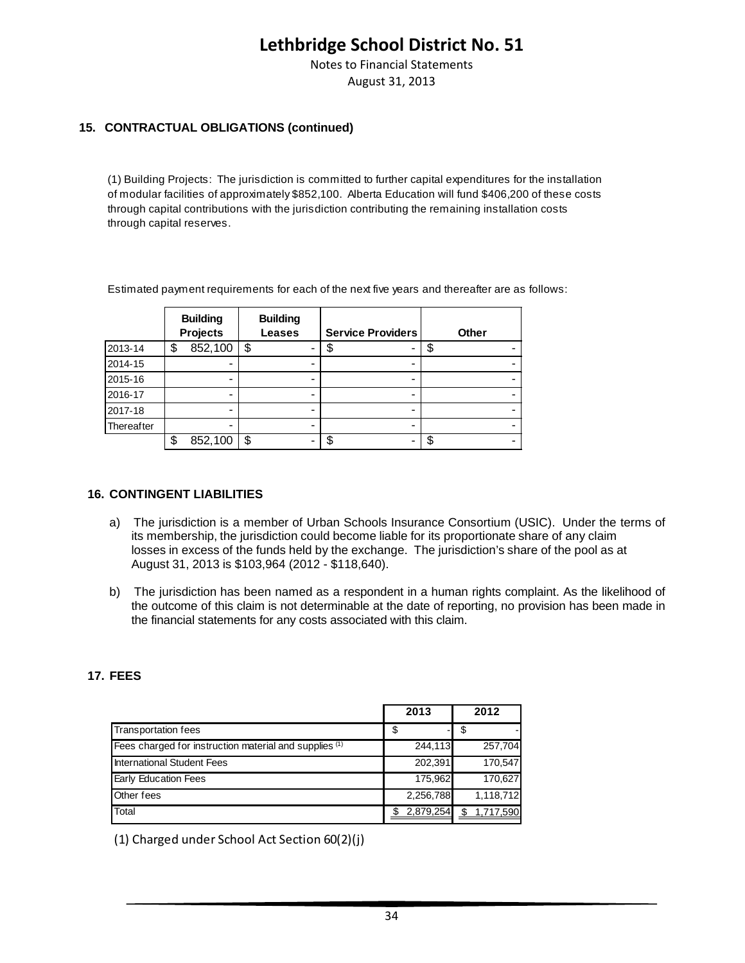Notes to Financial Statements August 31, 2013

#### **15. CONTRACTUAL OBLIGATIONS (continued)**

(1) Building Projects: The jurisdiction is committed to further capital expenditures for the installation of modular facilities of approximately \$852,100. Alberta Education will fund \$406,200 of these costs through capital contributions with the jurisdiction contributing the remaining installation costs through capital reserves.

Estimated payment requirements for each of the next five years and thereafter are as follows:

|            |    | <b>Building</b><br><b>Projects</b> |    | <b>Building</b><br>Leases | <b>Service Providers</b> |   | <b>Other</b> |
|------------|----|------------------------------------|----|---------------------------|--------------------------|---|--------------|
| 2013-14    | \$ | 852,100                            | \$ |                           |                          | S |              |
| 2014-15    |    | -                                  |    |                           |                          |   |              |
| 2015-16    |    | -                                  |    |                           |                          |   |              |
| 2016-17    |    | -                                  |    |                           |                          |   |              |
| 2017-18    |    | -                                  |    |                           |                          |   |              |
| Thereafter |    |                                    |    |                           |                          |   |              |
|            | ß. | 852,100                            | S. |                           |                          |   |              |

#### **16. CONTINGENT LIABILITIES**

- a) The jurisdiction is a member of Urban Schools Insurance Consortium (USIC). Under the terms of its membership, the jurisdiction could become liable for its proportionate share of any claim losses in excess of the funds held by the exchange. The jurisdiction's share of the pool as at August 31, 2013 is \$103,964 (2012 - \$118,640).
- b) The jurisdiction has been named as a respondent in a human rights complaint. As the likelihood of the outcome of this claim is not determinable at the date of reporting, no provision has been made in the financial statements for any costs associated with this claim.

#### **17. FEES**

|                                                        | 2013      | 2012      |
|--------------------------------------------------------|-----------|-----------|
| <b>Transportation fees</b>                             | \$        |           |
| Fees charged for instruction material and supplies (1) | 244,113   | 257,704   |
| International Student Fees                             | 202,391   | 170.547   |
| <b>Early Education Fees</b>                            | 175.962   | 170.627   |
| Other fees                                             | 2,256,788 | 1,118,712 |
| Total                                                  | 2,879,254 | 1,717,590 |

(1) Charged under School Act Section 60(2)(j)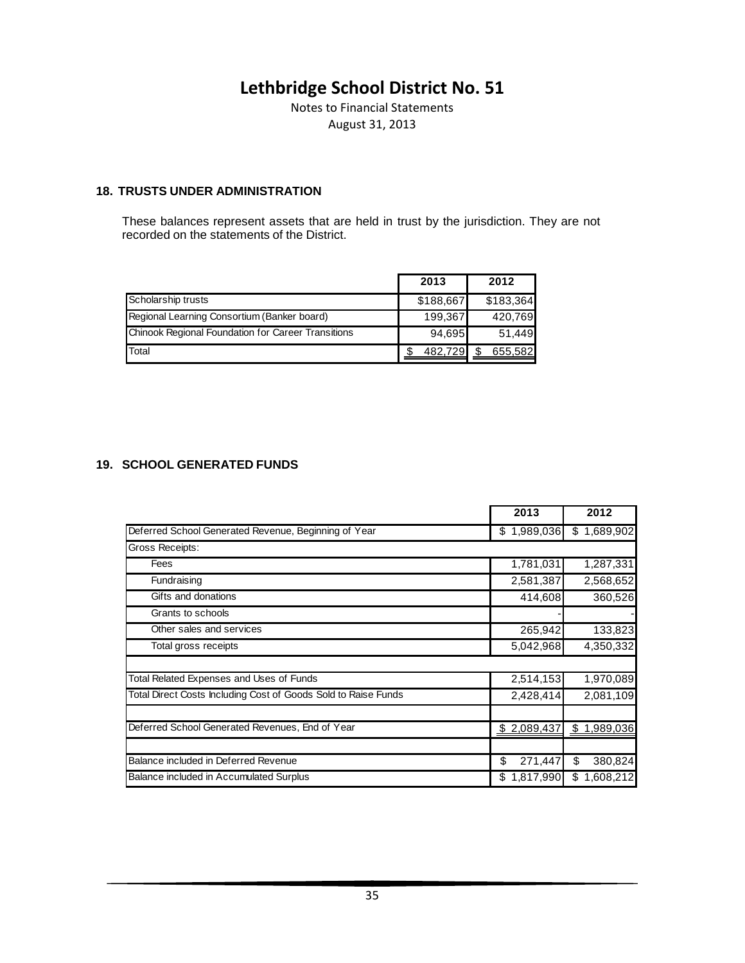Notes to Financial Statements August 31, 2013

#### **18. TRUSTS UNDER ADMINISTRATION**

These balances represent assets that are held in trust by the jurisdiction. They are not recorded on the statements of the District.

|                                                    | 2013      | 2012      |
|----------------------------------------------------|-----------|-----------|
| Scholarship trusts                                 | \$188,667 | \$183,364 |
| Regional Learning Consortium (Banker board)        | 199,367   | 420,769   |
| Chinook Regional Foundation for Career Transitions | 94.695    | 51,449    |
| Total                                              | 482.729   | 655,582   |

#### **19. SCHOOL GENERATED FUNDS**

|                                                                | 2013             | 2012             |
|----------------------------------------------------------------|------------------|------------------|
| Deferred School Generated Revenue, Beginning of Year           | \$1,989,036      | \$1,689,902      |
| Gross Receipts:                                                |                  |                  |
| Fees                                                           | 1,781,031        | 1,287,331        |
| Fundraising                                                    | 2,581,387        | 2,568,652        |
| Gifts and donations                                            | 414,608          | 360,526          |
| Grants to schools                                              |                  |                  |
| Other sales and services                                       | 265,942          | 133,823          |
| Total gross receipts                                           | 5,042,968        | 4,350,332        |
|                                                                |                  |                  |
| Total Related Expenses and Uses of Funds                       | 2,514,153        | 1,970,089        |
| Total Direct Costs Including Cost of Goods Sold to Raise Funds | 2,428,414        | 2,081,109        |
|                                                                |                  |                  |
| Deferred School Generated Revenues, End of Year                | \$2,089,437      | 1,989,036<br>\$  |
|                                                                |                  |                  |
| Balance included in Deferred Revenue                           | \$<br>271,447    | \$<br>380,824    |
| Balance included in Accumulated Surplus                        | 1,817,990<br>\$. | 1,608,212<br>\$. |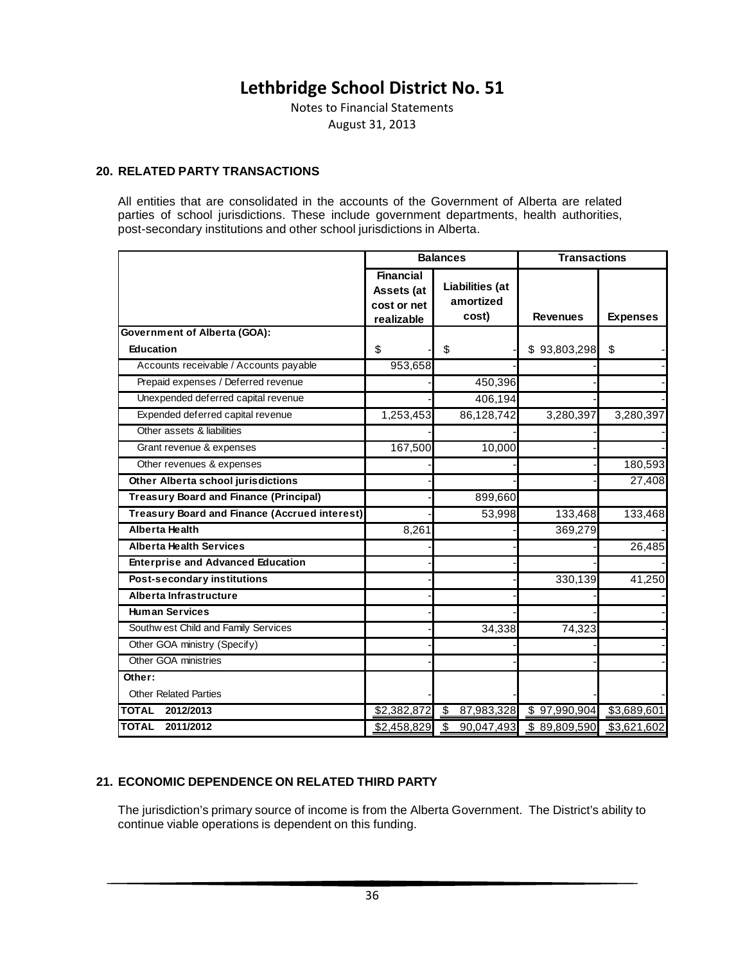Notes to Financial Statements August 31, 2013

#### **20. RELATED PARTY TRANSACTIONS**

All entities that are consolidated in the accounts of the Government of Alberta are related parties of school jurisdictions. These include government departments, health authorities, post-secondary institutions and other school jurisdictions in Alberta.

|                                               |                                                             | <b>Balances</b>                       | <b>Transactions</b> |                 |  |
|-----------------------------------------------|-------------------------------------------------------------|---------------------------------------|---------------------|-----------------|--|
|                                               | <b>Financial</b><br>Assets (at<br>cost or net<br>realizable | Liabilities (at<br>amortized<br>cost) | <b>Revenues</b>     | <b>Expenses</b> |  |
| Government of Alberta (GOA):                  |                                                             |                                       |                     |                 |  |
| <b>Education</b>                              | \$                                                          | \$                                    | \$93,803,298        | \$              |  |
| Accounts receivable / Accounts payable        | 953,658                                                     |                                       |                     |                 |  |
| Prepaid expenses / Deferred revenue           |                                                             | 450,396                               |                     |                 |  |
| Unexpended deferred capital revenue           |                                                             | 406,194                               |                     |                 |  |
| Expended deferred capital revenue             | 1,253,453                                                   | 86,128,742                            | 3,280,397           | 3,280,397       |  |
| Other assets & liabilities                    |                                                             |                                       |                     |                 |  |
| Grant revenue & expenses                      | 167,500                                                     | 10,000                                |                     |                 |  |
| Other revenues & expenses                     |                                                             |                                       |                     | 180,593         |  |
| Other Alberta school jurisdictions            |                                                             |                                       |                     | 27,408          |  |
| <b>Treasury Board and Finance (Principal)</b> |                                                             | 899,660                               |                     |                 |  |
| Treasury Board and Finance (Accrued interest) |                                                             | 53,998                                | 133,468             | 133,468         |  |
| <b>Alberta Health</b>                         | 8,261                                                       |                                       | 369,279             |                 |  |
| <b>Alberta Health Services</b>                |                                                             |                                       |                     | 26,485          |  |
| <b>Enterprise and Advanced Education</b>      |                                                             |                                       |                     |                 |  |
| <b>Post-secondary institutions</b>            |                                                             |                                       | 330,139             | 41,250          |  |
| Alberta Infrastructure                        |                                                             |                                       |                     |                 |  |
| <b>Human Services</b>                         |                                                             |                                       |                     |                 |  |
| Southw est Child and Family Services          |                                                             | 34,338                                | 74,323              |                 |  |
| Other GOA ministry (Specify)                  |                                                             |                                       |                     |                 |  |
| Other GOA ministries                          |                                                             |                                       |                     |                 |  |
| Other:                                        |                                                             |                                       |                     |                 |  |
| <b>Other Related Parties</b>                  |                                                             |                                       |                     |                 |  |
| <b>TOTAL</b><br>2012/2013                     | \$2,382,872                                                 | $\frac{1}{2}$<br>87,983,328           | \$97,990,904        | \$3,689,601     |  |
| 2011/2012<br><b>TOTAL</b>                     | \$2,458,829                                                 | \$<br>90,047,493                      | \$89,809,590        | \$3,621,602     |  |

#### **21. ECONOMIC DEPENDENCE ON RELATED THIRD PARTY**

The jurisdiction's primary source of income is from the Alberta Government. The District's ability to continue viable operations is dependent on this funding.